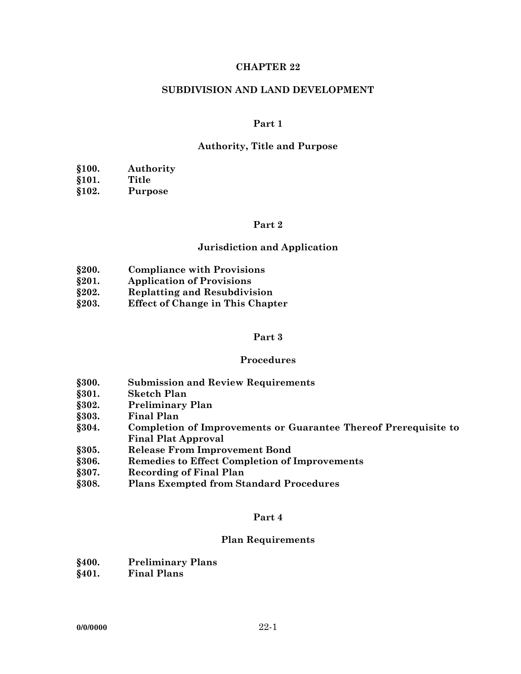#### **CHAPTER 22**

#### **SUBDIVISION AND LAND DEVELOPMENT**

#### **Part 1**

#### **Authority, Title and Purpose**

- **§100. Authority**
- **§101. Title**
- **§102. Purpose**

## **Part 2**

#### **Jurisdiction and Application**

- **§200. Compliance with Provisions**
- **§201. Application of Provisions**
- **§202. Replatting and Resubdivision**
- **§203. Effect of Change in This Chapter**

#### **Part 3**

#### **Procedures**

- **§300. Submission and Review Requirements**
- **§301. Sketch Plan**
- **§302. Preliminary Plan**
- **§303. Final Plan**
- **§304. Completion of Improvements or Guarantee Thereof Prerequisite to Final Plat Approval**
- **§305. Release From Improvement Bond**
- **§306. Remedies to Effect Completion of Improvements**
- **§307. Recording of Final Plan**
- **§308. Plans Exempted from Standard Procedures**

#### **Part 4**

#### **Plan Requirements**

- **§400. Preliminary Plans**
- **§401. Final Plans**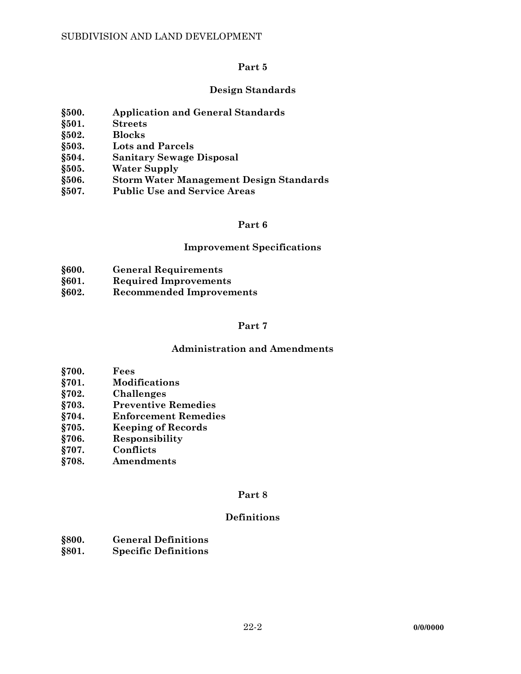## **Design Standards**

- **§500. Application and General Standards**
- **§501. Streets**
- **§502. Blocks**
- **§503. Lots and Parcels**
- **§504. Sanitary Sewage Disposal**
- **§505. Water Supply**
- **§506. Storm Water Management Design Standards**
- **§507. Public Use and Service Areas**

## **Part 6**

## **Improvement Specifications**

- **§600. General Requirements**
- **§601. Required Improvements**
- **§602. Recommended Improvements**

## **Part 7**

## **Administration and Amendments**

- **§700. Fees**
- **§701. Modifications**
- **§702. Challenges**
- **§703. Preventive Remedies**
- **§704. Enforcement Remedies**
- **§705. Keeping of Records**
- **§706. Responsibility**
- **§707. Conflicts**
- **§708. Amendments**

## **Part 8**

# **Definitions**

- **§800. General Definitions**
- **§801. Specific Definitions**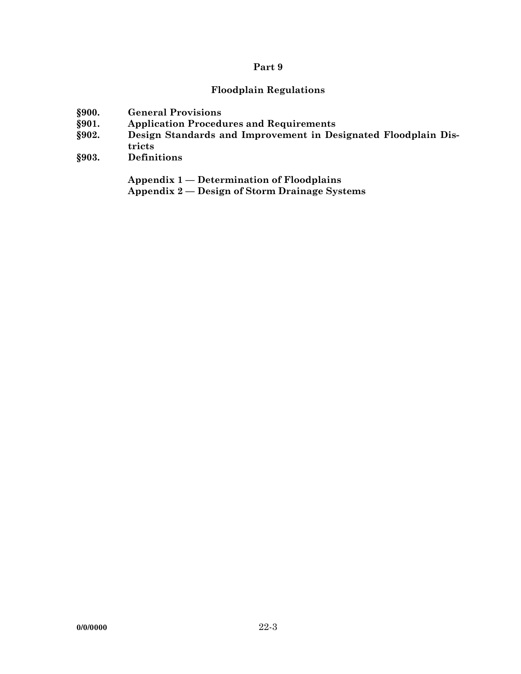## **Floodplain Regulations**

- **§900. General Provisions**
- **§901. Application Procedures and Requirements**
- **§902. Design Standards and Improvement in Designated Floodplain Districts**
- **§903. Definitions**

 **Appendix 1 — Determination of Floodplains** 

 **Appendix 2 — Design of Storm Drainage Systems**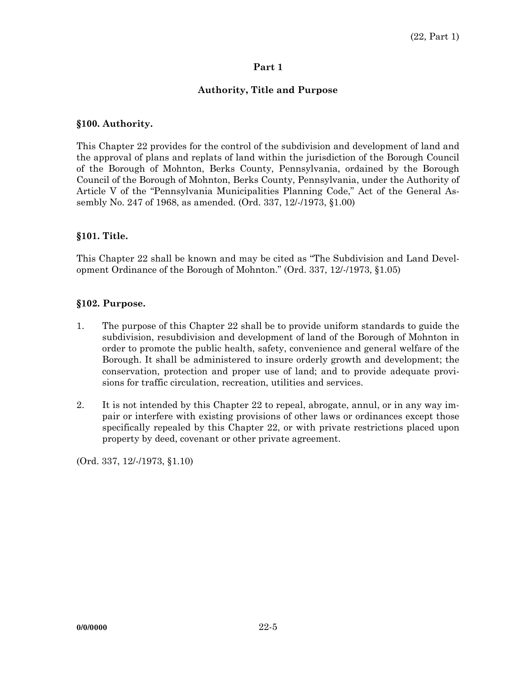## **Authority, Title and Purpose**

## **§100. Authority.**

This Chapter 22 provides for the control of the subdivision and development of land and the approval of plans and replats of land within the jurisdiction of the Borough Council of the Borough of Mohnton, Berks County, Pennsylvania, ordained by the Borough Council of the Borough of Mohnton, Berks County, Pennsylvania, under the Authority of Article V of the "Pennsylvania Municipalities Planning Code," Act of the General Assembly No. 247 of 1968, as amended. (Ord. 337, 12/-/1973, §1.00)

## **§101. Title.**

This Chapter 22 shall be known and may be cited as "The Subdivision and Land Development Ordinance of the Borough of Mohnton." (Ord. 337, 12/-/1973, §1.05)

## **§102. Purpose.**

- 1. The purpose of this Chapter 22 shall be to provide uniform standards to guide the subdivision, resubdivision and development of land of the Borough of Mohnton in order to promote the public health, safety, convenience and general welfare of the Borough. It shall be administered to insure orderly growth and development; the conservation, protection and proper use of land; and to provide adequate provisions for traffic circulation, recreation, utilities and services.
- 2. It is not intended by this Chapter 22 to repeal, abrogate, annul, or in any way impair or interfere with existing provisions of other laws or ordinances except those specifically repealed by this Chapter 22, or with private restrictions placed upon property by deed, covenant or other private agreement.

(Ord. 337, 12/-/1973, §1.10)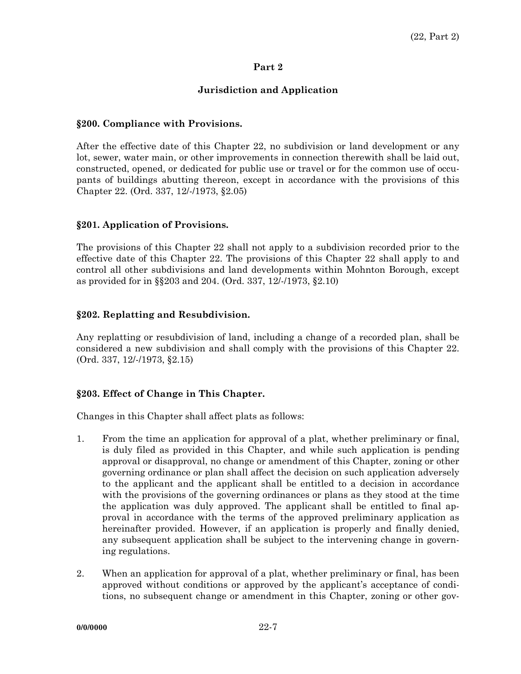# **Jurisdiction and Application**

## **§200. Compliance with Provisions.**

After the effective date of this Chapter 22, no subdivision or land development or any lot, sewer, water main, or other improvements in connection therewith shall be laid out, constructed, opened, or dedicated for public use or travel or for the common use of occupants of buildings abutting thereon, except in accordance with the provisions of this Chapter 22. (Ord. 337, 12/-/1973, §2.05)

## **§201. Application of Provisions.**

The provisions of this Chapter 22 shall not apply to a subdivision recorded prior to the effective date of this Chapter 22. The provisions of this Chapter 22 shall apply to and control all other subdivisions and land developments within Mohnton Borough, except as provided for in §§203 and 204. (Ord. 337, 12/-/1973, §2.10)

### **§202. Replatting and Resubdivision.**

Any replatting or resubdivision of land, including a change of a recorded plan, shall be considered a new subdivision and shall comply with the provisions of this Chapter 22. (Ord. 337, 12/-/1973, §2.15)

## **§203. Effect of Change in This Chapter.**

Changes in this Chapter shall affect plats as follows:

- 1. From the time an application for approval of a plat, whether preliminary or final, is duly filed as provided in this Chapter, and while such application is pending approval or disapproval, no change or amendment of this Chapter, zoning or other governing ordinance or plan shall affect the decision on such application adversely to the applicant and the applicant shall be entitled to a decision in accordance with the provisions of the governing ordinances or plans as they stood at the time the application was duly approved. The applicant shall be entitled to final approval in accordance with the terms of the approved preliminary application as hereinafter provided. However, if an application is properly and finally denied, any subsequent application shall be subject to the intervening change in governing regulations.
- 2. When an application for approval of a plat, whether preliminary or final, has been approved without conditions or approved by the applicant's acceptance of conditions, no subsequent change or amendment in this Chapter, zoning or other gov-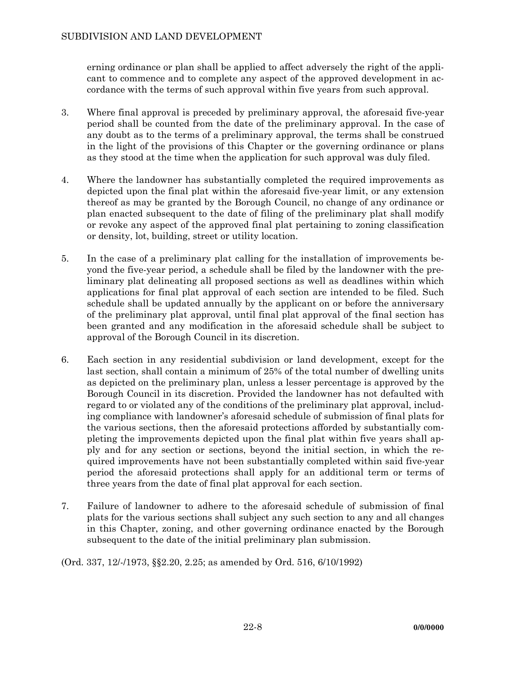erning ordinance or plan shall be applied to affect adversely the right of the applicant to commence and to complete any aspect of the approved development in accordance with the terms of such approval within five years from such approval.

- 3. Where final approval is preceded by preliminary approval, the aforesaid five-year period shall be counted from the date of the preliminary approval. In the case of any doubt as to the terms of a preliminary approval, the terms shall be construed in the light of the provisions of this Chapter or the governing ordinance or plans as they stood at the time when the application for such approval was duly filed.
- 4. Where the landowner has substantially completed the required improvements as depicted upon the final plat within the aforesaid five-year limit, or any extension thereof as may be granted by the Borough Council, no change of any ordinance or plan enacted subsequent to the date of filing of the preliminary plat shall modify or revoke any aspect of the approved final plat pertaining to zoning classification or density, lot, building, street or utility location.
- 5. In the case of a preliminary plat calling for the installation of improvements beyond the five-year period, a schedule shall be filed by the landowner with the preliminary plat delineating all proposed sections as well as deadlines within which applications for final plat approval of each section are intended to be filed. Such schedule shall be updated annually by the applicant on or before the anniversary of the preliminary plat approval, until final plat approval of the final section has been granted and any modification in the aforesaid schedule shall be subject to approval of the Borough Council in its discretion.
- 6. Each section in any residential subdivision or land development, except for the last section, shall contain a minimum of 25% of the total number of dwelling units as depicted on the preliminary plan, unless a lesser percentage is approved by the Borough Council in its discretion. Provided the landowner has not defaulted with regard to or violated any of the conditions of the preliminary plat approval, including compliance with landowner's aforesaid schedule of submission of final plats for the various sections, then the aforesaid protections afforded by substantially completing the improvements depicted upon the final plat within five years shall apply and for any section or sections, beyond the initial section, in which the required improvements have not been substantially completed within said five-year period the aforesaid protections shall apply for an additional term or terms of three years from the date of final plat approval for each section.
- 7. Failure of landowner to adhere to the aforesaid schedule of submission of final plats for the various sections shall subject any such section to any and all changes in this Chapter, zoning, and other governing ordinance enacted by the Borough subsequent to the date of the initial preliminary plan submission.

(Ord. 337, 12/-/1973, §§2.20, 2.25; as amended by Ord. 516, 6/10/1992)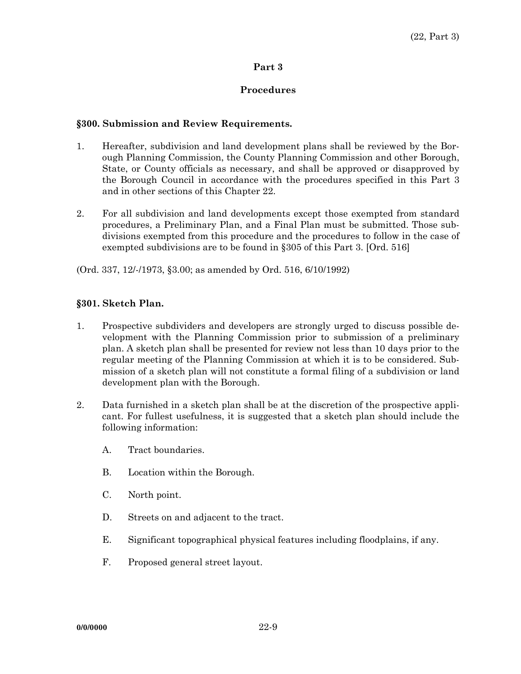## **Procedures**

## **§300. Submission and Review Requirements.**

- 1. Hereafter, subdivision and land development plans shall be reviewed by the Borough Planning Commission, the County Planning Commission and other Borough, State, or County officials as necessary, and shall be approved or disapproved by the Borough Council in accordance with the procedures specified in this Part 3 and in other sections of this Chapter 22.
- 2. For all subdivision and land developments except those exempted from standard procedures, a Preliminary Plan, and a Final Plan must be submitted. Those subdivisions exempted from this procedure and the procedures to follow in the case of exempted subdivisions are to be found in §305 of this Part 3. [Ord. 516]
- (Ord. 337, 12/-/1973, §3.00; as amended by Ord. 516, 6/10/1992)

## **§301. Sketch Plan.**

- 1. Prospective subdividers and developers are strongly urged to discuss possible development with the Planning Commission prior to submission of a preliminary plan. A sketch plan shall be presented for review not less than 10 days prior to the regular meeting of the Planning Commission at which it is to be considered. Submission of a sketch plan will not constitute a formal filing of a subdivision or land development plan with the Borough.
- 2. Data furnished in a sketch plan shall be at the discretion of the prospective applicant. For fullest usefulness, it is suggested that a sketch plan should include the following information:
	- A. Tract boundaries.
	- B. Location within the Borough.
	- C. North point.
	- D. Streets on and adjacent to the tract.
	- E. Significant topographical physical features including floodplains, if any.
	- F. Proposed general street layout.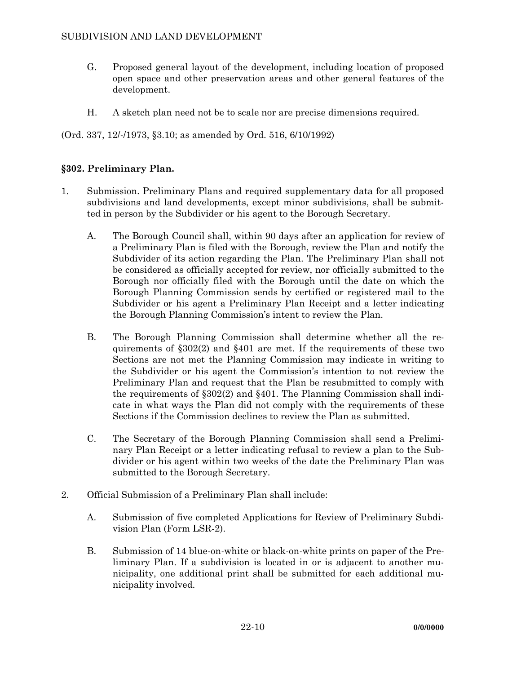- G. Proposed general layout of the development, including location of proposed open space and other preservation areas and other general features of the development.
- H. A sketch plan need not be to scale nor are precise dimensions required.

(Ord. 337, 12/-/1973, §3.10; as amended by Ord. 516, 6/10/1992)

## **§302. Preliminary Plan.**

- 1. Submission. Preliminary Plans and required supplementary data for all proposed subdivisions and land developments, except minor subdivisions, shall be submitted in person by the Subdivider or his agent to the Borough Secretary.
	- A. The Borough Council shall, within 90 days after an application for review of a Preliminary Plan is filed with the Borough, review the Plan and notify the Subdivider of its action regarding the Plan. The Preliminary Plan shall not be considered as officially accepted for review, nor officially submitted to the Borough nor officially filed with the Borough until the date on which the Borough Planning Commission sends by certified or registered mail to the Subdivider or his agent a Preliminary Plan Receipt and a letter indicating the Borough Planning Commission's intent to review the Plan.
	- B. The Borough Planning Commission shall determine whether all the requirements of §302(2) and §401 are met. If the requirements of these two Sections are not met the Planning Commission may indicate in writing to the Subdivider or his agent the Commission's intention to not review the Preliminary Plan and request that the Plan be resubmitted to comply with the requirements of §302(2) and §401. The Planning Commission shall indicate in what ways the Plan did not comply with the requirements of these Sections if the Commission declines to review the Plan as submitted.
	- C. The Secretary of the Borough Planning Commission shall send a Preliminary Plan Receipt or a letter indicating refusal to review a plan to the Subdivider or his agent within two weeks of the date the Preliminary Plan was submitted to the Borough Secretary.
- 2. Official Submission of a Preliminary Plan shall include:
	- A. Submission of five completed Applications for Review of Preliminary Subdivision Plan (Form LSR-2).
	- B. Submission of 14 blue-on-white or black-on-white prints on paper of the Preliminary Plan. If a subdivision is located in or is adjacent to another municipality, one additional print shall be submitted for each additional municipality involved.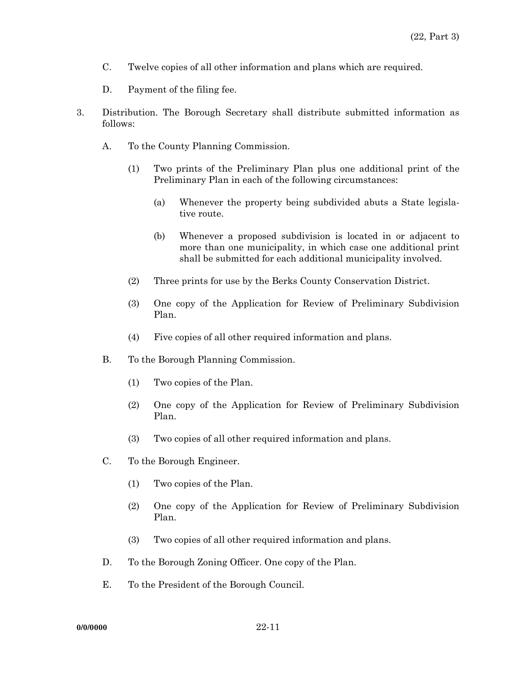- C. Twelve copies of all other information and plans which are required.
- D. Payment of the filing fee.
- 3. Distribution. The Borough Secretary shall distribute submitted information as follows:
	- A. To the County Planning Commission.
		- (1) Two prints of the Preliminary Plan plus one additional print of the Preliminary Plan in each of the following circumstances:
			- (a) Whenever the property being subdivided abuts a State legislative route.
			- (b) Whenever a proposed subdivision is located in or adjacent to more than one municipality, in which case one additional print shall be submitted for each additional municipality involved.
		- (2) Three prints for use by the Berks County Conservation District.
		- (3) One copy of the Application for Review of Preliminary Subdivision Plan.
		- (4) Five copies of all other required information and plans.
	- B. To the Borough Planning Commission.
		- (1) Two copies of the Plan.
		- (2) One copy of the Application for Review of Preliminary Subdivision Plan.
		- (3) Two copies of all other required information and plans.
	- C. To the Borough Engineer.
		- (1) Two copies of the Plan.
		- (2) One copy of the Application for Review of Preliminary Subdivision Plan.
		- (3) Two copies of all other required information and plans.
	- D. To the Borough Zoning Officer. One copy of the Plan.
	- E. To the President of the Borough Council.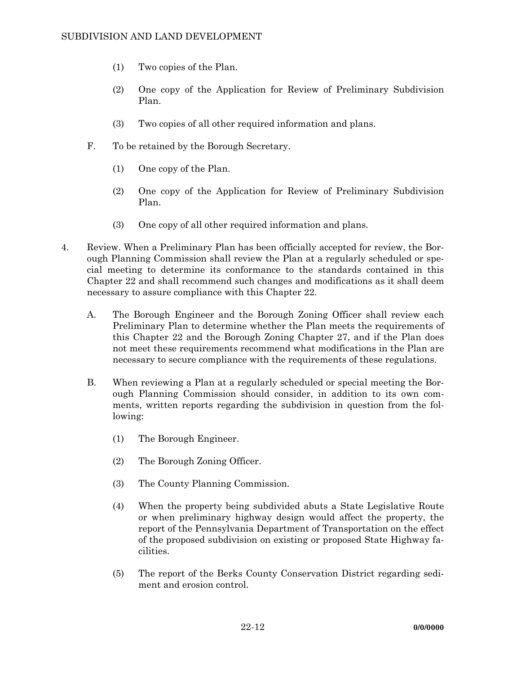- (1) Two copies of the Plan.
- (2) One copy of the Application for Review of Preliminary Subdivision Plan.
- (3) Two copies of all other required information and plans.
- F. To be retained by the Borough Secretary.
	- (1) One copy of the Plan.
	- (2) One copy of the Application for Review of Preliminary Subdivision Plan.
	- (3) One copy of all other required information and plans.
- 4. Review. When a Preliminary Plan has been officially accepted for review, the Borough Planning Commission shall review the Plan at a regularly scheduled or special meeting to determine its conformance to the standards contained in this Chapter 22 and shall recommend such changes and modifications as it shall deem necessary to assure compliance with this Chapter 22.
	- A. The Borough Engineer and the Borough Zoning Officer shall review each Preliminary Plan to determine whether the Plan meets the requirements of this Chapter 22 and the Borough Zoning Chapter 27, and if the Plan does not meet these requirements recommend what modifications in the Plan are necessary to secure compliance with the requirements of these regulations.
	- B. When reviewing a Plan at a regularly scheduled or special meeting the Borough Planning Commission should consider, in addition to its own comments, written reports regarding the subdivision in question from the following:
		- (1) The Borough Engineer.
		- (2) The Borough Zoning Officer.
		- (3) The County Planning Commission.
		- (4) When the property being subdivided abuts a State Legislative Route or when preliminary highway design would affect the property, the report of the Pennsylvania Department of Transportation on the effect of the proposed subdivision on existing or proposed State Highway facilities.
		- (5) The report of the Berks County Conservation District regarding sediment and erosion control.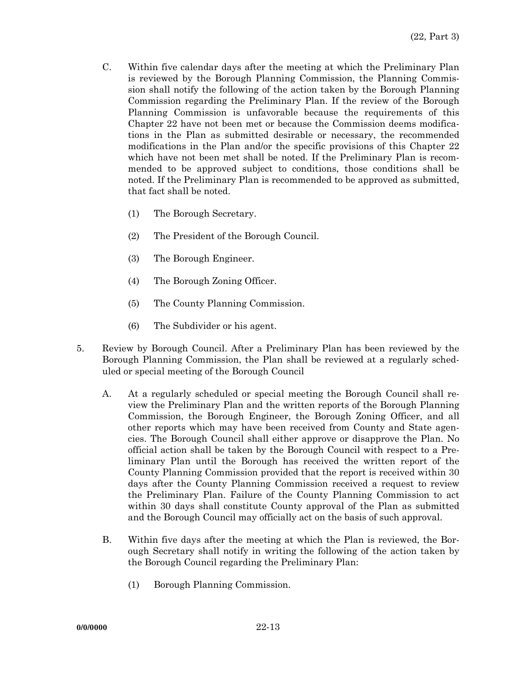- C. Within five calendar days after the meeting at which the Preliminary Plan is reviewed by the Borough Planning Commission, the Planning Commission shall notify the following of the action taken by the Borough Planning Commission regarding the Preliminary Plan. If the review of the Borough Planning Commission is unfavorable because the requirements of this Chapter 22 have not been met or because the Commission deems modifications in the Plan as submitted desirable or necessary, the recommended modifications in the Plan and/or the specific provisions of this Chapter 22 which have not been met shall be noted. If the Preliminary Plan is recommended to be approved subject to conditions, those conditions shall be noted. If the Preliminary Plan is recommended to be approved as submitted, that fact shall be noted.
	- (1) The Borough Secretary.
	- (2) The President of the Borough Council.
	- (3) The Borough Engineer.
	- (4) The Borough Zoning Officer.
	- (5) The County Planning Commission.
	- (6) The Subdivider or his agent.
- 5. Review by Borough Council. After a Preliminary Plan has been reviewed by the Borough Planning Commission, the Plan shall be reviewed at a regularly scheduled or special meeting of the Borough Council
	- A. At a regularly scheduled or special meeting the Borough Council shall review the Preliminary Plan and the written reports of the Borough Planning Commission, the Borough Engineer, the Borough Zoning Officer, and all other reports which may have been received from County and State agencies. The Borough Council shall either approve or disapprove the Plan. No official action shall be taken by the Borough Council with respect to a Preliminary Plan until the Borough has received the written report of the County Planning Commission provided that the report is received within 30 days after the County Planning Commission received a request to review the Preliminary Plan. Failure of the County Planning Commission to act within 30 days shall constitute County approval of the Plan as submitted and the Borough Council may officially act on the basis of such approval.
	- B. Within five days after the meeting at which the Plan is reviewed, the Borough Secretary shall notify in writing the following of the action taken by the Borough Council regarding the Preliminary Plan:
		- (1) Borough Planning Commission.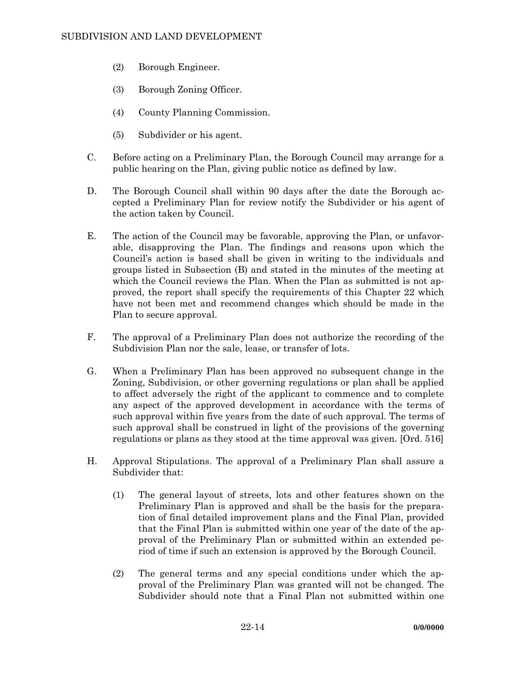- (2) Borough Engineer.
- (3) Borough Zoning Officer.
- (4) County Planning Commission.
- (5) Subdivider or his agent.
- C. Before acting on a Preliminary Plan, the Borough Council may arrange for a public hearing on the Plan, giving public notice as defined by law.
- D. The Borough Council shall within 90 days after the date the Borough accepted a Preliminary Plan for review notify the Subdivider or his agent of the action taken by Council.
- E. The action of the Council may be favorable, approving the Plan, or unfavorable, disapproving the Plan. The findings and reasons upon which the Council's action is based shall be given in writing to the individuals and groups listed in Subsection (B) and stated in the minutes of the meeting at which the Council reviews the Plan. When the Plan as submitted is not approved, the report shall specify the requirements of this Chapter 22 which have not been met and recommend changes which should be made in the Plan to secure approval.
- F. The approval of a Preliminary Plan does not authorize the recording of the Subdivision Plan nor the sale, lease, or transfer of lots.
- G. When a Preliminary Plan has been approved no subsequent change in the Zoning, Subdivision, or other governing regulations or plan shall be applied to affect adversely the right of the applicant to commence and to complete any aspect of the approved development in accordance with the terms of such approval within five years from the date of such approval. The terms of such approval shall be construed in light of the provisions of the governing regulations or plans as they stood at the time approval was given. [Ord. 516]
- H. Approval Stipulations. The approval of a Preliminary Plan shall assure a Subdivider that:
	- (1) The general layout of streets, lots and other features shown on the Preliminary Plan is approved and shall be the basis for the preparation of final detailed improvement plans and the Final Plan, provided that the Final Plan is submitted within one year of the date of the approval of the Preliminary Plan or submitted within an extended period of time if such an extension is approved by the Borough Council.
	- (2) The general terms and any special conditions under which the approval of the Preliminary Plan was granted will not be changed. The Subdivider should note that a Final Plan not submitted within one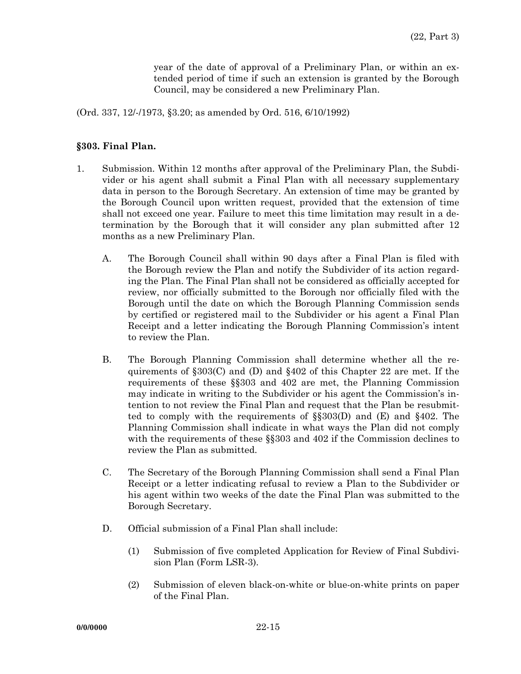year of the date of approval of a Preliminary Plan, or within an extended period of time if such an extension is granted by the Borough Council, may be considered a new Preliminary Plan.

(Ord. 337, 12/-/1973, §3.20; as amended by Ord. 516, 6/10/1992)

### **§303. Final Plan.**

- 1. Submission. Within 12 months after approval of the Preliminary Plan, the Subdivider or his agent shall submit a Final Plan with all necessary supplementary data in person to the Borough Secretary. An extension of time may be granted by the Borough Council upon written request, provided that the extension of time shall not exceed one year. Failure to meet this time limitation may result in a determination by the Borough that it will consider any plan submitted after 12 months as a new Preliminary Plan.
	- A. The Borough Council shall within 90 days after a Final Plan is filed with the Borough review the Plan and notify the Subdivider of its action regarding the Plan. The Final Plan shall not be considered as officially accepted for review, nor officially submitted to the Borough nor officially filed with the Borough until the date on which the Borough Planning Commission sends by certified or registered mail to the Subdivider or his agent a Final Plan Receipt and a letter indicating the Borough Planning Commission's intent to review the Plan.
	- B. The Borough Planning Commission shall determine whether all the requirements of §303(C) and (D) and §402 of this Chapter 22 are met. If the requirements of these §§303 and 402 are met, the Planning Commission may indicate in writing to the Subdivider or his agent the Commission's intention to not review the Final Plan and request that the Plan be resubmitted to comply with the requirements of §§303(D) and (E) and §402. The Planning Commission shall indicate in what ways the Plan did not comply with the requirements of these §§303 and 402 if the Commission declines to review the Plan as submitted.
	- C. The Secretary of the Borough Planning Commission shall send a Final Plan Receipt or a letter indicating refusal to review a Plan to the Subdivider or his agent within two weeks of the date the Final Plan was submitted to the Borough Secretary.
	- D. Official submission of a Final Plan shall include:
		- (1) Submission of five completed Application for Review of Final Subdivision Plan (Form LSR-3).
		- (2) Submission of eleven black-on-white or blue-on-white prints on paper of the Final Plan.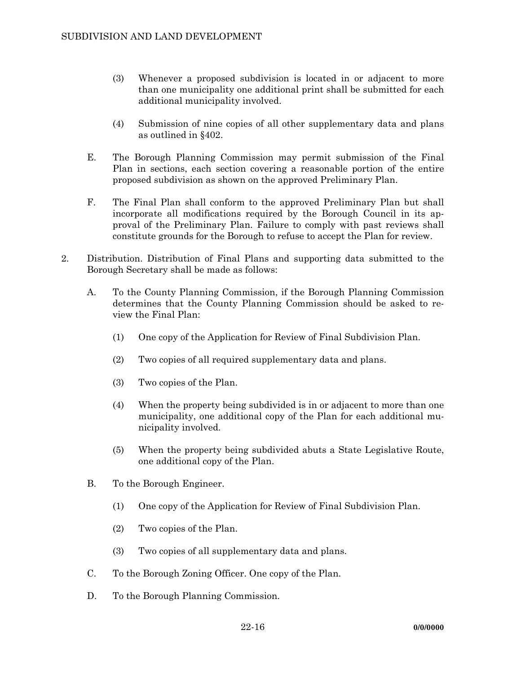- (3) Whenever a proposed subdivision is located in or adjacent to more than one municipality one additional print shall be submitted for each additional municipality involved.
- (4) Submission of nine copies of all other supplementary data and plans as outlined in §402.
- E. The Borough Planning Commission may permit submission of the Final Plan in sections, each section covering a reasonable portion of the entire proposed subdivision as shown on the approved Preliminary Plan.
- F. The Final Plan shall conform to the approved Preliminary Plan but shall incorporate all modifications required by the Borough Council in its approval of the Preliminary Plan. Failure to comply with past reviews shall constitute grounds for the Borough to refuse to accept the Plan for review.
- 2. Distribution. Distribution of Final Plans and supporting data submitted to the Borough Secretary shall be made as follows:
	- A. To the County Planning Commission, if the Borough Planning Commission determines that the County Planning Commission should be asked to review the Final Plan:
		- (1) One copy of the Application for Review of Final Subdivision Plan.
		- (2) Two copies of all required supplementary data and plans.
		- (3) Two copies of the Plan.
		- (4) When the property being subdivided is in or adjacent to more than one municipality, one additional copy of the Plan for each additional municipality involved.
		- (5) When the property being subdivided abuts a State Legislative Route, one additional copy of the Plan.
	- B. To the Borough Engineer.
		- (1) One copy of the Application for Review of Final Subdivision Plan.
		- (2) Two copies of the Plan.
		- (3) Two copies of all supplementary data and plans.
	- C. To the Borough Zoning Officer. One copy of the Plan.
	- D. To the Borough Planning Commission.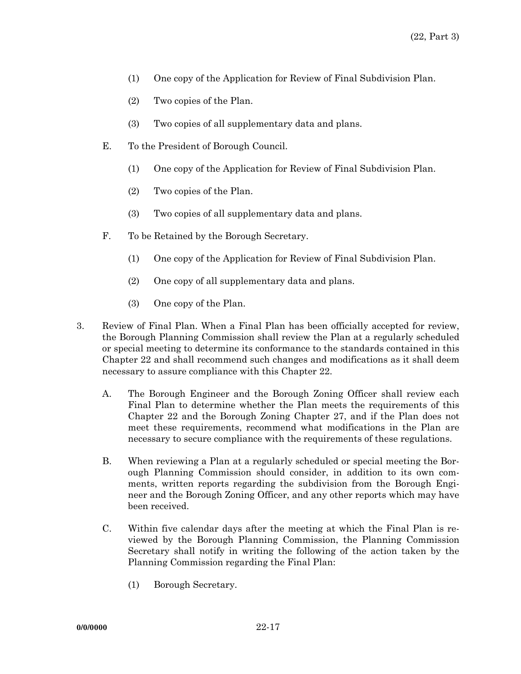- (1) One copy of the Application for Review of Final Subdivision Plan.
- (2) Two copies of the Plan.
- (3) Two copies of all supplementary data and plans.
- E. To the President of Borough Council.
	- (1) One copy of the Application for Review of Final Subdivision Plan.
	- (2) Two copies of the Plan.
	- (3) Two copies of all supplementary data and plans.
- F. To be Retained by the Borough Secretary.
	- (1) One copy of the Application for Review of Final Subdivision Plan.
	- (2) One copy of all supplementary data and plans.
	- (3) One copy of the Plan.
- 3. Review of Final Plan. When a Final Plan has been officially accepted for review, the Borough Planning Commission shall review the Plan at a regularly scheduled or special meeting to determine its conformance to the standards contained in this Chapter 22 and shall recommend such changes and modifications as it shall deem necessary to assure compliance with this Chapter 22.
	- A. The Borough Engineer and the Borough Zoning Officer shall review each Final Plan to determine whether the Plan meets the requirements of this Chapter 22 and the Borough Zoning Chapter 27, and if the Plan does not meet these requirements, recommend what modifications in the Plan are necessary to secure compliance with the requirements of these regulations.
	- B. When reviewing a Plan at a regularly scheduled or special meeting the Borough Planning Commission should consider, in addition to its own comments, written reports regarding the subdivision from the Borough Engineer and the Borough Zoning Officer, and any other reports which may have been received.
	- C. Within five calendar days after the meeting at which the Final Plan is reviewed by the Borough Planning Commission, the Planning Commission Secretary shall notify in writing the following of the action taken by the Planning Commission regarding the Final Plan:
		- (1) Borough Secretary.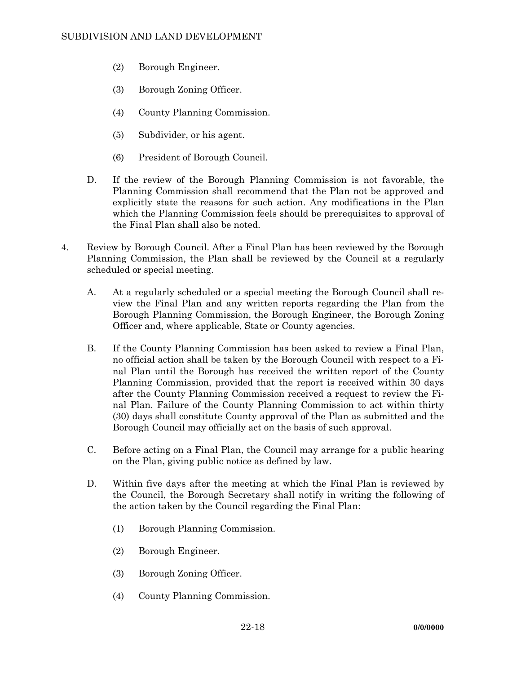- (2) Borough Engineer.
- (3) Borough Zoning Officer.
- (4) County Planning Commission.
- (5) Subdivider, or his agent.
- (6) President of Borough Council.
- D. If the review of the Borough Planning Commission is not favorable, the Planning Commission shall recommend that the Plan not be approved and explicitly state the reasons for such action. Any modifications in the Plan which the Planning Commission feels should be prerequisites to approval of the Final Plan shall also be noted.
- 4. Review by Borough Council. After a Final Plan has been reviewed by the Borough Planning Commission, the Plan shall be reviewed by the Council at a regularly scheduled or special meeting.
	- A. At a regularly scheduled or a special meeting the Borough Council shall review the Final Plan and any written reports regarding the Plan from the Borough Planning Commission, the Borough Engineer, the Borough Zoning Officer and, where applicable, State or County agencies.
	- B. If the County Planning Commission has been asked to review a Final Plan, no official action shall be taken by the Borough Council with respect to a Final Plan until the Borough has received the written report of the County Planning Commission, provided that the report is received within 30 days after the County Planning Commission received a request to review the Final Plan. Failure of the County Planning Commission to act within thirty (30) days shall constitute County approval of the Plan as submitted and the Borough Council may officially act on the basis of such approval.
	- C. Before acting on a Final Plan, the Council may arrange for a public hearing on the Plan, giving public notice as defined by law.
	- D. Within five days after the meeting at which the Final Plan is reviewed by the Council, the Borough Secretary shall notify in writing the following of the action taken by the Council regarding the Final Plan:
		- (1) Borough Planning Commission.
		- (2) Borough Engineer.
		- (3) Borough Zoning Officer.
		- (4) County Planning Commission.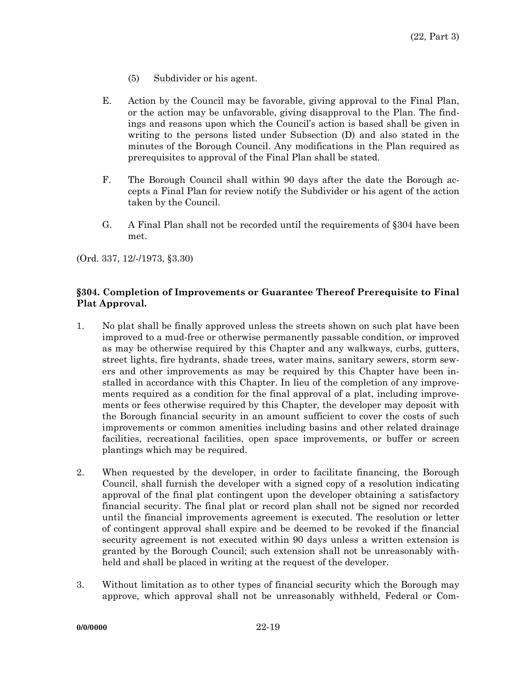- (5) Subdivider or his agent.
- E. Action by the Council may be favorable, giving approval to the Final Plan, or the action may be unfavorable, giving disapproval to the Plan. The findings and reasons upon which the Council's action is based shall be given in writing to the persons listed under Subsection (D) and also stated in the minutes of the Borough Council. Any modifications in the Plan required as prerequisites to approval of the Final Plan shall be stated.
- F. The Borough Council shall within 90 days after the date the Borough accepts a Final Plan for review notify the Subdivider or his agent of the action taken by the Council.
- G. A Final Plan shall not be recorded until the requirements of §304 have been met.

(Ord. 337, 12/-/1973, §3.30)

## **§304. Completion of Improvements or Guarantee Thereof Prerequisite to Final Plat Approval.**

- 1. No plat shall be finally approved unless the streets shown on such plat have been improved to a mud-free or otherwise permanently passable condition, or improved as may be otherwise required by this Chapter and any walkways, curbs, gutters, street lights, fire hydrants, shade trees, water mains, sanitary sewers, storm sewers and other improvements as may be required by this Chapter have been installed in accordance with this Chapter. In lieu of the completion of any improvements required as a condition for the final approval of a plat, including improvements or fees otherwise required by this Chapter, the developer may deposit with the Borough financial security in an amount sufficient to cover the costs of such improvements or common amenities including basins and other related drainage facilities, recreational facilities, open space improvements, or buffer or screen plantings which may be required.
- 2. When requested by the developer, in order to facilitate financing, the Borough Council, shall furnish the developer with a signed copy of a resolution indicating approval of the final plat contingent upon the developer obtaining a satisfactory financial security. The final plat or record plan shall not be signed nor recorded until the financial improvements agreement is executed. The resolution or letter of contingent approval shall expire and be deemed to be revoked if the financial security agreement is not executed within 90 days unless a written extension is granted by the Borough Council; such extension shall not be unreasonably withheld and shall be placed in writing at the request of the developer.
- 3. Without limitation as to other types of financial security which the Borough may approve, which approval shall not be unreasonably withheld, Federal or Com-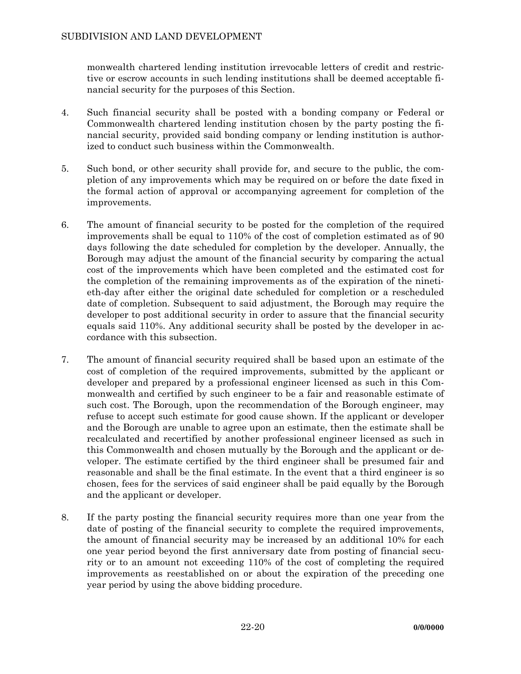monwealth chartered lending institution irrevocable letters of credit and restrictive or escrow accounts in such lending institutions shall be deemed acceptable financial security for the purposes of this Section.

- 4. Such financial security shall be posted with a bonding company or Federal or Commonwealth chartered lending institution chosen by the party posting the financial security, provided said bonding company or lending institution is authorized to conduct such business within the Commonwealth.
- 5. Such bond, or other security shall provide for, and secure to the public, the completion of any improvements which may be required on or before the date fixed in the formal action of approval or accompanying agreement for completion of the improvements.
- 6. The amount of financial security to be posted for the completion of the required improvements shall be equal to 110% of the cost of completion estimated as of 90 days following the date scheduled for completion by the developer. Annually, the Borough may adjust the amount of the financial security by comparing the actual cost of the improvements which have been completed and the estimated cost for the completion of the remaining improvements as of the expiration of the ninetieth-day after either the original date scheduled for completion or a rescheduled date of completion. Subsequent to said adjustment, the Borough may require the developer to post additional security in order to assure that the financial security equals said 110%. Any additional security shall be posted by the developer in accordance with this subsection.
- 7. The amount of financial security required shall be based upon an estimate of the cost of completion of the required improvements, submitted by the applicant or developer and prepared by a professional engineer licensed as such in this Commonwealth and certified by such engineer to be a fair and reasonable estimate of such cost. The Borough, upon the recommendation of the Borough engineer, may refuse to accept such estimate for good cause shown. If the applicant or developer and the Borough are unable to agree upon an estimate, then the estimate shall be recalculated and recertified by another professional engineer licensed as such in this Commonwealth and chosen mutually by the Borough and the applicant or developer. The estimate certified by the third engineer shall be presumed fair and reasonable and shall be the final estimate. In the event that a third engineer is so chosen, fees for the services of said engineer shall be paid equally by the Borough and the applicant or developer.
- 8. If the party posting the financial security requires more than one year from the date of posting of the financial security to complete the required improvements, the amount of financial security may be increased by an additional 10% for each one year period beyond the first anniversary date from posting of financial security or to an amount not exceeding 110% of the cost of completing the required improvements as reestablished on or about the expiration of the preceding one year period by using the above bidding procedure.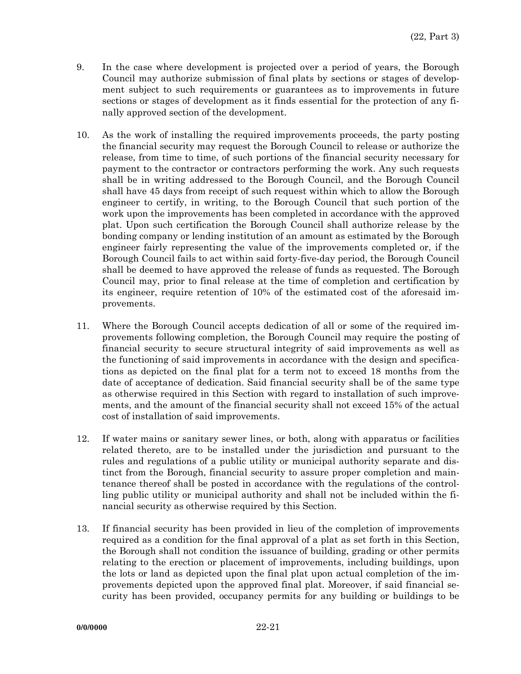- 9. In the case where development is projected over a period of years, the Borough Council may authorize submission of final plats by sections or stages of development subject to such requirements or guarantees as to improvements in future sections or stages of development as it finds essential for the protection of any finally approved section of the development.
- 10. As the work of installing the required improvements proceeds, the party posting the financial security may request the Borough Council to release or authorize the release, from time to time, of such portions of the financial security necessary for payment to the contractor or contractors performing the work. Any such requests shall be in writing addressed to the Borough Council, and the Borough Council shall have 45 days from receipt of such request within which to allow the Borough engineer to certify, in writing, to the Borough Council that such portion of the work upon the improvements has been completed in accordance with the approved plat. Upon such certification the Borough Council shall authorize release by the bonding company or lending institution of an amount as estimated by the Borough engineer fairly representing the value of the improvements completed or, if the Borough Council fails to act within said forty-five-day period, the Borough Council shall be deemed to have approved the release of funds as requested. The Borough Council may, prior to final release at the time of completion and certification by its engineer, require retention of 10% of the estimated cost of the aforesaid improvements.
- 11. Where the Borough Council accepts dedication of all or some of the required improvements following completion, the Borough Council may require the posting of financial security to secure structural integrity of said improvements as well as the functioning of said improvements in accordance with the design and specifications as depicted on the final plat for a term not to exceed 18 months from the date of acceptance of dedication. Said financial security shall be of the same type as otherwise required in this Section with regard to installation of such improvements, and the amount of the financial security shall not exceed 15% of the actual cost of installation of said improvements.
- 12. If water mains or sanitary sewer lines, or both, along with apparatus or facilities related thereto, are to be installed under the jurisdiction and pursuant to the rules and regulations of a public utility or municipal authority separate and distinct from the Borough, financial security to assure proper completion and maintenance thereof shall be posted in accordance with the regulations of the controlling public utility or municipal authority and shall not be included within the financial security as otherwise required by this Section.
- 13. If financial security has been provided in lieu of the completion of improvements required as a condition for the final approval of a plat as set forth in this Section, the Borough shall not condition the issuance of building, grading or other permits relating to the erection or placement of improvements, including buildings, upon the lots or land as depicted upon the final plat upon actual completion of the improvements depicted upon the approved final plat. Moreover, if said financial security has been provided, occupancy permits for any building or buildings to be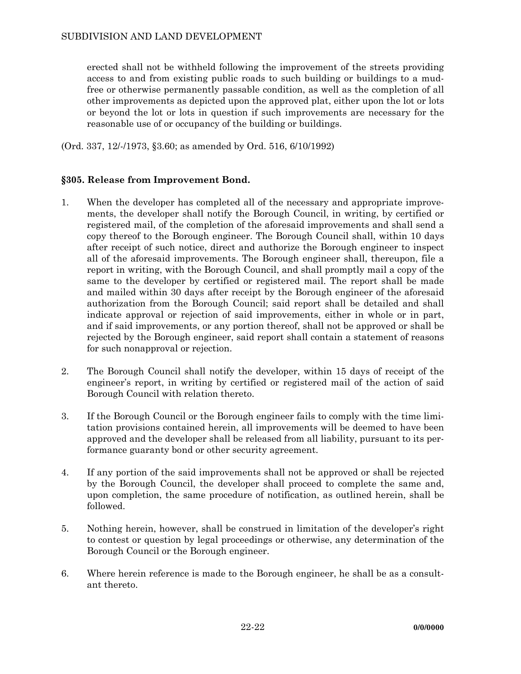erected shall not be withheld following the improvement of the streets providing access to and from existing public roads to such building or buildings to a mudfree or otherwise permanently passable condition, as well as the completion of all other improvements as depicted upon the approved plat, either upon the lot or lots or beyond the lot or lots in question if such improvements are necessary for the reasonable use of or occupancy of the building or buildings.

(Ord. 337, 12/-/1973, §3.60; as amended by Ord. 516, 6/10/1992)

## **§305. Release from Improvement Bond.**

- 1. When the developer has completed all of the necessary and appropriate improvements, the developer shall notify the Borough Council, in writing, by certified or registered mail, of the completion of the aforesaid improvements and shall send a copy thereof to the Borough engineer. The Borough Council shall, within 10 days after receipt of such notice, direct and authorize the Borough engineer to inspect all of the aforesaid improvements. The Borough engineer shall, thereupon, file a report in writing, with the Borough Council, and shall promptly mail a copy of the same to the developer by certified or registered mail. The report shall be made and mailed within 30 days after receipt by the Borough engineer of the aforesaid authorization from the Borough Council; said report shall be detailed and shall indicate approval or rejection of said improvements, either in whole or in part, and if said improvements, or any portion thereof, shall not be approved or shall be rejected by the Borough engineer, said report shall contain a statement of reasons for such nonapproval or rejection.
- 2. The Borough Council shall notify the developer, within 15 days of receipt of the engineer's report, in writing by certified or registered mail of the action of said Borough Council with relation thereto.
- 3. If the Borough Council or the Borough engineer fails to comply with the time limitation provisions contained herein, all improvements will be deemed to have been approved and the developer shall be released from all liability, pursuant to its performance guaranty bond or other security agreement.
- 4. If any portion of the said improvements shall not be approved or shall be rejected by the Borough Council, the developer shall proceed to complete the same and, upon completion, the same procedure of notification, as outlined herein, shall be followed.
- 5. Nothing herein, however, shall be construed in limitation of the developer's right to contest or question by legal proceedings or otherwise, any determination of the Borough Council or the Borough engineer.
- 6. Where herein reference is made to the Borough engineer, he shall be as a consultant thereto.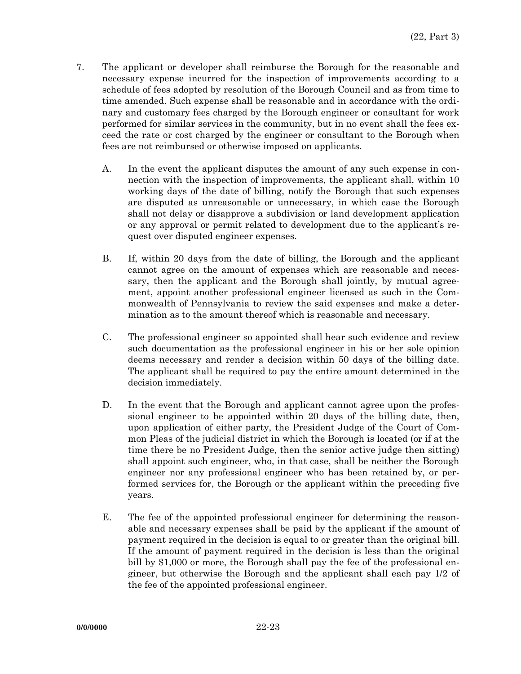- 7. The applicant or developer shall reimburse the Borough for the reasonable and necessary expense incurred for the inspection of improvements according to a schedule of fees adopted by resolution of the Borough Council and as from time to time amended. Such expense shall be reasonable and in accordance with the ordinary and customary fees charged by the Borough engineer or consultant for work performed for similar services in the community, but in no event shall the fees exceed the rate or cost charged by the engineer or consultant to the Borough when fees are not reimbursed or otherwise imposed on applicants.
	- A. In the event the applicant disputes the amount of any such expense in connection with the inspection of improvements, the applicant shall, within 10 working days of the date of billing, notify the Borough that such expenses are disputed as unreasonable or unnecessary, in which case the Borough shall not delay or disapprove a subdivision or land development application or any approval or permit related to development due to the applicant's request over disputed engineer expenses.
	- B. If, within 20 days from the date of billing, the Borough and the applicant cannot agree on the amount of expenses which are reasonable and necessary, then the applicant and the Borough shall jointly, by mutual agreement, appoint another professional engineer licensed as such in the Commonwealth of Pennsylvania to review the said expenses and make a determination as to the amount thereof which is reasonable and necessary.
	- C. The professional engineer so appointed shall hear such evidence and review such documentation as the professional engineer in his or her sole opinion deems necessary and render a decision within 50 days of the billing date. The applicant shall be required to pay the entire amount determined in the decision immediately.
	- D. In the event that the Borough and applicant cannot agree upon the professional engineer to be appointed within 20 days of the billing date, then, upon application of either party, the President Judge of the Court of Common Pleas of the judicial district in which the Borough is located (or if at the time there be no President Judge, then the senior active judge then sitting) shall appoint such engineer, who, in that case, shall be neither the Borough engineer nor any professional engineer who has been retained by, or performed services for, the Borough or the applicant within the preceding five years.
	- E. The fee of the appointed professional engineer for determining the reasonable and necessary expenses shall be paid by the applicant if the amount of payment required in the decision is equal to or greater than the original bill. If the amount of payment required in the decision is less than the original bill by \$1,000 or more, the Borough shall pay the fee of the professional engineer, but otherwise the Borough and the applicant shall each pay 1/2 of the fee of the appointed professional engineer.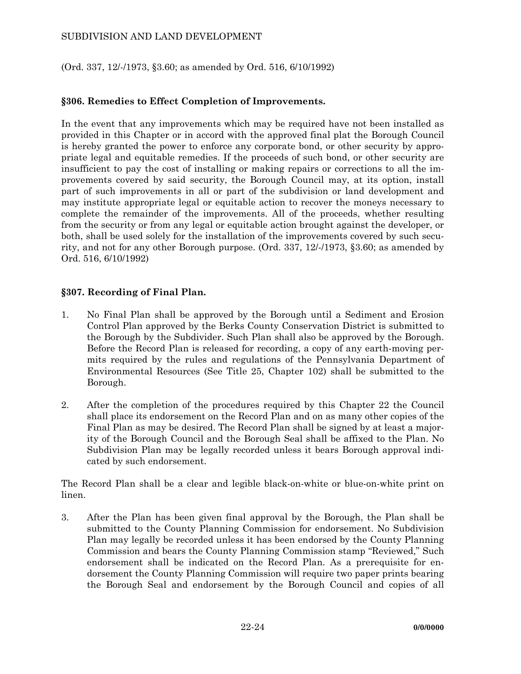## SUBDIVISION AND LAND DEVELOPMENT

### (Ord. 337, 12/-/1973, §3.60; as amended by Ord. 516, 6/10/1992)

## **§306. Remedies to Effect Completion of Improvements.**

In the event that any improvements which may be required have not been installed as provided in this Chapter or in accord with the approved final plat the Borough Council is hereby granted the power to enforce any corporate bond, or other security by appropriate legal and equitable remedies. If the proceeds of such bond, or other security are insufficient to pay the cost of installing or making repairs or corrections to all the improvements covered by said security, the Borough Council may, at its option, install part of such improvements in all or part of the subdivision or land development and may institute appropriate legal or equitable action to recover the moneys necessary to complete the remainder of the improvements. All of the proceeds, whether resulting from the security or from any legal or equitable action brought against the developer, or both, shall be used solely for the installation of the improvements covered by such security, and not for any other Borough purpose. (Ord. 337, 12/-/1973, §3.60; as amended by Ord. 516, 6/10/1992)

#### **§307. Recording of Final Plan.**

- 1. No Final Plan shall be approved by the Borough until a Sediment and Erosion Control Plan approved by the Berks County Conservation District is submitted to the Borough by the Subdivider. Such Plan shall also be approved by the Borough. Before the Record Plan is released for recording, a copy of any earth-moving permits required by the rules and regulations of the Pennsylvania Department of Environmental Resources (See Title 25, Chapter 102) shall be submitted to the Borough.
- 2. After the completion of the procedures required by this Chapter 22 the Council shall place its endorsement on the Record Plan and on as many other copies of the Final Plan as may be desired. The Record Plan shall be signed by at least a majority of the Borough Council and the Borough Seal shall be affixed to the Plan. No Subdivision Plan may be legally recorded unless it bears Borough approval indicated by such endorsement.

The Record Plan shall be a clear and legible black-on-white or blue-on-white print on linen.

3. After the Plan has been given final approval by the Borough, the Plan shall be submitted to the County Planning Commission for endorsement. No Subdivision Plan may legally be recorded unless it has been endorsed by the County Planning Commission and bears the County Planning Commission stamp "Reviewed," Such endorsement shall be indicated on the Record Plan. As a prerequisite for endorsement the County Planning Commission will require two paper prints bearing the Borough Seal and endorsement by the Borough Council and copies of all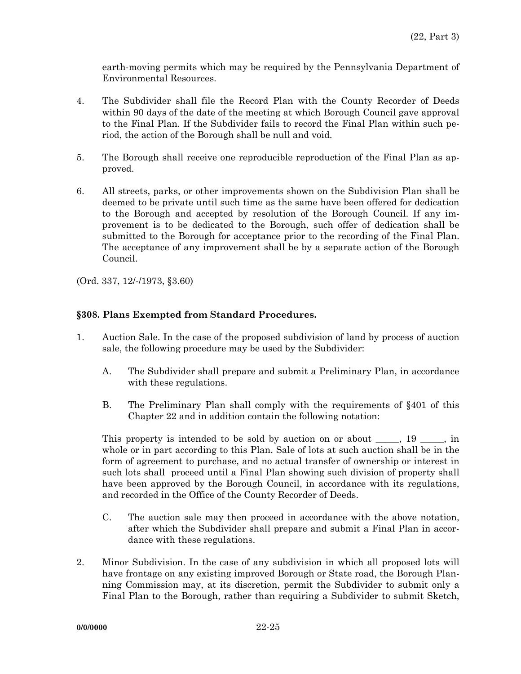earth-moving permits which may be required by the Pennsylvania Department of Environmental Resources.

- 4. The Subdivider shall file the Record Plan with the County Recorder of Deeds within 90 days of the date of the meeting at which Borough Council gave approval to the Final Plan. If the Subdivider fails to record the Final Plan within such period, the action of the Borough shall be null and void.
- 5. The Borough shall receive one reproducible reproduction of the Final Plan as approved.
- 6. All streets, parks, or other improvements shown on the Subdivision Plan shall be deemed to be private until such time as the same have been offered for dedication to the Borough and accepted by resolution of the Borough Council. If any improvement is to be dedicated to the Borough, such offer of dedication shall be submitted to the Borough for acceptance prior to the recording of the Final Plan. The acceptance of any improvement shall be by a separate action of the Borough Council.

(Ord. 337, 12/-/1973, §3.60)

# **§308. Plans Exempted from Standard Procedures.**

- 1. Auction Sale. In the case of the proposed subdivision of land by process of auction sale, the following procedure may be used by the Subdivider:
	- A. The Subdivider shall prepare and submit a Preliminary Plan, in accordance with these regulations.
	- B. The Preliminary Plan shall comply with the requirements of §401 of this Chapter 22 and in addition contain the following notation:

This property is intended to be sold by auction on or about  $\_\_\_$ , 19  $\_\_\_$ , in whole or in part according to this Plan. Sale of lots at such auction shall be in the form of agreement to purchase, and no actual transfer of ownership or interest in such lots shall proceed until a Final Plan showing such division of property shall have been approved by the Borough Council, in accordance with its regulations, and recorded in the Office of the County Recorder of Deeds.

- C. The auction sale may then proceed in accordance with the above notation, after which the Subdivider shall prepare and submit a Final Plan in accordance with these regulations.
- 2. Minor Subdivision. In the case of any subdivision in which all proposed lots will have frontage on any existing improved Borough or State road, the Borough Planning Commission may, at its discretion, permit the Subdivider to submit only a Final Plan to the Borough, rather than requiring a Subdivider to submit Sketch,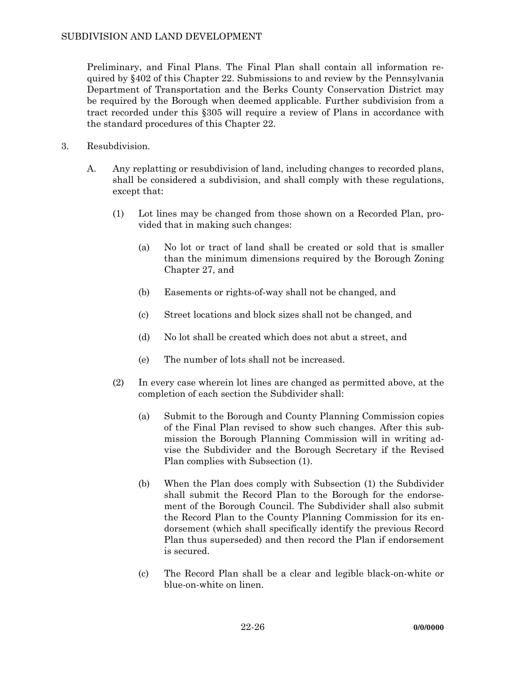Preliminary, and Final Plans. The Final Plan shall contain all information required by §402 of this Chapter 22. Submissions to and review by the Pennsylvania Department of Transportation and the Berks County Conservation District may be required by the Borough when deemed applicable. Further subdivision from a tract recorded under this §305 will require a review of Plans in accordance with the standard procedures of this Chapter 22.

- 3. Resubdivision.
	- A. Any replatting or resubdivision of land, including changes to recorded plans, shall be considered a subdivision, and shall comply with these regulations, except that:
		- (1) Lot lines may be changed from those shown on a Recorded Plan, provided that in making such changes:
			- (a) No lot or tract of land shall be created or sold that is smaller than the minimum dimensions required by the Borough Zoning Chapter 27, and
			- (b) Easements or rights-of-way shall not be changed, and
			- (c) Street locations and block sizes shall not be changed, and
			- (d) No lot shall be created which does not abut a street, and
			- (e) The number of lots shall not be increased.
		- (2) In every case wherein lot lines are changed as permitted above, at the completion of each section the Subdivider shall:
			- (a) Submit to the Borough and County Planning Commission copies of the Final Plan revised to show such changes. After this submission the Borough Planning Commission will in writing advise the Subdivider and the Borough Secretary if the Revised Plan complies with Subsection (1).
			- (b) When the Plan does comply with Subsection (1) the Subdivider shall submit the Record Plan to the Borough for the endorsement of the Borough Council. The Subdivider shall also submit the Record Plan to the County Planning Commission for its endorsement (which shall specifically identify the previous Record Plan thus superseded) and then record the Plan if endorsement is secured.
			- (c) The Record Plan shall be a clear and legible black-on-white or blue-on-white on linen.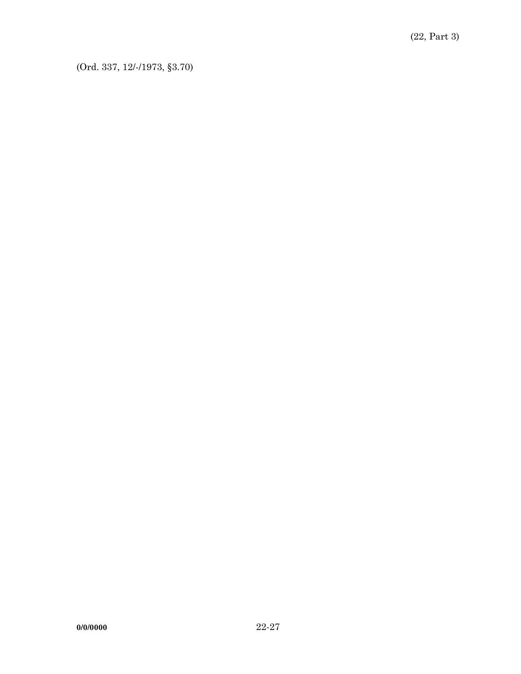(Ord. 337, 12/-/1973, §3.70)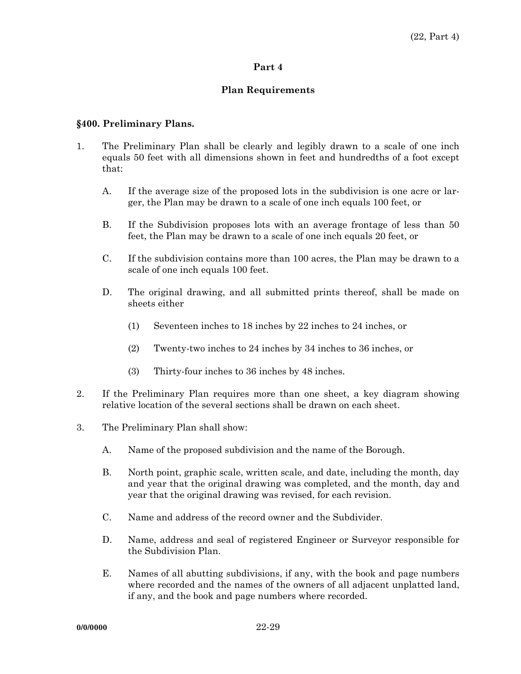## **Plan Requirements**

### **§400. Preliminary Plans.**

- 1. The Preliminary Plan shall be clearly and legibly drawn to a scale of one inch equals 50 feet with all dimensions shown in feet and hundredths of a foot except that:
	- A. If the average size of the proposed lots in the subdivision is one acre or larger, the Plan may be drawn to a scale of one inch equals 100 feet, or
	- B. If the Subdivision proposes lots with an average frontage of less than 50 feet, the Plan may be drawn to a scale of one inch equals 20 feet, or
	- C. If the subdivision contains more than 100 acres, the Plan may be drawn to a scale of one inch equals 100 feet.
	- D. The original drawing, and all submitted prints thereof, shall be made on sheets either
		- (1) Seventeen inches to 18 inches by 22 inches to 24 inches, or
		- (2) Twenty-two inches to 24 inches by 34 inches to 36 inches, or
		- (3) Thirty-four inches to 36 inches by 48 inches.
- 2. If the Preliminary Plan requires more than one sheet, a key diagram showing relative location of the several sections shall be drawn on each sheet.
- 3. The Preliminary Plan shall show:
	- A. Name of the proposed subdivision and the name of the Borough.
	- B. North point, graphic scale, written scale, and date, including the month, day and year that the original drawing was completed, and the month, day and year that the original drawing was revised, for each revision.
	- C. Name and address of the record owner and the Subdivider.
	- D. Name, address and seal of registered Engineer or Surveyor responsible for the Subdivision Plan.
	- E. Names of all abutting subdivisions, if any, with the book and page numbers where recorded and the names of the owners of all adjacent unplatted land, if any, and the book and page numbers where recorded.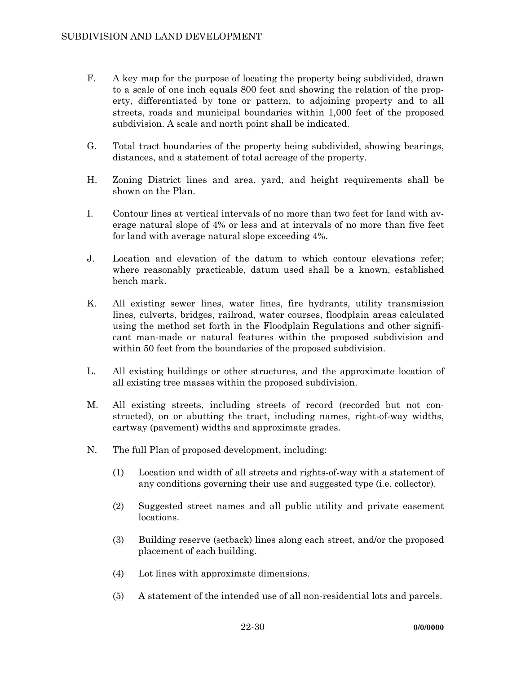- F. A key map for the purpose of locating the property being subdivided, drawn to a scale of one inch equals 800 feet and showing the relation of the property, differentiated by tone or pattern, to adjoining property and to all streets, roads and municipal boundaries within 1,000 feet of the proposed subdivision. A scale and north point shall be indicated.
- G. Total tract boundaries of the property being subdivided, showing bearings, distances, and a statement of total acreage of the property.
- H. Zoning District lines and area, yard, and height requirements shall be shown on the Plan.
- I. Contour lines at vertical intervals of no more than two feet for land with average natural slope of 4% or less and at intervals of no more than five feet for land with average natural slope exceeding 4%.
- J. Location and elevation of the datum to which contour elevations refer; where reasonably practicable, datum used shall be a known, established bench mark.
- K. All existing sewer lines, water lines, fire hydrants, utility transmission lines, culverts, bridges, railroad, water courses, floodplain areas calculated using the method set forth in the Floodplain Regulations and other significant man-made or natural features within the proposed subdivision and within 50 feet from the boundaries of the proposed subdivision.
- L. All existing buildings or other structures, and the approximate location of all existing tree masses within the proposed subdivision.
- M. All existing streets, including streets of record (recorded but not constructed), on or abutting the tract, including names, right-of-way widths, cartway (pavement) widths and approximate grades.
- N. The full Plan of proposed development, including:
	- (1) Location and width of all streets and rights-of-way with a statement of any conditions governing their use and suggested type (i.e. collector).
	- (2) Suggested street names and all public utility and private easement locations.
	- (3) Building reserve (setback) lines along each street, and/or the proposed placement of each building.
	- (4) Lot lines with approximate dimensions.
	- (5) A statement of the intended use of all non-residential lots and parcels.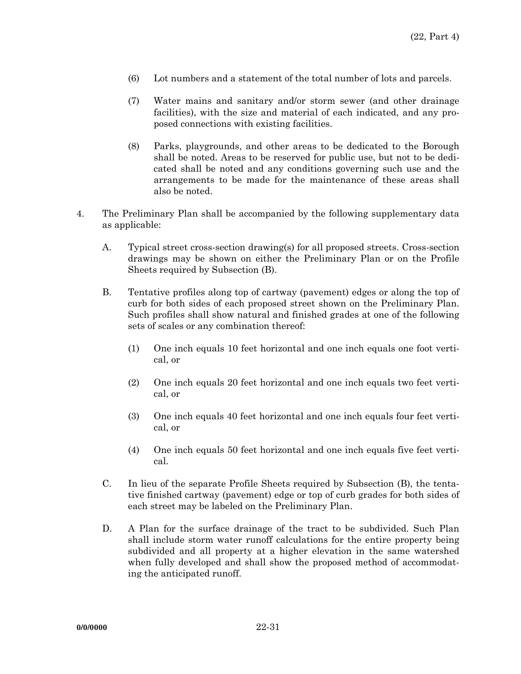- (6) Lot numbers and a statement of the total number of lots and parcels.
- (7) Water mains and sanitary and/or storm sewer (and other drainage facilities), with the size and material of each indicated, and any proposed connections with existing facilities.
- (8) Parks, playgrounds, and other areas to be dedicated to the Borough shall be noted. Areas to be reserved for public use, but not to be dedicated shall be noted and any conditions governing such use and the arrangements to be made for the maintenance of these areas shall also be noted.
- 4. The Preliminary Plan shall be accompanied by the following supplementary data as applicable:
	- A. Typical street cross-section drawing(s) for all proposed streets. Cross-section drawings may be shown on either the Preliminary Plan or on the Profile Sheets required by Subsection (B).
	- B. Tentative profiles along top of cartway (pavement) edges or along the top of curb for both sides of each proposed street shown on the Preliminary Plan. Such profiles shall show natural and finished grades at one of the following sets of scales or any combination thereof:
		- (1) One inch equals 10 feet horizontal and one inch equals one foot vertical, or
		- (2) One inch equals 20 feet horizontal and one inch equals two feet vertical, or
		- (3) One inch equals 40 feet horizontal and one inch equals four feet vertical, or
		- (4) One inch equals 50 feet horizontal and one inch equals five feet vertical.
	- C. In lieu of the separate Profile Sheets required by Subsection (B), the tentative finished cartway (pavement) edge or top of curb grades for both sides of each street may be labeled on the Preliminary Plan.
	- D. A Plan for the surface drainage of the tract to be subdivided. Such Plan shall include storm water runoff calculations for the entire property being subdivided and all property at a higher elevation in the same watershed when fully developed and shall show the proposed method of accommodating the anticipated runoff.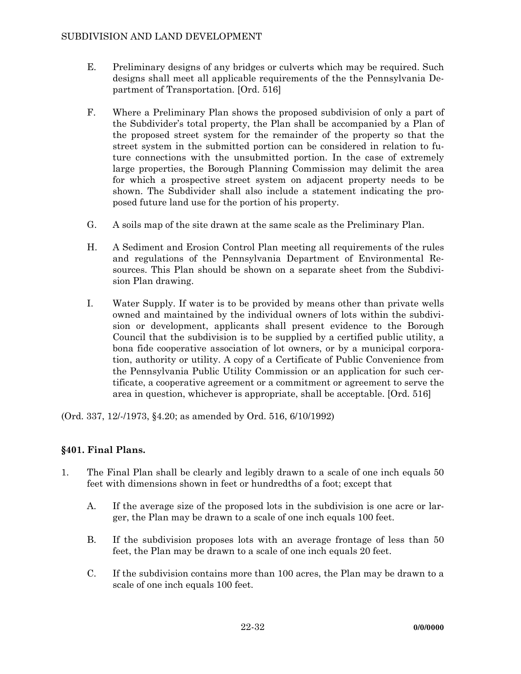- E. Preliminary designs of any bridges or culverts which may be required. Such designs shall meet all applicable requirements of the the Pennsylvania Department of Transportation. [Ord. 516]
- F. Where a Preliminary Plan shows the proposed subdivision of only a part of the Subdivider's total property, the Plan shall be accompanied by a Plan of the proposed street system for the remainder of the property so that the street system in the submitted portion can be considered in relation to future connections with the unsubmitted portion. In the case of extremely large properties, the Borough Planning Commission may delimit the area for which a prospective street system on adjacent property needs to be shown. The Subdivider shall also include a statement indicating the proposed future land use for the portion of his property.
- G. A soils map of the site drawn at the same scale as the Preliminary Plan.
- H. A Sediment and Erosion Control Plan meeting all requirements of the rules and regulations of the Pennsylvania Department of Environmental Resources. This Plan should be shown on a separate sheet from the Subdivision Plan drawing.
- I. Water Supply. If water is to be provided by means other than private wells owned and maintained by the individual owners of lots within the subdivision or development, applicants shall present evidence to the Borough Council that the subdivision is to be supplied by a certified public utility, a bona fide cooperative association of lot owners, or by a municipal corporation, authority or utility. A copy of a Certificate of Public Convenience from the Pennsylvania Public Utility Commission or an application for such certificate, a cooperative agreement or a commitment or agreement to serve the area in question, whichever is appropriate, shall be acceptable. [Ord. 516]

(Ord. 337, 12/-/1973, §4.20; as amended by Ord. 516, 6/10/1992)

## **§401. Final Plans.**

- 1. The Final Plan shall be clearly and legibly drawn to a scale of one inch equals 50 feet with dimensions shown in feet or hundredths of a foot; except that
	- A. If the average size of the proposed lots in the subdivision is one acre or larger, the Plan may be drawn to a scale of one inch equals 100 feet.
	- B. If the subdivision proposes lots with an average frontage of less than 50 feet, the Plan may be drawn to a scale of one inch equals 20 feet.
	- C. If the subdivision contains more than 100 acres, the Plan may be drawn to a scale of one inch equals 100 feet.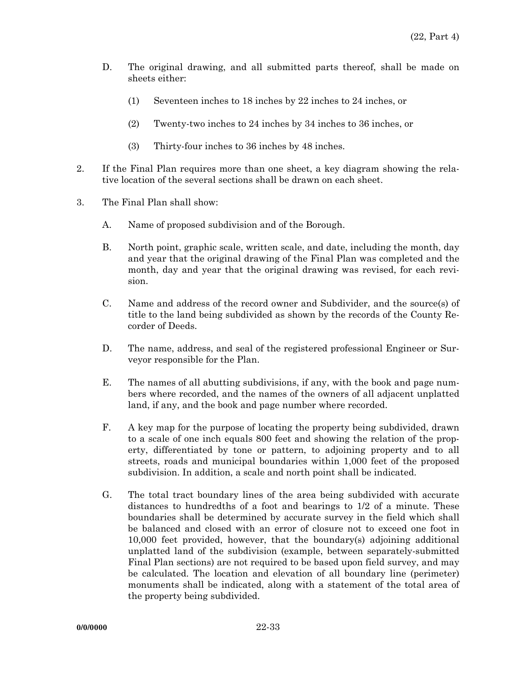- D. The original drawing, and all submitted parts thereof, shall be made on sheets either:
	- (1) Seventeen inches to 18 inches by 22 inches to 24 inches, or
	- (2) Twenty-two inches to 24 inches by 34 inches to 36 inches, or
	- (3) Thirty-four inches to 36 inches by 48 inches.
- 2. If the Final Plan requires more than one sheet, a key diagram showing the relative location of the several sections shall be drawn on each sheet.
- 3. The Final Plan shall show:
	- A. Name of proposed subdivision and of the Borough.
	- B. North point, graphic scale, written scale, and date, including the month, day and year that the original drawing of the Final Plan was completed and the month, day and year that the original drawing was revised, for each revision.
	- C. Name and address of the record owner and Subdivider, and the source(s) of title to the land being subdivided as shown by the records of the County Recorder of Deeds.
	- D. The name, address, and seal of the registered professional Engineer or Surveyor responsible for the Plan.
	- E. The names of all abutting subdivisions, if any, with the book and page numbers where recorded, and the names of the owners of all adjacent unplatted land, if any, and the book and page number where recorded.
	- F. A key map for the purpose of locating the property being subdivided, drawn to a scale of one inch equals 800 feet and showing the relation of the property, differentiated by tone or pattern, to adjoining property and to all streets, roads and municipal boundaries within 1,000 feet of the proposed subdivision. In addition, a scale and north point shall be indicated.
	- G. The total tract boundary lines of the area being subdivided with accurate distances to hundredths of a foot and bearings to 1/2 of a minute. These boundaries shall be determined by accurate survey in the field which shall be balanced and closed with an error of closure not to exceed one foot in 10,000 feet provided, however, that the boundary(s) adjoining additional unplatted land of the subdivision (example, between separately-submitted Final Plan sections) are not required to be based upon field survey, and may be calculated. The location and elevation of all boundary line (perimeter) monuments shall be indicated, along with a statement of the total area of the property being subdivided.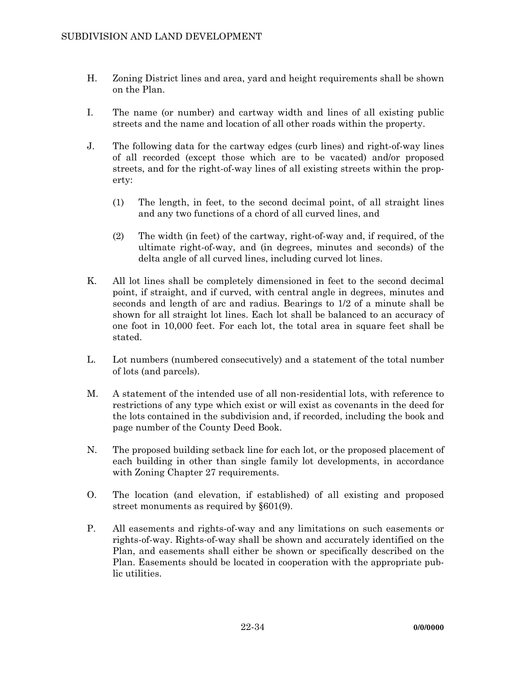- H. Zoning District lines and area, yard and height requirements shall be shown on the Plan.
- I. The name (or number) and cartway width and lines of all existing public streets and the name and location of all other roads within the property.
- J. The following data for the cartway edges (curb lines) and right-of-way lines of all recorded (except those which are to be vacated) and/or proposed streets, and for the right-of-way lines of all existing streets within the property:
	- (1) The length, in feet, to the second decimal point, of all straight lines and any two functions of a chord of all curved lines, and
	- (2) The width (in feet) of the cartway, right-of-way and, if required, of the ultimate right-of-way, and (in degrees, minutes and seconds) of the delta angle of all curved lines, including curved lot lines.
- K. All lot lines shall be completely dimensioned in feet to the second decimal point, if straight, and if curved, with central angle in degrees, minutes and seconds and length of arc and radius. Bearings to 1/2 of a minute shall be shown for all straight lot lines. Each lot shall be balanced to an accuracy of one foot in 10,000 feet. For each lot, the total area in square feet shall be stated.
- L. Lot numbers (numbered consecutively) and a statement of the total number of lots (and parcels).
- M. A statement of the intended use of all non-residential lots, with reference to restrictions of any type which exist or will exist as covenants in the deed for the lots contained in the subdivision and, if recorded, including the book and page number of the County Deed Book.
- N. The proposed building setback line for each lot, or the proposed placement of each building in other than single family lot developments, in accordance with Zoning Chapter 27 requirements.
- O. The location (and elevation, if established) of all existing and proposed street monuments as required by §601(9).
- P. All easements and rights-of-way and any limitations on such easements or rights-of-way. Rights-of-way shall be shown and accurately identified on the Plan, and easements shall either be shown or specifically described on the Plan. Easements should be located in cooperation with the appropriate public utilities.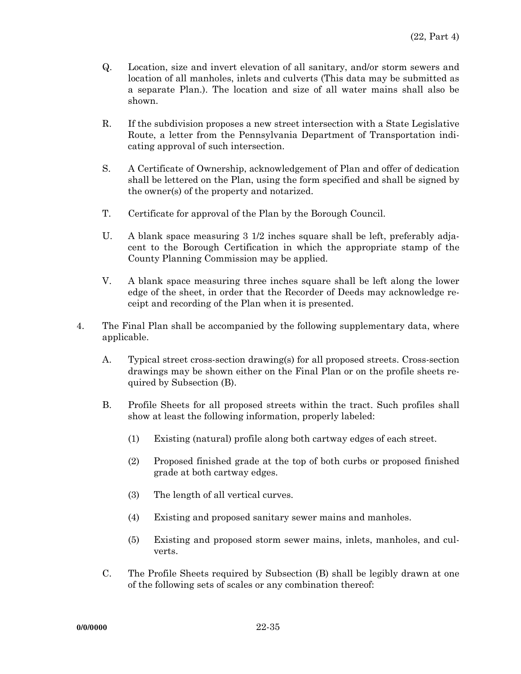- Q. Location, size and invert elevation of all sanitary, and/or storm sewers and location of all manholes, inlets and culverts (This data may be submitted as a separate Plan.). The location and size of all water mains shall also be shown.
- R. If the subdivision proposes a new street intersection with a State Legislative Route, a letter from the Pennsylvania Department of Transportation indicating approval of such intersection.
- S. A Certificate of Ownership, acknowledgement of Plan and offer of dedication shall be lettered on the Plan, using the form specified and shall be signed by the owner(s) of the property and notarized.
- T. Certificate for approval of the Plan by the Borough Council.
- U. A blank space measuring 3 1/2 inches square shall be left, preferably adjacent to the Borough Certification in which the appropriate stamp of the County Planning Commission may be applied.
- V. A blank space measuring three inches square shall be left along the lower edge of the sheet, in order that the Recorder of Deeds may acknowledge receipt and recording of the Plan when it is presented.
- 4. The Final Plan shall be accompanied by the following supplementary data, where applicable.
	- A. Typical street cross-section drawing(s) for all proposed streets. Cross-section drawings may be shown either on the Final Plan or on the profile sheets required by Subsection (B).
	- B. Profile Sheets for all proposed streets within the tract. Such profiles shall show at least the following information, properly labeled:
		- (1) Existing (natural) profile along both cartway edges of each street.
		- (2) Proposed finished grade at the top of both curbs or proposed finished grade at both cartway edges.
		- (3) The length of all vertical curves.
		- (4) Existing and proposed sanitary sewer mains and manholes.
		- (5) Existing and proposed storm sewer mains, inlets, manholes, and culverts.
	- C. The Profile Sheets required by Subsection (B) shall be legibly drawn at one of the following sets of scales or any combination thereof: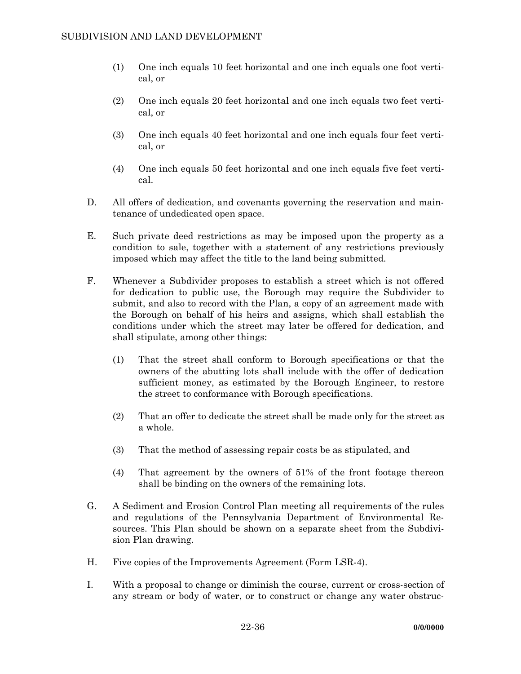- (1) One inch equals 10 feet horizontal and one inch equals one foot vertical, or
- (2) One inch equals 20 feet horizontal and one inch equals two feet vertical, or
- (3) One inch equals 40 feet horizontal and one inch equals four feet vertical, or
- (4) One inch equals 50 feet horizontal and one inch equals five feet vertical.
- D. All offers of dedication, and covenants governing the reservation and maintenance of undedicated open space.
- E. Such private deed restrictions as may be imposed upon the property as a condition to sale, together with a statement of any restrictions previously imposed which may affect the title to the land being submitted.
- F. Whenever a Subdivider proposes to establish a street which is not offered for dedication to public use, the Borough may require the Subdivider to submit, and also to record with the Plan, a copy of an agreement made with the Borough on behalf of his heirs and assigns, which shall establish the conditions under which the street may later be offered for dedication, and shall stipulate, among other things:
	- (1) That the street shall conform to Borough specifications or that the owners of the abutting lots shall include with the offer of dedication sufficient money, as estimated by the Borough Engineer, to restore the street to conformance with Borough specifications.
	- (2) That an offer to dedicate the street shall be made only for the street as a whole.
	- (3) That the method of assessing repair costs be as stipulated, and
	- (4) That agreement by the owners of 51% of the front footage thereon shall be binding on the owners of the remaining lots.
- G. A Sediment and Erosion Control Plan meeting all requirements of the rules and regulations of the Pennsylvania Department of Environmental Resources. This Plan should be shown on a separate sheet from the Subdivision Plan drawing.
- H. Five copies of the Improvements Agreement (Form LSR-4).
- I. With a proposal to change or diminish the course, current or cross-section of any stream or body of water, or to construct or change any water obstruc-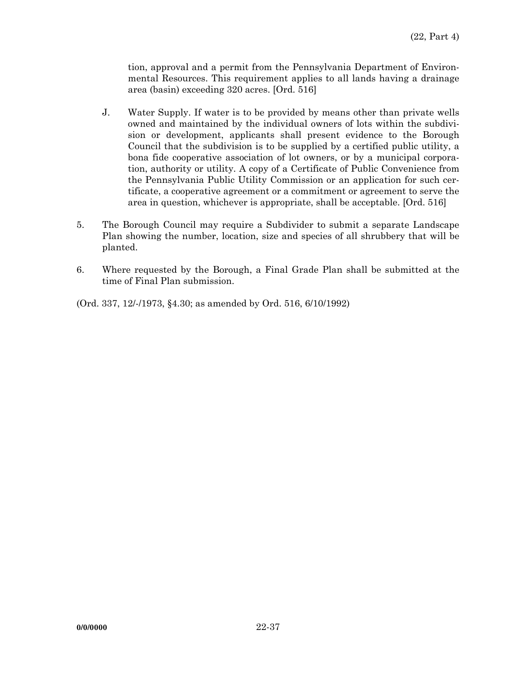tion, approval and a permit from the Pennsylvania Department of Environmental Resources. This requirement applies to all lands having a drainage area (basin) exceeding 320 acres. [Ord. 516]

- J. Water Supply. If water is to be provided by means other than private wells owned and maintained by the individual owners of lots within the subdivision or development, applicants shall present evidence to the Borough Council that the subdivision is to be supplied by a certified public utility, a bona fide cooperative association of lot owners, or by a municipal corporation, authority or utility. A copy of a Certificate of Public Convenience from the Pennsylvania Public Utility Commission or an application for such certificate, a cooperative agreement or a commitment or agreement to serve the area in question, whichever is appropriate, shall be acceptable. [Ord. 516]
- 5. The Borough Council may require a Subdivider to submit a separate Landscape Plan showing the number, location, size and species of all shrubbery that will be planted.
- 6. Where requested by the Borough, a Final Grade Plan shall be submitted at the time of Final Plan submission.

(Ord. 337, 12/-/1973, §4.30; as amended by Ord. 516, 6/10/1992)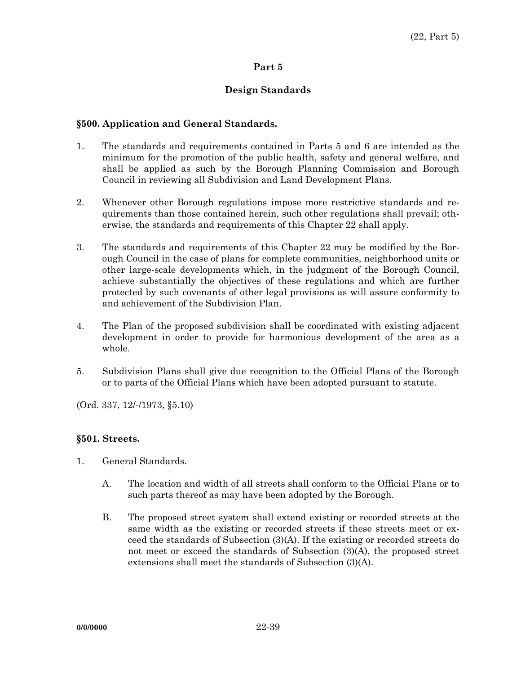## **Part 5**

# **Design Standards**

### **§500. Application and General Standards.**

- 1. The standards and requirements contained in Parts 5 and 6 are intended as the minimum for the promotion of the public health, safety and general welfare, and shall be applied as such by the Borough Planning Commission and Borough Council in reviewing all Subdivision and Land Development Plans.
- 2. Whenever other Borough regulations impose more restrictive standards and requirements than those contained herein, such other regulations shall prevail; otherwise, the standards and requirements of this Chapter 22 shall apply.
- 3. The standards and requirements of this Chapter 22 may be modified by the Borough Council in the case of plans for complete communities, neighborhood units or other large-scale developments which, in the judgment of the Borough Council, achieve substantially the objectives of these regulations and which are further protected by such covenants of other legal provisions as will assure conformity to and achievement of the Subdivision Plan.
- 4. The Plan of the proposed subdivision shall be coordinated with existing adjacent development in order to provide for harmonious development of the area as a whole.
- 5. Subdivision Plans shall give due recognition to the Official Plans of the Borough or to parts of the Official Plans which have been adopted pursuant to statute.

(Ord. 337, 12/-/1973, §5.10)

### **§501. Streets.**

- 1. General Standards.
	- A. The location and width of all streets shall conform to the Official Plans or to such parts thereof as may have been adopted by the Borough.
	- B. The proposed street system shall extend existing or recorded streets at the same width as the existing or recorded streets if these streets meet or exceed the standards of Subsection (3)(A). If the existing or recorded streets do not meet or exceed the standards of Subsection (3)(A), the proposed street extensions shall meet the standards of Subsection (3)(A).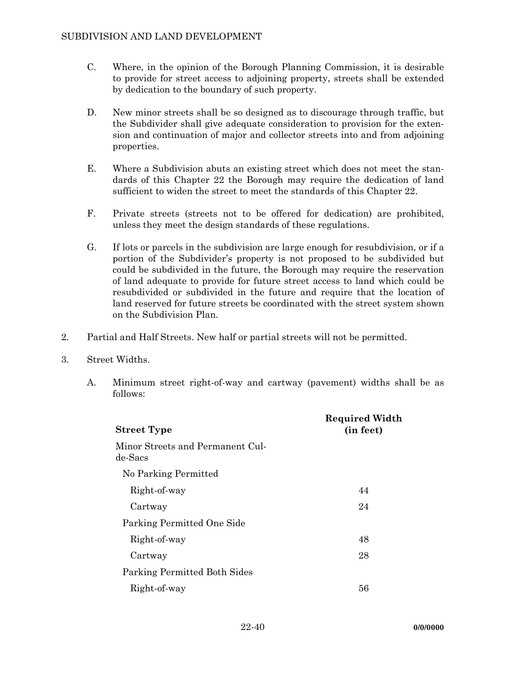- C. Where, in the opinion of the Borough Planning Commission, it is desirable to provide for street access to adjoining property, streets shall be extended by dedication to the boundary of such property.
- D. New minor streets shall be so designed as to discourage through traffic, but the Subdivider shall give adequate consideration to provision for the extension and continuation of major and collector streets into and from adjoining properties.
- E. Where a Subdivision abuts an existing street which does not meet the standards of this Chapter 22 the Borough may require the dedication of land sufficient to widen the street to meet the standards of this Chapter 22.
- F. Private streets (streets not to be offered for dedication) are prohibited, unless they meet the design standards of these regulations.
- G. If lots or parcels in the subdivision are large enough for resubdivision, or if a portion of the Subdivider's property is not proposed to be subdivided but could be subdivided in the future, the Borough may require the reservation of land adequate to provide for future street access to land which could be resubdivided or subdivided in the future and require that the location of land reserved for future streets be coordinated with the street system shown on the Subdivision Plan.
- 2. Partial and Half Streets. New half or partial streets will not be permitted.
- 3. Street Widths.
	- A. Minimum street right-of-way and cartway (pavement) widths shall be as follows:

| <b>Required Width</b><br>(in feet) |
|------------------------------------|
|                                    |
|                                    |
| 44                                 |
| 24                                 |
|                                    |
| 48                                 |
| 28                                 |
|                                    |
| 56                                 |
|                                    |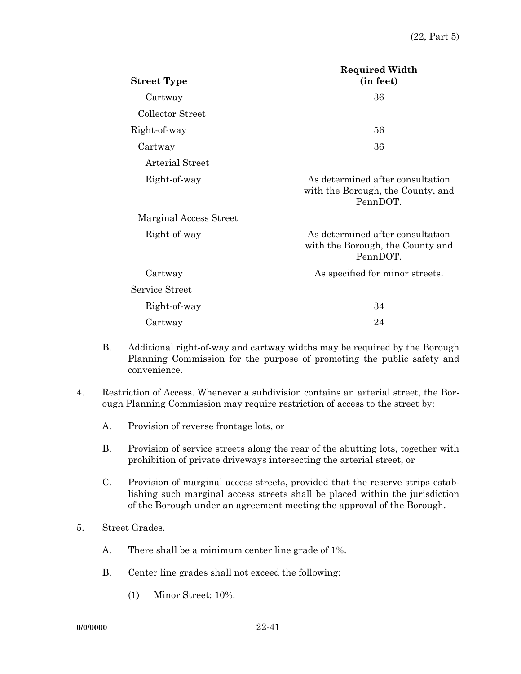| <b>Street Type</b>     | <b>Required Width</b><br>(in feet)                                                 |
|------------------------|------------------------------------------------------------------------------------|
| Cartway                | 36                                                                                 |
| Collector Street       |                                                                                    |
| Right-of-way           | 56                                                                                 |
| Cartway                | 36                                                                                 |
| Arterial Street        |                                                                                    |
| Right-of-way           | As determined after consultation<br>with the Borough, the County, and<br>PennDOT.  |
| Marginal Access Street |                                                                                    |
| Right-of-way           | As determined after consultation<br>with the Borough, the County and<br>$Penn$ DOT |
| Cartway                | As specified for minor streets.                                                    |
| Service Street         |                                                                                    |
| Right-of-way           | 34                                                                                 |
| Cartway                | 24                                                                                 |

- B. Additional right-of-way and cartway widths may be required by the Borough Planning Commission for the purpose of promoting the public safety and convenience.
- 4. Restriction of Access. Whenever a subdivision contains an arterial street, the Borough Planning Commission may require restriction of access to the street by:
	- A. Provision of reverse frontage lots, or
	- B. Provision of service streets along the rear of the abutting lots, together with prohibition of private driveways intersecting the arterial street, or
	- C. Provision of marginal access streets, provided that the reserve strips establishing such marginal access streets shall be placed within the jurisdiction of the Borough under an agreement meeting the approval of the Borough.
- 5. Street Grades.
	- A. There shall be a minimum center line grade of 1%.
	- B. Center line grades shall not exceed the following:
		- (1) Minor Street: 10%.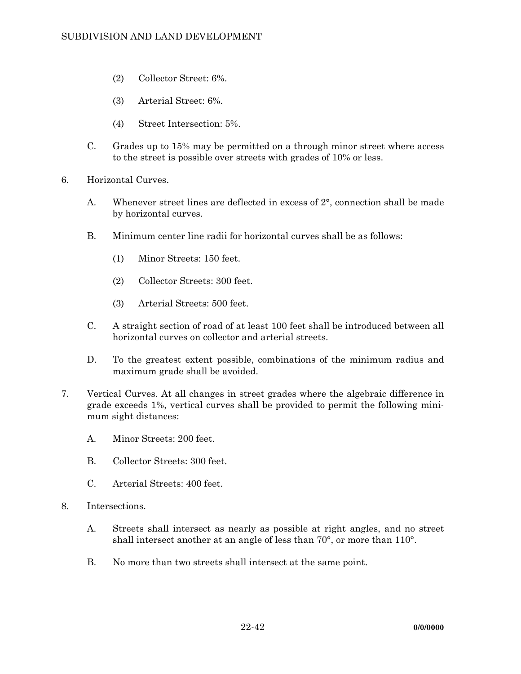- (2) Collector Street: 6%.
- (3) Arterial Street: 6%.
- (4) Street Intersection: 5%.
- C. Grades up to 15% may be permitted on a through minor street where access to the street is possible over streets with grades of 10% or less.
- 6. Horizontal Curves.
	- A. Whenever street lines are deflected in excess of 2°, connection shall be made by horizontal curves.
	- B. Minimum center line radii for horizontal curves shall be as follows:
		- (1) Minor Streets: 150 feet.
		- (2) Collector Streets: 300 feet.
		- (3) Arterial Streets: 500 feet.
	- C. A straight section of road of at least 100 feet shall be introduced between all horizontal curves on collector and arterial streets.
	- D. To the greatest extent possible, combinations of the minimum radius and maximum grade shall be avoided.
- 7. Vertical Curves. At all changes in street grades where the algebraic difference in grade exceeds 1%, vertical curves shall be provided to permit the following minimum sight distances:
	- A. Minor Streets: 200 feet.
	- B. Collector Streets: 300 feet.
	- C. Arterial Streets: 400 feet.
- 8. Intersections.
	- A. Streets shall intersect as nearly as possible at right angles, and no street shall intersect another at an angle of less than 70°, or more than 110°.
	- B. No more than two streets shall intersect at the same point.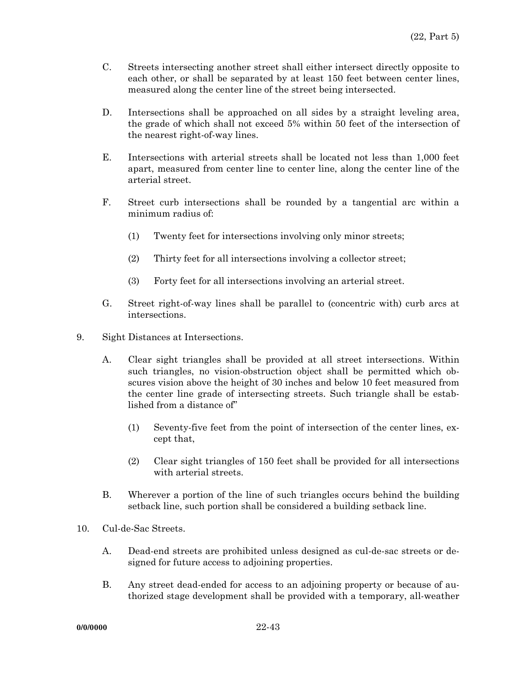- C. Streets intersecting another street shall either intersect directly opposite to each other, or shall be separated by at least 150 feet between center lines, measured along the center line of the street being intersected.
- D. Intersections shall be approached on all sides by a straight leveling area, the grade of which shall not exceed 5% within 50 feet of the intersection of the nearest right-of-way lines.
- E. Intersections with arterial streets shall be located not less than 1,000 feet apart, measured from center line to center line, along the center line of the arterial street.
- F. Street curb intersections shall be rounded by a tangential arc within a minimum radius of:
	- (1) Twenty feet for intersections involving only minor streets;
	- (2) Thirty feet for all intersections involving a collector street;
	- (3) Forty feet for all intersections involving an arterial street.
- G. Street right-of-way lines shall be parallel to (concentric with) curb arcs at intersections.
- 9. Sight Distances at Intersections.
	- A. Clear sight triangles shall be provided at all street intersections. Within such triangles, no vision-obstruction object shall be permitted which obscures vision above the height of 30 inches and below 10 feet measured from the center line grade of intersecting streets. Such triangle shall be established from a distance of"
		- (1) Seventy-five feet from the point of intersection of the center lines, except that,
		- (2) Clear sight triangles of 150 feet shall be provided for all intersections with arterial streets.
	- B. Wherever a portion of the line of such triangles occurs behind the building setback line, such portion shall be considered a building setback line.
- 10. Cul-de-Sac Streets.
	- A. Dead-end streets are prohibited unless designed as cul-de-sac streets or designed for future access to adjoining properties.
	- B. Any street dead-ended for access to an adjoining property or because of authorized stage development shall be provided with a temporary, all-weather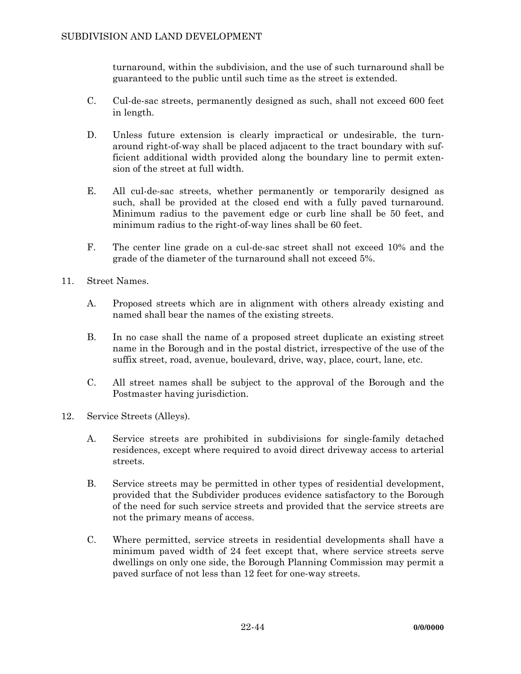turnaround, within the subdivision, and the use of such turnaround shall be guaranteed to the public until such time as the street is extended.

- C. Cul-de-sac streets, permanently designed as such, shall not exceed 600 feet in length.
- D. Unless future extension is clearly impractical or undesirable, the turnaround right-of-way shall be placed adjacent to the tract boundary with sufficient additional width provided along the boundary line to permit extension of the street at full width.
- E. All cul-de-sac streets, whether permanently or temporarily designed as such, shall be provided at the closed end with a fully paved turnaround. Minimum radius to the pavement edge or curb line shall be 50 feet, and minimum radius to the right-of-way lines shall be 60 feet.
- F. The center line grade on a cul-de-sac street shall not exceed 10% and the grade of the diameter of the turnaround shall not exceed 5%.
- 11. Street Names.
	- A. Proposed streets which are in alignment with others already existing and named shall bear the names of the existing streets.
	- B. In no case shall the name of a proposed street duplicate an existing street name in the Borough and in the postal district, irrespective of the use of the suffix street, road, avenue, boulevard, drive, way, place, court, lane, etc.
	- C. All street names shall be subject to the approval of the Borough and the Postmaster having jurisdiction.
- 12. Service Streets (Alleys).
	- A. Service streets are prohibited in subdivisions for single-family detached residences, except where required to avoid direct driveway access to arterial streets.
	- B. Service streets may be permitted in other types of residential development, provided that the Subdivider produces evidence satisfactory to the Borough of the need for such service streets and provided that the service streets are not the primary means of access.
	- C. Where permitted, service streets in residential developments shall have a minimum paved width of 24 feet except that, where service streets serve dwellings on only one side, the Borough Planning Commission may permit a paved surface of not less than 12 feet for one-way streets.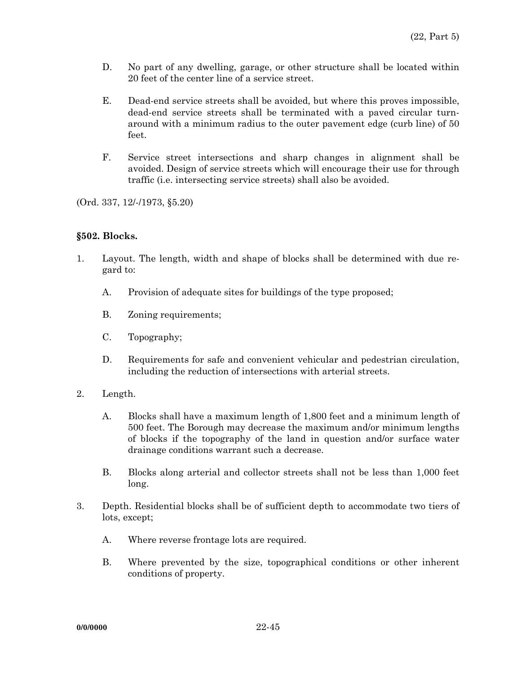- D. No part of any dwelling, garage, or other structure shall be located within 20 feet of the center line of a service street.
- E. Dead-end service streets shall be avoided, but where this proves impossible, dead-end service streets shall be terminated with a paved circular turnaround with a minimum radius to the outer pavement edge (curb line) of 50 feet.
- F. Service street intersections and sharp changes in alignment shall be avoided. Design of service streets which will encourage their use for through traffic (i.e. intersecting service streets) shall also be avoided.

(Ord. 337, 12/-/1973, §5.20)

#### **§502. Blocks.**

- 1. Layout. The length, width and shape of blocks shall be determined with due regard to:
	- A. Provision of adequate sites for buildings of the type proposed;
	- B. Zoning requirements;
	- C. Topography;
	- D. Requirements for safe and convenient vehicular and pedestrian circulation, including the reduction of intersections with arterial streets.
- 2. Length.
	- A. Blocks shall have a maximum length of 1,800 feet and a minimum length of 500 feet. The Borough may decrease the maximum and/or minimum lengths of blocks if the topography of the land in question and/or surface water drainage conditions warrant such a decrease.
	- B. Blocks along arterial and collector streets shall not be less than 1,000 feet long.
- 3. Depth. Residential blocks shall be of sufficient depth to accommodate two tiers of lots, except;
	- A. Where reverse frontage lots are required.
	- B. Where prevented by the size, topographical conditions or other inherent conditions of property.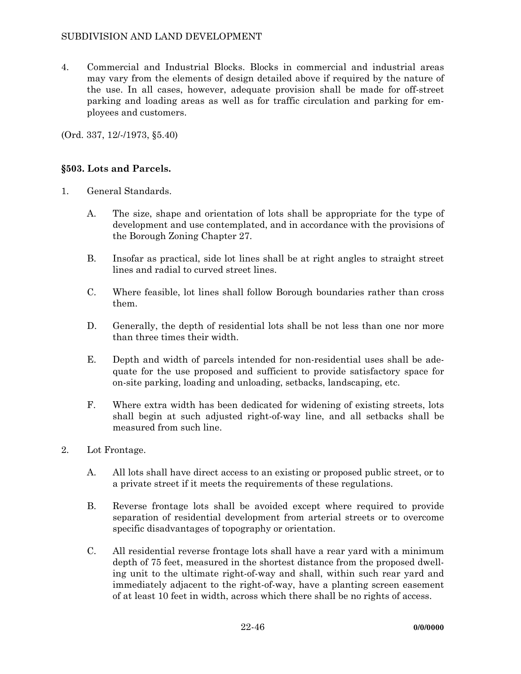4. Commercial and Industrial Blocks. Blocks in commercial and industrial areas may vary from the elements of design detailed above if required by the nature of the use. In all cases, however, adequate provision shall be made for off-street parking and loading areas as well as for traffic circulation and parking for employees and customers.

(Ord. 337, 12/-/1973, §5.40)

# **§503. Lots and Parcels.**

- 1. General Standards.
	- A. The size, shape and orientation of lots shall be appropriate for the type of development and use contemplated, and in accordance with the provisions of the Borough Zoning Chapter 27.
	- B. Insofar as practical, side lot lines shall be at right angles to straight street lines and radial to curved street lines.
	- C. Where feasible, lot lines shall follow Borough boundaries rather than cross them.
	- D. Generally, the depth of residential lots shall be not less than one nor more than three times their width.
	- E. Depth and width of parcels intended for non-residential uses shall be adequate for the use proposed and sufficient to provide satisfactory space for on-site parking, loading and unloading, setbacks, landscaping, etc.
	- F. Where extra width has been dedicated for widening of existing streets, lots shall begin at such adjusted right-of-way line, and all setbacks shall be measured from such line.
- 2. Lot Frontage.
	- A. All lots shall have direct access to an existing or proposed public street, or to a private street if it meets the requirements of these regulations.
	- B. Reverse frontage lots shall be avoided except where required to provide separation of residential development from arterial streets or to overcome specific disadvantages of topography or orientation.
	- C. All residential reverse frontage lots shall have a rear yard with a minimum depth of 75 feet, measured in the shortest distance from the proposed dwelling unit to the ultimate right-of-way and shall, within such rear yard and immediately adjacent to the right-of-way, have a planting screen easement of at least 10 feet in width, across which there shall be no rights of access.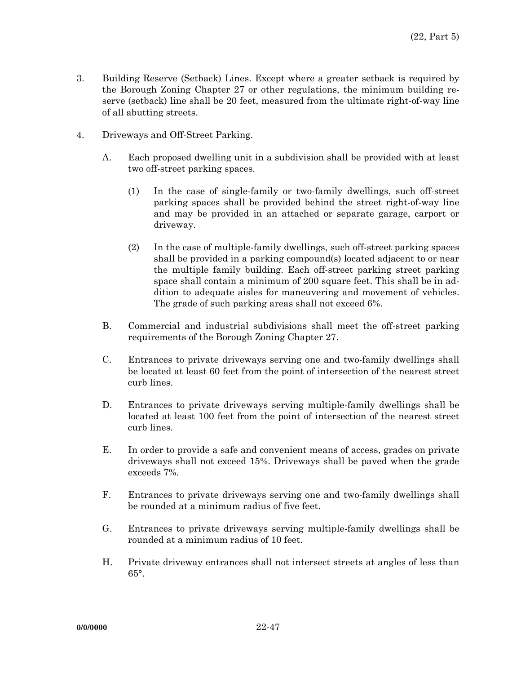- 3. Building Reserve (Setback) Lines. Except where a greater setback is required by the Borough Zoning Chapter 27 or other regulations, the minimum building reserve (setback) line shall be 20 feet, measured from the ultimate right-of-way line of all abutting streets.
- 4. Driveways and Off-Street Parking.
	- A. Each proposed dwelling unit in a subdivision shall be provided with at least two off-street parking spaces.
		- (1) In the case of single-family or two-family dwellings, such off-street parking spaces shall be provided behind the street right-of-way line and may be provided in an attached or separate garage, carport or driveway.
		- (2) In the case of multiple-family dwellings, such off-street parking spaces shall be provided in a parking compound(s) located adjacent to or near the multiple family building. Each off-street parking street parking space shall contain a minimum of 200 square feet. This shall be in addition to adequate aisles for maneuvering and movement of vehicles. The grade of such parking areas shall not exceed 6%.
	- B. Commercial and industrial subdivisions shall meet the off-street parking requirements of the Borough Zoning Chapter 27.
	- C. Entrances to private driveways serving one and two-family dwellings shall be located at least 60 feet from the point of intersection of the nearest street curb lines.
	- D. Entrances to private driveways serving multiple-family dwellings shall be located at least 100 feet from the point of intersection of the nearest street curb lines.
	- E. In order to provide a safe and convenient means of access, grades on private driveways shall not exceed 15%. Driveways shall be paved when the grade exceeds 7%.
	- F. Entrances to private driveways serving one and two-family dwellings shall be rounded at a minimum radius of five feet.
	- G. Entrances to private driveways serving multiple-family dwellings shall be rounded at a minimum radius of 10 feet.
	- H. Private driveway entrances shall not intersect streets at angles of less than 65°.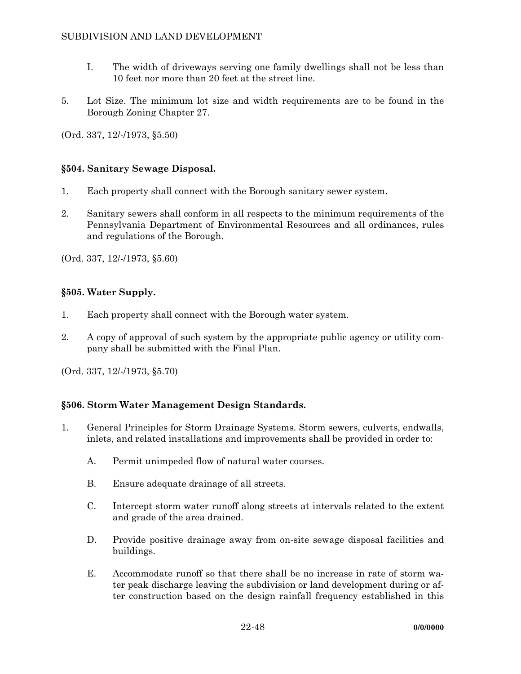- I. The width of driveways serving one family dwellings shall not be less than 10 feet nor more than 20 feet at the street line.
- 5. Lot Size. The minimum lot size and width requirements are to be found in the Borough Zoning Chapter 27.

(Ord. 337, 12/-/1973, §5.50)

# **§504. Sanitary Sewage Disposal.**

- 1. Each property shall connect with the Borough sanitary sewer system.
- 2. Sanitary sewers shall conform in all respects to the minimum requirements of the Pennsylvania Department of Environmental Resources and all ordinances, rules and regulations of the Borough.

(Ord. 337, 12/-/1973, §5.60)

## **§505. Water Supply.**

- 1. Each property shall connect with the Borough water system.
- 2. A copy of approval of such system by the appropriate public agency or utility company shall be submitted with the Final Plan.

(Ord. 337, 12/-/1973, §5.70)

# **§506. Storm Water Management Design Standards.**

- 1. General Principles for Storm Drainage Systems. Storm sewers, culverts, endwalls, inlets, and related installations and improvements shall be provided in order to:
	- A. Permit unimpeded flow of natural water courses.
	- B. Ensure adequate drainage of all streets.
	- C. Intercept storm water runoff along streets at intervals related to the extent and grade of the area drained.
	- D. Provide positive drainage away from on-site sewage disposal facilities and buildings.
	- E. Accommodate runoff so that there shall be no increase in rate of storm water peak discharge leaving the subdivision or land development during or after construction based on the design rainfall frequency established in this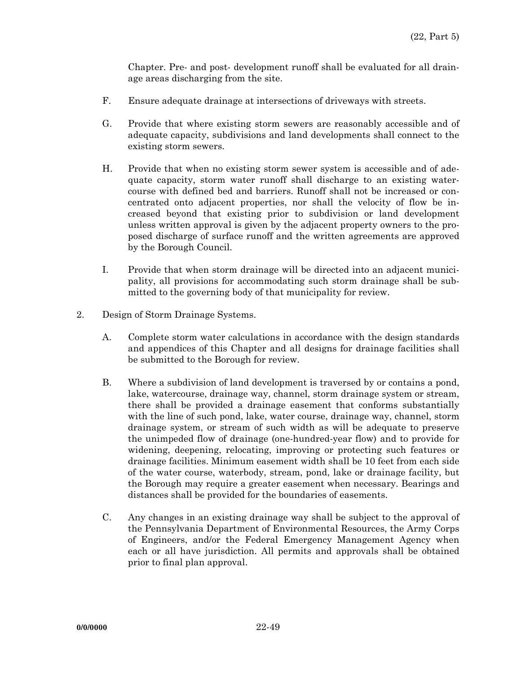Chapter. Pre- and post- development runoff shall be evaluated for all drainage areas discharging from the site.

- F. Ensure adequate drainage at intersections of driveways with streets.
- G. Provide that where existing storm sewers are reasonably accessible and of adequate capacity, subdivisions and land developments shall connect to the existing storm sewers.
- H. Provide that when no existing storm sewer system is accessible and of adequate capacity, storm water runoff shall discharge to an existing watercourse with defined bed and barriers. Runoff shall not be increased or concentrated onto adjacent properties, nor shall the velocity of flow be increased beyond that existing prior to subdivision or land development unless written approval is given by the adjacent property owners to the proposed discharge of surface runoff and the written agreements are approved by the Borough Council.
- I. Provide that when storm drainage will be directed into an adjacent municipality, all provisions for accommodating such storm drainage shall be submitted to the governing body of that municipality for review.
- 2. Design of Storm Drainage Systems.
	- A. Complete storm water calculations in accordance with the design standards and appendices of this Chapter and all designs for drainage facilities shall be submitted to the Borough for review.
	- B. Where a subdivision of land development is traversed by or contains a pond, lake, watercourse, drainage way, channel, storm drainage system or stream, there shall be provided a drainage easement that conforms substantially with the line of such pond, lake, water course, drainage way, channel, storm drainage system, or stream of such width as will be adequate to preserve the unimpeded flow of drainage (one-hundred-year flow) and to provide for widening, deepening, relocating, improving or protecting such features or drainage facilities. Minimum easement width shall be 10 feet from each side of the water course, waterbody, stream, pond, lake or drainage facility, but the Borough may require a greater easement when necessary. Bearings and distances shall be provided for the boundaries of easements.
	- C. Any changes in an existing drainage way shall be subject to the approval of the Pennsylvania Department of Environmental Resources, the Army Corps of Engineers, and/or the Federal Emergency Management Agency when each or all have jurisdiction. All permits and approvals shall be obtained prior to final plan approval.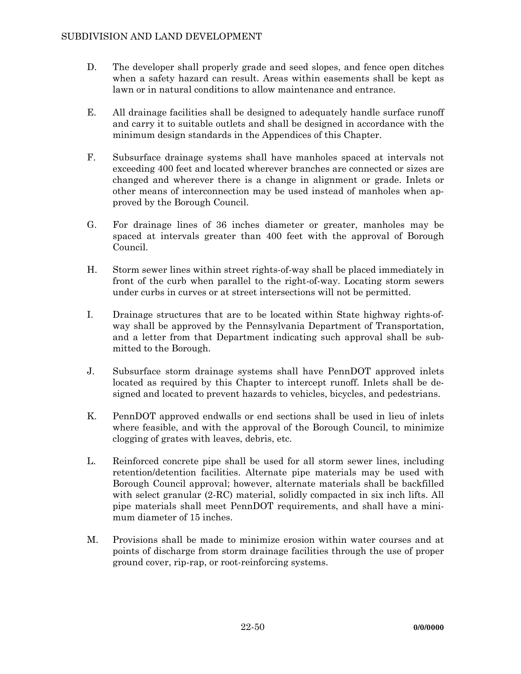- D. The developer shall properly grade and seed slopes, and fence open ditches when a safety hazard can result. Areas within easements shall be kept as lawn or in natural conditions to allow maintenance and entrance.
- E. All drainage facilities shall be designed to adequately handle surface runoff and carry it to suitable outlets and shall be designed in accordance with the minimum design standards in the Appendices of this Chapter.
- F. Subsurface drainage systems shall have manholes spaced at intervals not exceeding 400 feet and located wherever branches are connected or sizes are changed and wherever there is a change in alignment or grade. Inlets or other means of interconnection may be used instead of manholes when approved by the Borough Council.
- G. For drainage lines of 36 inches diameter or greater, manholes may be spaced at intervals greater than 400 feet with the approval of Borough Council.
- H. Storm sewer lines within street rights-of-way shall be placed immediately in front of the curb when parallel to the right-of-way. Locating storm sewers under curbs in curves or at street intersections will not be permitted.
- I. Drainage structures that are to be located within State highway rights-ofway shall be approved by the Pennsylvania Department of Transportation, and a letter from that Department indicating such approval shall be submitted to the Borough.
- J. Subsurface storm drainage systems shall have PennDOT approved inlets located as required by this Chapter to intercept runoff. Inlets shall be designed and located to prevent hazards to vehicles, bicycles, and pedestrians.
- K. PennDOT approved endwalls or end sections shall be used in lieu of inlets where feasible, and with the approval of the Borough Council, to minimize clogging of grates with leaves, debris, etc.
- L. Reinforced concrete pipe shall be used for all storm sewer lines, including retention/detention facilities. Alternate pipe materials may be used with Borough Council approval; however, alternate materials shall be backfilled with select granular (2-RC) material, solidly compacted in six inch lifts. All pipe materials shall meet PennDOT requirements, and shall have a minimum diameter of 15 inches.
- M. Provisions shall be made to minimize erosion within water courses and at points of discharge from storm drainage facilities through the use of proper ground cover, rip-rap, or root-reinforcing systems.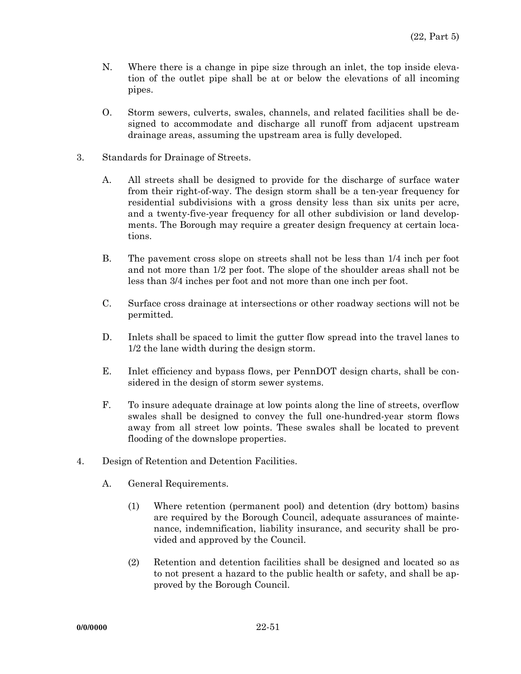- N. Where there is a change in pipe size through an inlet, the top inside elevation of the outlet pipe shall be at or below the elevations of all incoming pipes.
- O. Storm sewers, culverts, swales, channels, and related facilities shall be designed to accommodate and discharge all runoff from adjacent upstream drainage areas, assuming the upstream area is fully developed.
- 3. Standards for Drainage of Streets.
	- A. All streets shall be designed to provide for the discharge of surface water from their right-of-way. The design storm shall be a ten-year frequency for residential subdivisions with a gross density less than six units per acre, and a twenty-five-year frequency for all other subdivision or land developments. The Borough may require a greater design frequency at certain locations.
	- B. The pavement cross slope on streets shall not be less than 1/4 inch per foot and not more than 1/2 per foot. The slope of the shoulder areas shall not be less than 3/4 inches per foot and not more than one inch per foot.
	- C. Surface cross drainage at intersections or other roadway sections will not be permitted.
	- D. Inlets shall be spaced to limit the gutter flow spread into the travel lanes to 1/2 the lane width during the design storm.
	- E. Inlet efficiency and bypass flows, per PennDOT design charts, shall be considered in the design of storm sewer systems.
	- F. To insure adequate drainage at low points along the line of streets, overflow swales shall be designed to convey the full one-hundred-year storm flows away from all street low points. These swales shall be located to prevent flooding of the downslope properties.
- 4. Design of Retention and Detention Facilities.
	- A. General Requirements.
		- (1) Where retention (permanent pool) and detention (dry bottom) basins are required by the Borough Council, adequate assurances of maintenance, indemnification, liability insurance, and security shall be provided and approved by the Council.
		- (2) Retention and detention facilities shall be designed and located so as to not present a hazard to the public health or safety, and shall be approved by the Borough Council.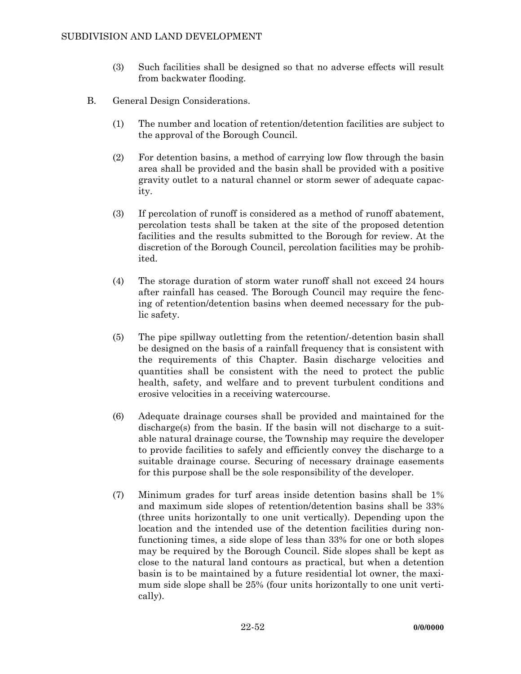- (3) Such facilities shall be designed so that no adverse effects will result from backwater flooding.
- B. General Design Considerations.
	- (1) The number and location of retention/detention facilities are subject to the approval of the Borough Council.
	- (2) For detention basins, a method of carrying low flow through the basin area shall be provided and the basin shall be provided with a positive gravity outlet to a natural channel or storm sewer of adequate capacity.
	- (3) If percolation of runoff is considered as a method of runoff abatement, percolation tests shall be taken at the site of the proposed detention facilities and the results submitted to the Borough for review. At the discretion of the Borough Council, percolation facilities may be prohibited.
	- (4) The storage duration of storm water runoff shall not exceed 24 hours after rainfall has ceased. The Borough Council may require the fencing of retention/detention basins when deemed necessary for the public safety.
	- (5) The pipe spillway outletting from the retention/-detention basin shall be designed on the basis of a rainfall frequency that is consistent with the requirements of this Chapter. Basin discharge velocities and quantities shall be consistent with the need to protect the public health, safety, and welfare and to prevent turbulent conditions and erosive velocities in a receiving watercourse.
	- (6) Adequate drainage courses shall be provided and maintained for the discharge(s) from the basin. If the basin will not discharge to a suitable natural drainage course, the Township may require the developer to provide facilities to safely and efficiently convey the discharge to a suitable drainage course. Securing of necessary drainage easements for this purpose shall be the sole responsibility of the developer.
	- (7) Minimum grades for turf areas inside detention basins shall be 1% and maximum side slopes of retention/detention basins shall be 33% (three units horizontally to one unit vertically). Depending upon the location and the intended use of the detention facilities during nonfunctioning times, a side slope of less than 33% for one or both slopes may be required by the Borough Council. Side slopes shall be kept as close to the natural land contours as practical, but when a detention basin is to be maintained by a future residential lot owner, the maximum side slope shall be 25% (four units horizontally to one unit vertically).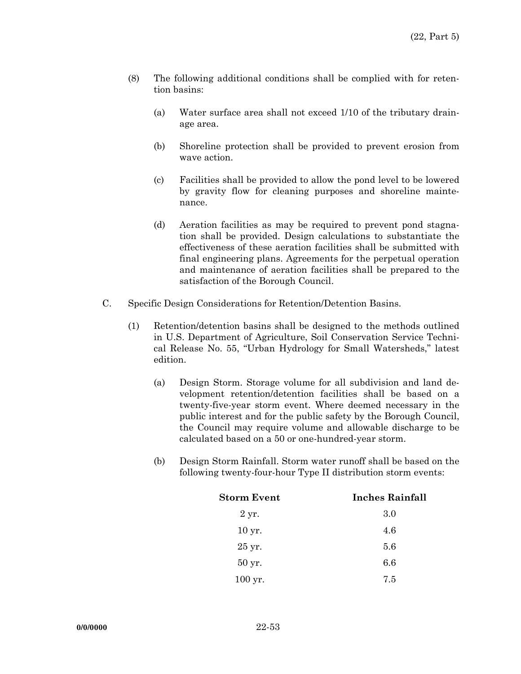- (8) The following additional conditions shall be complied with for retention basins:
	- (a) Water surface area shall not exceed 1/10 of the tributary drainage area.
	- (b) Shoreline protection shall be provided to prevent erosion from wave action.
	- (c) Facilities shall be provided to allow the pond level to be lowered by gravity flow for cleaning purposes and shoreline maintenance.
	- (d) Aeration facilities as may be required to prevent pond stagnation shall be provided. Design calculations to substantiate the effectiveness of these aeration facilities shall be submitted with final engineering plans. Agreements for the perpetual operation and maintenance of aeration facilities shall be prepared to the satisfaction of the Borough Council.
- C. Specific Design Considerations for Retention/Detention Basins.
	- (1) Retention/detention basins shall be designed to the methods outlined in U.S. Department of Agriculture, Soil Conservation Service Technical Release No. 55, "Urban Hydrology for Small Watersheds," latest edition.
		- (a) Design Storm. Storage volume for all subdivision and land development retention/detention facilities shall be based on a twenty-five-year storm event. Where deemed necessary in the public interest and for the public safety by the Borough Council, the Council may require volume and allowable discharge to be calculated based on a 50 or one-hundred-year storm.
		- (b) Design Storm Rainfall. Storm water runoff shall be based on the following twenty-four-hour Type II distribution storm events:

| <b>Storm Event</b>    | Inches Rainfall |
|-----------------------|-----------------|
| 2 yr.                 | 3.0             |
| $10 \,\mathrm{yr}$ .  | 4.6             |
| 25 yr.                | 5.6             |
| 50 yr.                | 6.6             |
| $100 \,\mathrm{yr}$ . | 7.5             |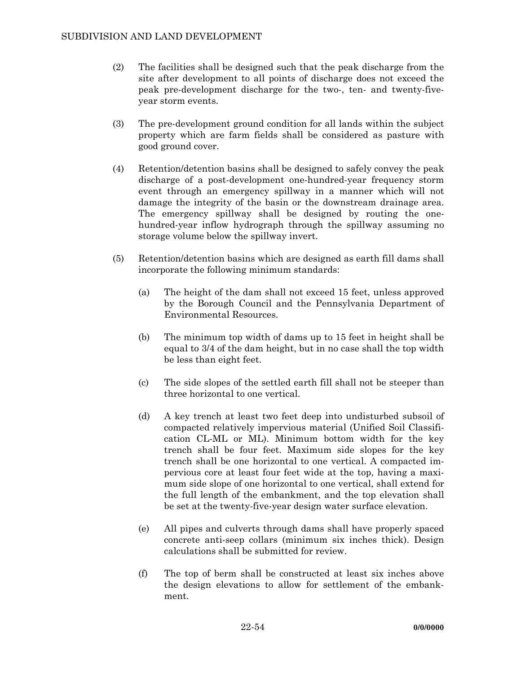- (2) The facilities shall be designed such that the peak discharge from the site after development to all points of discharge does not exceed the peak pre-development discharge for the two-, ten- and twenty-fiveyear storm events.
- (3) The pre-development ground condition for all lands within the subject property which are farm fields shall be considered as pasture with good ground cover.
- (4) Retention/detention basins shall be designed to safely convey the peak discharge of a post-development one-hundred-year frequency storm event through an emergency spillway in a manner which will not damage the integrity of the basin or the downstream drainage area. The emergency spillway shall be designed by routing the onehundred-year inflow hydrograph through the spillway assuming no storage volume below the spillway invert.
- (5) Retention/detention basins which are designed as earth fill dams shall incorporate the following minimum standards:
	- (a) The height of the dam shall not exceed 15 feet, unless approved by the Borough Council and the Pennsylvania Department of Environmental Resources.
	- (b) The minimum top width of dams up to 15 feet in height shall be equal to 3/4 of the dam height, but in no case shall the top width be less than eight feet.
	- (c) The side slopes of the settled earth fill shall not be steeper than three horizontal to one vertical.
	- (d) A key trench at least two feet deep into undisturbed subsoil of compacted relatively impervious material (Unified Soil Classification CL-ML or ML). Minimum bottom width for the key trench shall be four feet. Maximum side slopes for the key trench shall be one horizontal to one vertical. A compacted impervious core at least four feet wide at the top, having a maximum side slope of one horizontal to one vertical, shall extend for the full length of the embankment, and the top elevation shall be set at the twenty-five-year design water surface elevation.
	- (e) All pipes and culverts through dams shall have properly spaced concrete anti-seep collars (minimum six inches thick). Design calculations shall be submitted for review.
	- (f) The top of berm shall be constructed at least six inches above the design elevations to allow for settlement of the embankment.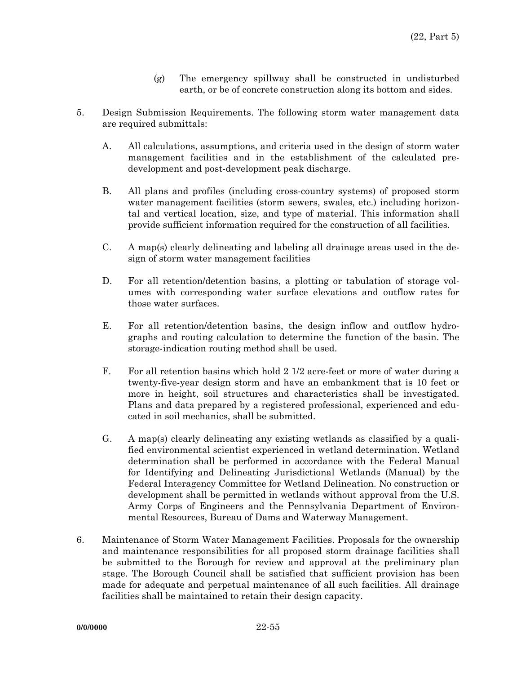- (g) The emergency spillway shall be constructed in undisturbed earth, or be of concrete construction along its bottom and sides.
- 5. Design Submission Requirements. The following storm water management data are required submittals:
	- A. All calculations, assumptions, and criteria used in the design of storm water management facilities and in the establishment of the calculated predevelopment and post-development peak discharge.
	- B. All plans and profiles (including cross-country systems) of proposed storm water management facilities (storm sewers, swales, etc.) including horizontal and vertical location, size, and type of material. This information shall provide sufficient information required for the construction of all facilities.
	- C. A map(s) clearly delineating and labeling all drainage areas used in the design of storm water management facilities
	- D. For all retention/detention basins, a plotting or tabulation of storage volumes with corresponding water surface elevations and outflow rates for those water surfaces.
	- E. For all retention/detention basins, the design inflow and outflow hydrographs and routing calculation to determine the function of the basin. The storage-indication routing method shall be used.
	- F. For all retention basins which hold 2 1/2 acre-feet or more of water during a twenty-five-year design storm and have an embankment that is 10 feet or more in height, soil structures and characteristics shall be investigated. Plans and data prepared by a registered professional, experienced and educated in soil mechanics, shall be submitted.
	- G. A map(s) clearly delineating any existing wetlands as classified by a qualified environmental scientist experienced in wetland determination. Wetland determination shall be performed in accordance with the Federal Manual for Identifying and Delineating Jurisdictional Wetlands (Manual) by the Federal Interagency Committee for Wetland Delineation. No construction or development shall be permitted in wetlands without approval from the U.S. Army Corps of Engineers and the Pennsylvania Department of Environmental Resources, Bureau of Dams and Waterway Management.
- 6. Maintenance of Storm Water Management Facilities. Proposals for the ownership and maintenance responsibilities for all proposed storm drainage facilities shall be submitted to the Borough for review and approval at the preliminary plan stage. The Borough Council shall be satisfied that sufficient provision has been made for adequate and perpetual maintenance of all such facilities. All drainage facilities shall be maintained to retain their design capacity.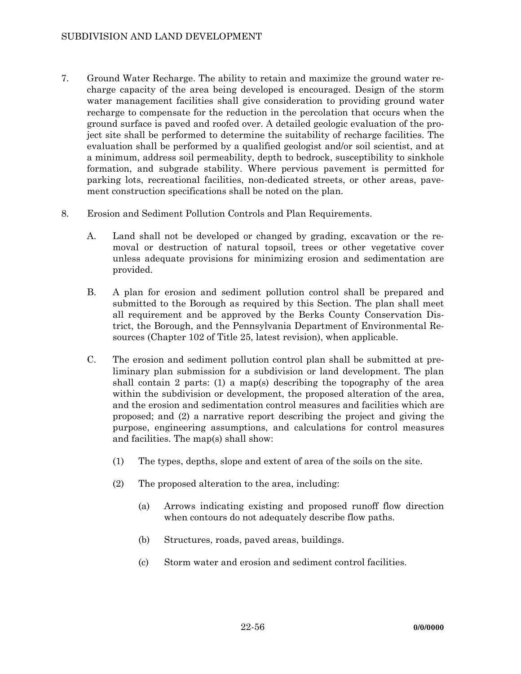- 7. Ground Water Recharge. The ability to retain and maximize the ground water recharge capacity of the area being developed is encouraged. Design of the storm water management facilities shall give consideration to providing ground water recharge to compensate for the reduction in the percolation that occurs when the ground surface is paved and roofed over. A detailed geologic evaluation of the project site shall be performed to determine the suitability of recharge facilities. The evaluation shall be performed by a qualified geologist and/or soil scientist, and at a minimum, address soil permeability, depth to bedrock, susceptibility to sinkhole formation, and subgrade stability. Where pervious pavement is permitted for parking lots, recreational facilities, non-dedicated streets, or other areas, pavement construction specifications shall be noted on the plan.
- 8. Erosion and Sediment Pollution Controls and Plan Requirements.
	- A. Land shall not be developed or changed by grading, excavation or the removal or destruction of natural topsoil, trees or other vegetative cover unless adequate provisions for minimizing erosion and sedimentation are provided.
	- B. A plan for erosion and sediment pollution control shall be prepared and submitted to the Borough as required by this Section. The plan shall meet all requirement and be approved by the Berks County Conservation District, the Borough, and the Pennsylvania Department of Environmental Resources (Chapter 102 of Title 25, latest revision), when applicable.
	- C. The erosion and sediment pollution control plan shall be submitted at preliminary plan submission for a subdivision or land development. The plan shall contain 2 parts: (1) a map(s) describing the topography of the area within the subdivision or development, the proposed alteration of the area, and the erosion and sedimentation control measures and facilities which are proposed; and (2) a narrative report describing the project and giving the purpose, engineering assumptions, and calculations for control measures and facilities. The map(s) shall show:
		- (1) The types, depths, slope and extent of area of the soils on the site.
		- (2) The proposed alteration to the area, including:
			- (a) Arrows indicating existing and proposed runoff flow direction when contours do not adequately describe flow paths.
			- (b) Structures, roads, paved areas, buildings.
			- (c) Storm water and erosion and sediment control facilities.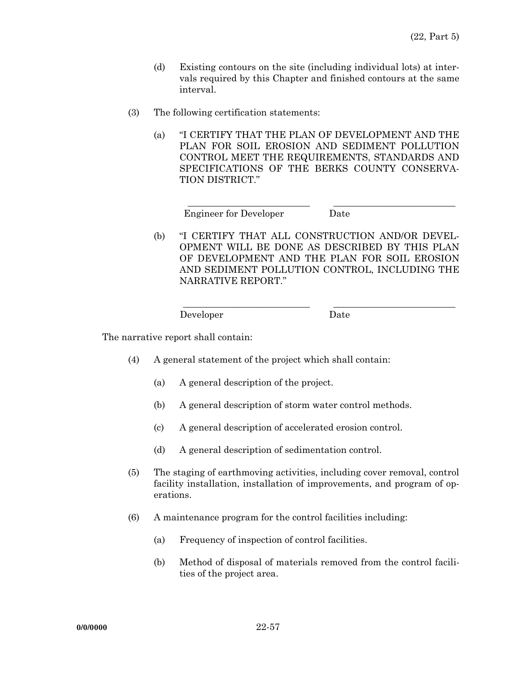- (d) Existing contours on the site (including individual lots) at intervals required by this Chapter and finished contours at the same interval.
- (3) The following certification statements:
	- (a) "I CERTIFY THAT THE PLAN OF DEVELOPMENT AND THE PLAN FOR SOIL EROSION AND SEDIMENT POLLUTION CONTROL MEET THE REQUIREMENTS, STANDARDS AND SPECIFICATIONS OF THE BERKS COUNTY CONSERVA-TION DISTRICT."

```
 Engineer for Developer Date
```
 $\frac{1}{2}$  , and the set of the set of the set of the set of the set of the set of the set of the set of the set of the set of the set of the set of the set of the set of the set of the set of the set of the set of the set

 (b) "I CERTIFY THAT ALL CONSTRUCTION AND/OR DEVEL-OPMENT WILL BE DONE AS DESCRIBED BY THIS PLAN OF DEVELOPMENT AND THE PLAN FOR SOIL EROSION AND SEDIMENT POLLUTION CONTROL, INCLUDING THE NARRATIVE REPORT."

 $\frac{1}{2}$  , and the set of the set of the set of the set of the set of the set of the set of the set of the set of the set of the set of the set of the set of the set of the set of the set of the set of the set of the set Developer Date

The narrative report shall contain:

- (4) A general statement of the project which shall contain:
	- (a) A general description of the project.
	- (b) A general description of storm water control methods.
	- (c) A general description of accelerated erosion control.
	- (d) A general description of sedimentation control.
- (5) The staging of earthmoving activities, including cover removal, control facility installation, installation of improvements, and program of operations.
- (6) A maintenance program for the control facilities including:
	- (a) Frequency of inspection of control facilities.
	- (b) Method of disposal of materials removed from the control facilities of the project area.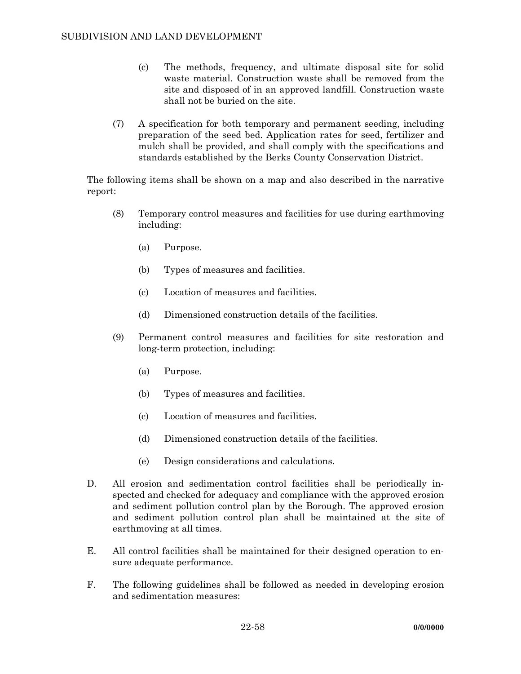- (c) The methods, frequency, and ultimate disposal site for solid waste material. Construction waste shall be removed from the site and disposed of in an approved landfill. Construction waste shall not be buried on the site.
- (7) A specification for both temporary and permanent seeding, including preparation of the seed bed. Application rates for seed, fertilizer and mulch shall be provided, and shall comply with the specifications and standards established by the Berks County Conservation District.

 The following items shall be shown on a map and also described in the narrative report:

- (8) Temporary control measures and facilities for use during earthmoving including:
	- (a) Purpose.
	- (b) Types of measures and facilities.
	- (c) Location of measures and facilities.
	- (d) Dimensioned construction details of the facilities.
- (9) Permanent control measures and facilities for site restoration and long-term protection, including:
	- (a) Purpose.
	- (b) Types of measures and facilities.
	- (c) Location of measures and facilities.
	- (d) Dimensioned construction details of the facilities.
	- (e) Design considerations and calculations.
- D. All erosion and sedimentation control facilities shall be periodically inspected and checked for adequacy and compliance with the approved erosion and sediment pollution control plan by the Borough. The approved erosion and sediment pollution control plan shall be maintained at the site of earthmoving at all times.
- E. All control facilities shall be maintained for their designed operation to ensure adequate performance.
- F. The following guidelines shall be followed as needed in developing erosion and sedimentation measures: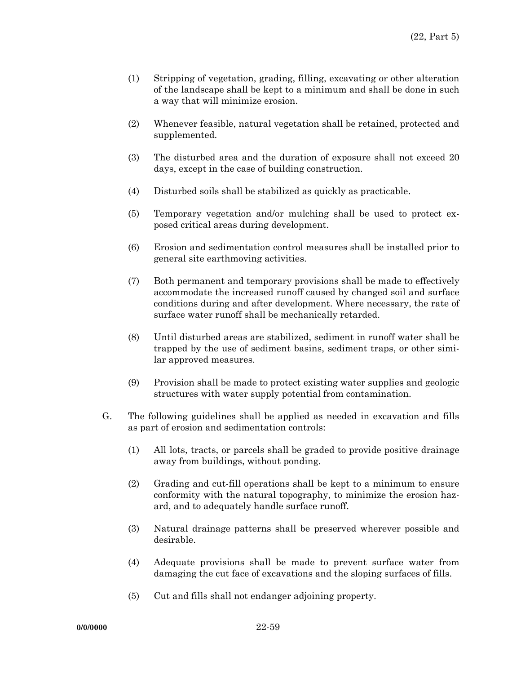- (1) Stripping of vegetation, grading, filling, excavating or other alteration of the landscape shall be kept to a minimum and shall be done in such a way that will minimize erosion.
- (2) Whenever feasible, natural vegetation shall be retained, protected and supplemented.
- (3) The disturbed area and the duration of exposure shall not exceed 20 days, except in the case of building construction.
- (4) Disturbed soils shall be stabilized as quickly as practicable.
- (5) Temporary vegetation and/or mulching shall be used to protect exposed critical areas during development.
- (6) Erosion and sedimentation control measures shall be installed prior to general site earthmoving activities.
- (7) Both permanent and temporary provisions shall be made to effectively accommodate the increased runoff caused by changed soil and surface conditions during and after development. Where necessary, the rate of surface water runoff shall be mechanically retarded.
- (8) Until disturbed areas are stabilized, sediment in runoff water shall be trapped by the use of sediment basins, sediment traps, or other similar approved measures.
- (9) Provision shall be made to protect existing water supplies and geologic structures with water supply potential from contamination.
- G. The following guidelines shall be applied as needed in excavation and fills as part of erosion and sedimentation controls:
	- (1) All lots, tracts, or parcels shall be graded to provide positive drainage away from buildings, without ponding.
	- (2) Grading and cut-fill operations shall be kept to a minimum to ensure conformity with the natural topography, to minimize the erosion hazard, and to adequately handle surface runoff.
	- (3) Natural drainage patterns shall be preserved wherever possible and desirable.
	- (4) Adequate provisions shall be made to prevent surface water from damaging the cut face of excavations and the sloping surfaces of fills.
	- (5) Cut and fills shall not endanger adjoining property.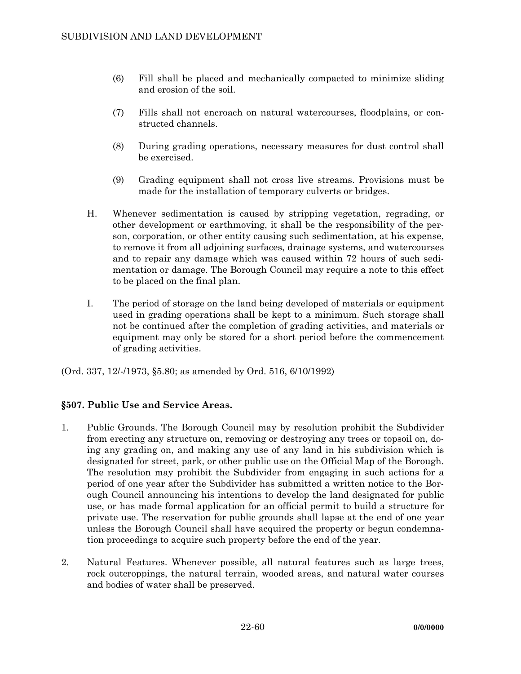- (6) Fill shall be placed and mechanically compacted to minimize sliding and erosion of the soil.
- (7) Fills shall not encroach on natural watercourses, floodplains, or constructed channels.
- (8) During grading operations, necessary measures for dust control shall be exercised.
- (9) Grading equipment shall not cross live streams. Provisions must be made for the installation of temporary culverts or bridges.
- H. Whenever sedimentation is caused by stripping vegetation, regrading, or other development or earthmoving, it shall be the responsibility of the person, corporation, or other entity causing such sedimentation, at his expense, to remove it from all adjoining surfaces, drainage systems, and watercourses and to repair any damage which was caused within 72 hours of such sedimentation or damage. The Borough Council may require a note to this effect to be placed on the final plan.
- I. The period of storage on the land being developed of materials or equipment used in grading operations shall be kept to a minimum. Such storage shall not be continued after the completion of grading activities, and materials or equipment may only be stored for a short period before the commencement of grading activities.

(Ord. 337, 12/-/1973, §5.80; as amended by Ord. 516, 6/10/1992)

### **§507. Public Use and Service Areas.**

- 1. Public Grounds. The Borough Council may by resolution prohibit the Subdivider from erecting any structure on, removing or destroying any trees or topsoil on, doing any grading on, and making any use of any land in his subdivision which is designated for street, park, or other public use on the Official Map of the Borough. The resolution may prohibit the Subdivider from engaging in such actions for a period of one year after the Subdivider has submitted a written notice to the Borough Council announcing his intentions to develop the land designated for public use, or has made formal application for an official permit to build a structure for private use. The reservation for public grounds shall lapse at the end of one year unless the Borough Council shall have acquired the property or begun condemnation proceedings to acquire such property before the end of the year.
- 2. Natural Features. Whenever possible, all natural features such as large trees, rock outcroppings, the natural terrain, wooded areas, and natural water courses and bodies of water shall be preserved.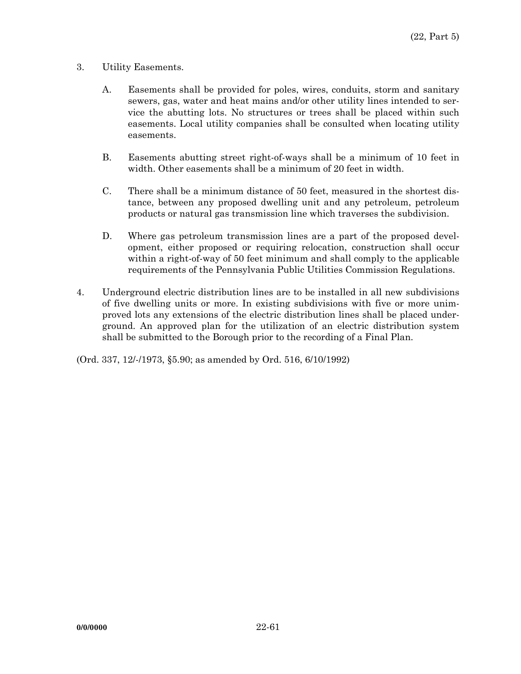- 3. Utility Easements.
	- A. Easements shall be provided for poles, wires, conduits, storm and sanitary sewers, gas, water and heat mains and/or other utility lines intended to service the abutting lots. No structures or trees shall be placed within such easements. Local utility companies shall be consulted when locating utility easements.
	- B. Easements abutting street right-of-ways shall be a minimum of 10 feet in width. Other easements shall be a minimum of 20 feet in width.
	- C. There shall be a minimum distance of 50 feet, measured in the shortest distance, between any proposed dwelling unit and any petroleum, petroleum products or natural gas transmission line which traverses the subdivision.
	- D. Where gas petroleum transmission lines are a part of the proposed development, either proposed or requiring relocation, construction shall occur within a right-of-way of 50 feet minimum and shall comply to the applicable requirements of the Pennsylvania Public Utilities Commission Regulations.
- 4. Underground electric distribution lines are to be installed in all new subdivisions of five dwelling units or more. In existing subdivisions with five or more unimproved lots any extensions of the electric distribution lines shall be placed underground. An approved plan for the utilization of an electric distribution system shall be submitted to the Borough prior to the recording of a Final Plan.

(Ord. 337, 12/-/1973, §5.90; as amended by Ord. 516, 6/10/1992)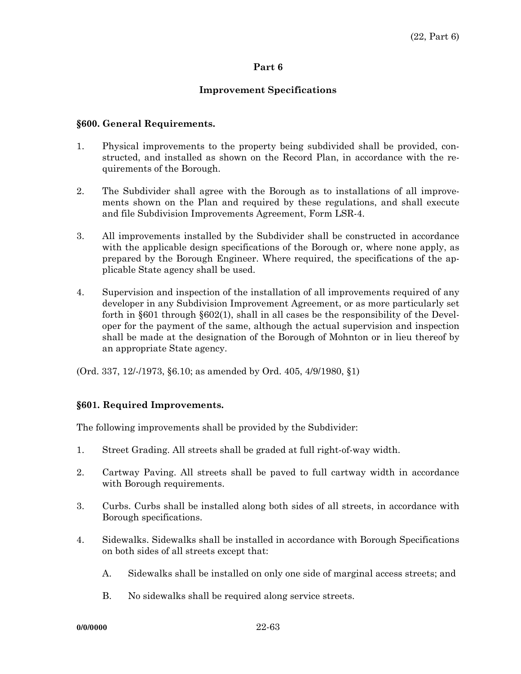#### **Part 6**

### **Improvement Specifications**

#### **§600. General Requirements.**

- 1. Physical improvements to the property being subdivided shall be provided, constructed, and installed as shown on the Record Plan, in accordance with the requirements of the Borough.
- 2. The Subdivider shall agree with the Borough as to installations of all improvements shown on the Plan and required by these regulations, and shall execute and file Subdivision Improvements Agreement, Form LSR-4.
- 3. All improvements installed by the Subdivider shall be constructed in accordance with the applicable design specifications of the Borough or, where none apply, as prepared by the Borough Engineer. Where required, the specifications of the applicable State agency shall be used.
- 4. Supervision and inspection of the installation of all improvements required of any developer in any Subdivision Improvement Agreement, or as more particularly set forth in §601 through §602(1), shall in all cases be the responsibility of the Developer for the payment of the same, although the actual supervision and inspection shall be made at the designation of the Borough of Mohnton or in lieu thereof by an appropriate State agency.
- (Ord. 337, 12/-/1973, §6.10; as amended by Ord. 405, 4/9/1980, §1)

### **§601. Required Improvements.**

The following improvements shall be provided by the Subdivider:

- 1. Street Grading. All streets shall be graded at full right-of-way width.
- 2. Cartway Paving. All streets shall be paved to full cartway width in accordance with Borough requirements.
- 3. Curbs. Curbs shall be installed along both sides of all streets, in accordance with Borough specifications.
- 4. Sidewalks. Sidewalks shall be installed in accordance with Borough Specifications on both sides of all streets except that:
	- A. Sidewalks shall be installed on only one side of marginal access streets; and
	- B. No sidewalks shall be required along service streets.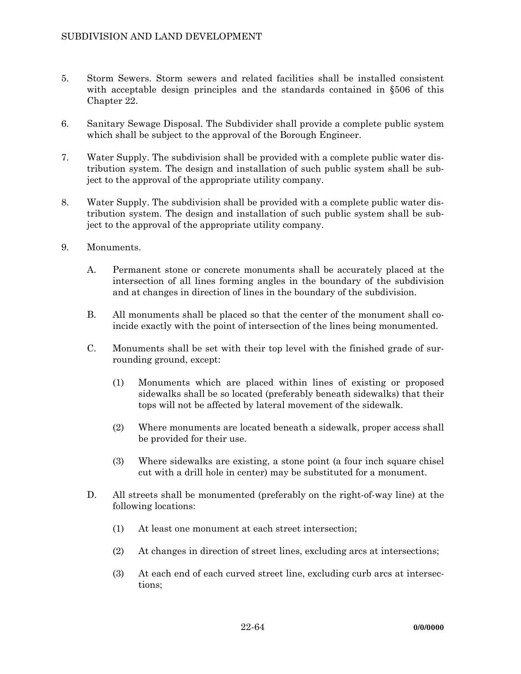- 5. Storm Sewers. Storm sewers and related facilities shall be installed consistent with acceptable design principles and the standards contained in §506 of this Chapter 22.
- 6. Sanitary Sewage Disposal. The Subdivider shall provide a complete public system which shall be subject to the approval of the Borough Engineer.
- 7. Water Supply. The subdivision shall be provided with a complete public water distribution system. The design and installation of such public system shall be subject to the approval of the appropriate utility company.
- 8. Water Supply. The subdivision shall be provided with a complete public water distribution system. The design and installation of such public system shall be subject to the approval of the appropriate utility company.
- 9. Monuments.
	- A. Permanent stone or concrete monuments shall be accurately placed at the intersection of all lines forming angles in the boundary of the subdivision and at changes in direction of lines in the boundary of the subdivision.
	- B. All monuments shall be placed so that the center of the monument shall coincide exactly with the point of intersection of the lines being monumented.
	- C. Monuments shall be set with their top level with the finished grade of surrounding ground, except:
		- (1) Monuments which are placed within lines of existing or proposed sidewalks shall be so located (preferably beneath sidewalks) that their tops will not be affected by lateral movement of the sidewalk.
		- (2) Where monuments are located beneath a sidewalk, proper access shall be provided for their use.
		- (3) Where sidewalks are existing, a stone point (a four inch square chisel cut with a drill hole in center) may be substituted for a monument.
	- D. All streets shall be monumented (preferably on the right-of-way line) at the following locations:
		- (1) At least one monument at each street intersection;
		- (2) At changes in direction of street lines, excluding arcs at intersections;
		- (3) At each end of each curved street line, excluding curb arcs at intersections;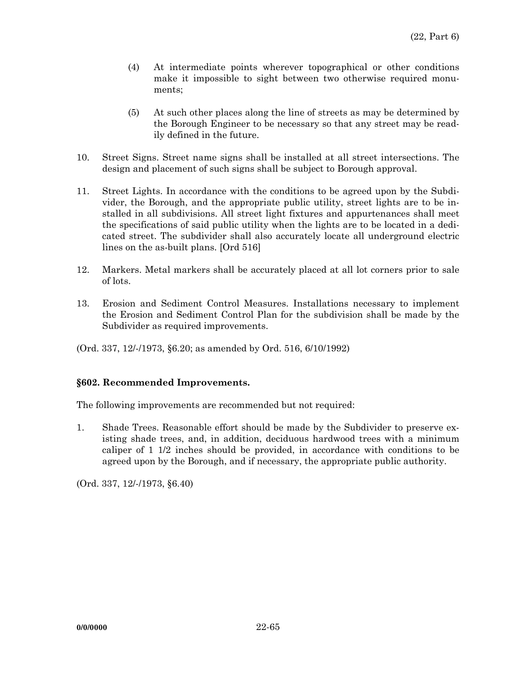- (4) At intermediate points wherever topographical or other conditions make it impossible to sight between two otherwise required monuments;
- (5) At such other places along the line of streets as may be determined by the Borough Engineer to be necessary so that any street may be readily defined in the future.
- 10. Street Signs. Street name signs shall be installed at all street intersections. The design and placement of such signs shall be subject to Borough approval.
- 11. Street Lights. In accordance with the conditions to be agreed upon by the Subdivider, the Borough, and the appropriate public utility, street lights are to be installed in all subdivisions. All street light fixtures and appurtenances shall meet the specifications of said public utility when the lights are to be located in a dedicated street. The subdivider shall also accurately locate all underground electric lines on the as-built plans. [Ord 516]
- 12. Markers. Metal markers shall be accurately placed at all lot corners prior to sale of lots.
- 13. Erosion and Sediment Control Measures. Installations necessary to implement the Erosion and Sediment Control Plan for the subdivision shall be made by the Subdivider as required improvements.

(Ord. 337, 12/-/1973, §6.20; as amended by Ord. 516, 6/10/1992)

### **§602. Recommended Improvements.**

The following improvements are recommended but not required:

1. Shade Trees. Reasonable effort should be made by the Subdivider to preserve existing shade trees, and, in addition, deciduous hardwood trees with a minimum caliper of 1 1/2 inches should be provided, in accordance with conditions to be agreed upon by the Borough, and if necessary, the appropriate public authority.

(Ord. 337, 12/-/1973, §6.40)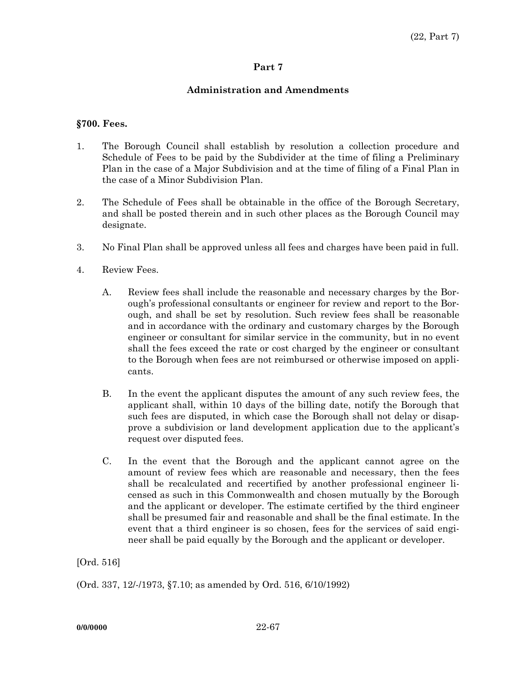### **Part 7**

### **Administration and Amendments**

#### **§700. Fees.**

- 1. The Borough Council shall establish by resolution a collection procedure and Schedule of Fees to be paid by the Subdivider at the time of filing a Preliminary Plan in the case of a Major Subdivision and at the time of filing of a Final Plan in the case of a Minor Subdivision Plan.
- 2. The Schedule of Fees shall be obtainable in the office of the Borough Secretary, and shall be posted therein and in such other places as the Borough Council may designate.
- 3. No Final Plan shall be approved unless all fees and charges have been paid in full.
- 4. Review Fees.
	- A. Review fees shall include the reasonable and necessary charges by the Borough's professional consultants or engineer for review and report to the Borough, and shall be set by resolution. Such review fees shall be reasonable and in accordance with the ordinary and customary charges by the Borough engineer or consultant for similar service in the community, but in no event shall the fees exceed the rate or cost charged by the engineer or consultant to the Borough when fees are not reimbursed or otherwise imposed on applicants.
	- B. In the event the applicant disputes the amount of any such review fees, the applicant shall, within 10 days of the billing date, notify the Borough that such fees are disputed, in which case the Borough shall not delay or disapprove a subdivision or land development application due to the applicant's request over disputed fees.
	- C. In the event that the Borough and the applicant cannot agree on the amount of review fees which are reasonable and necessary, then the fees shall be recalculated and recertified by another professional engineer licensed as such in this Commonwealth and chosen mutually by the Borough and the applicant or developer. The estimate certified by the third engineer shall be presumed fair and reasonable and shall be the final estimate. In the event that a third engineer is so chosen, fees for the services of said engineer shall be paid equally by the Borough and the applicant or developer.

[Ord. 516]

(Ord. 337, 12/-/1973, §7.10; as amended by Ord. 516, 6/10/1992)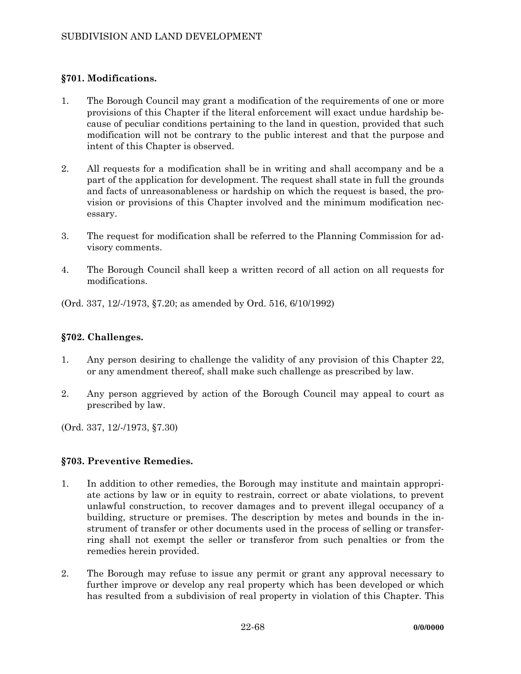### **§701. Modifications.**

- 1. The Borough Council may grant a modification of the requirements of one or more provisions of this Chapter if the literal enforcement will exact undue hardship because of peculiar conditions pertaining to the land in question, provided that such modification will not be contrary to the public interest and that the purpose and intent of this Chapter is observed.
- 2. All requests for a modification shall be in writing and shall accompany and be a part of the application for development. The request shall state in full the grounds and facts of unreasonableness or hardship on which the request is based, the provision or provisions of this Chapter involved and the minimum modification necessary.
- 3. The request for modification shall be referred to the Planning Commission for advisory comments.
- 4. The Borough Council shall keep a written record of all action on all requests for modifications.

(Ord. 337, 12/-/1973, §7.20; as amended by Ord. 516, 6/10/1992)

### **§702. Challenges.**

- 1. Any person desiring to challenge the validity of any provision of this Chapter 22, or any amendment thereof, shall make such challenge as prescribed by law.
- 2. Any person aggrieved by action of the Borough Council may appeal to court as prescribed by law.

(Ord. 337, 12/-/1973, §7.30)

### **§703. Preventive Remedies.**

- 1. In addition to other remedies, the Borough may institute and maintain appropriate actions by law or in equity to restrain, correct or abate violations, to prevent unlawful construction, to recover damages and to prevent illegal occupancy of a building, structure or premises. The description by metes and bounds in the instrument of transfer or other documents used in the process of selling or transferring shall not exempt the seller or transferor from such penalties or from the remedies herein provided.
- 2. The Borough may refuse to issue any permit or grant any approval necessary to further improve or develop any real property which has been developed or which has resulted from a subdivision of real property in violation of this Chapter. This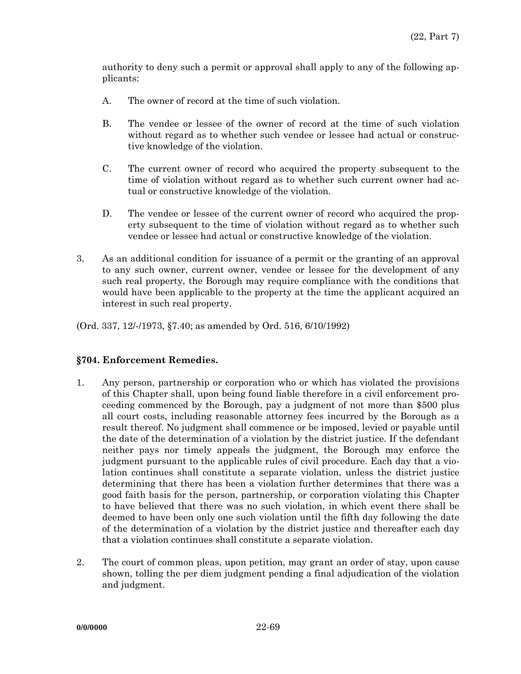authority to deny such a permit or approval shall apply to any of the following applicants:

- A. The owner of record at the time of such violation.
- B. The vendee or lessee of the owner of record at the time of such violation without regard as to whether such vendee or lessee had actual or constructive knowledge of the violation.
- C. The current owner of record who acquired the property subsequent to the time of violation without regard as to whether such current owner had actual or constructive knowledge of the violation.
- D. The vendee or lessee of the current owner of record who acquired the property subsequent to the time of violation without regard as to whether such vendee or lessee had actual or constructive knowledge of the violation.
- 3. As an additional condition for issuance of a permit or the granting of an approval to any such owner, current owner, vendee or lessee for the development of any such real property, the Borough may require compliance with the conditions that would have been applicable to the property at the time the applicant acquired an interest in such real property.
- (Ord. 337, 12/-/1973, §7.40; as amended by Ord. 516, 6/10/1992)

### **§704. Enforcement Remedies.**

- 1. Any person, partnership or corporation who or which has violated the provisions of this Chapter shall, upon being found liable therefore in a civil enforcement proceeding commenced by the Borough, pay a judgment of not more than \$500 plus all court costs, including reasonable attorney fees incurred by the Borough as a result thereof. No judgment shall commence or be imposed, levied or payable until the date of the determination of a violation by the district justice. If the defendant neither pays nor timely appeals the judgment, the Borough may enforce the judgment pursuant to the applicable rules of civil procedure. Each day that a violation continues shall constitute a separate violation, unless the district justice determining that there has been a violation further determines that there was a good faith basis for the person, partnership, or corporation violating this Chapter to have believed that there was no such violation, in which event there shall be deemed to have been only one such violation until the fifth day following the date of the determination of a violation by the district justice and thereafter each day that a violation continues shall constitute a separate violation.
- 2. The court of common pleas, upon petition, may grant an order of stay, upon cause shown, tolling the per diem judgment pending a final adjudication of the violation and judgment.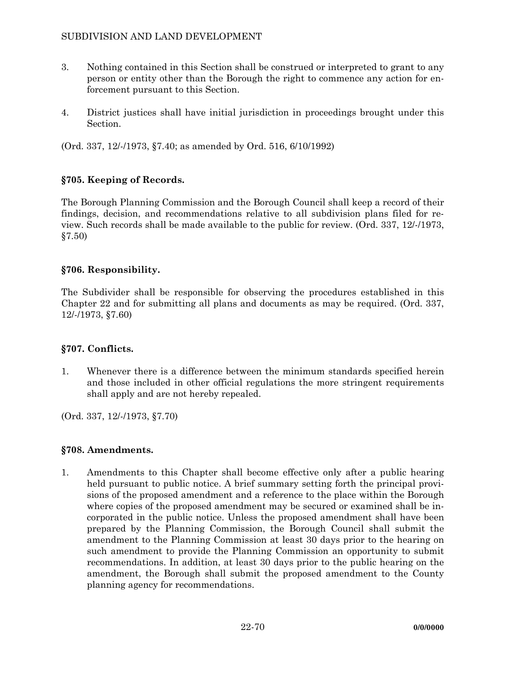## SUBDIVISION AND LAND DEVELOPMENT

- 3. Nothing contained in this Section shall be construed or interpreted to grant to any person or entity other than the Borough the right to commence any action for enforcement pursuant to this Section.
- 4. District justices shall have initial jurisdiction in proceedings brought under this Section.

(Ord. 337, 12/-/1973, §7.40; as amended by Ord. 516, 6/10/1992)

## **§705. Keeping of Records.**

The Borough Planning Commission and the Borough Council shall keep a record of their findings, decision, and recommendations relative to all subdivision plans filed for review. Such records shall be made available to the public for review. (Ord. 337, 12/-/1973, §7.50)

## **§706. Responsibility.**

The Subdivider shall be responsible for observing the procedures established in this Chapter 22 and for submitting all plans and documents as may be required. (Ord. 337, 12/-/1973, §7.60)

### **§707. Conflicts.**

1. Whenever there is a difference between the minimum standards specified herein and those included in other official regulations the more stringent requirements shall apply and are not hereby repealed.

(Ord. 337, 12/-/1973, §7.70)

### **§708. Amendments.**

1. Amendments to this Chapter shall become effective only after a public hearing held pursuant to public notice. A brief summary setting forth the principal provisions of the proposed amendment and a reference to the place within the Borough where copies of the proposed amendment may be secured or examined shall be incorporated in the public notice. Unless the proposed amendment shall have been prepared by the Planning Commission, the Borough Council shall submit the amendment to the Planning Commission at least 30 days prior to the hearing on such amendment to provide the Planning Commission an opportunity to submit recommendations. In addition, at least 30 days prior to the public hearing on the amendment, the Borough shall submit the proposed amendment to the County planning agency for recommendations.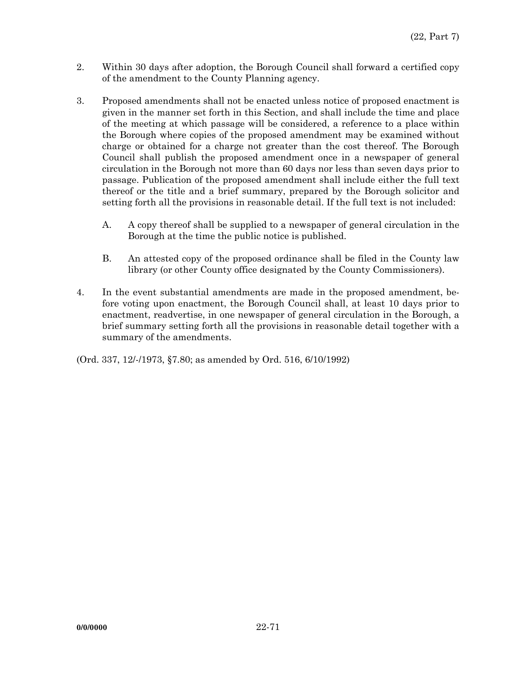- 2. Within 30 days after adoption, the Borough Council shall forward a certified copy of the amendment to the County Planning agency.
- 3. Proposed amendments shall not be enacted unless notice of proposed enactment is given in the manner set forth in this Section, and shall include the time and place of the meeting at which passage will be considered, a reference to a place within the Borough where copies of the proposed amendment may be examined without charge or obtained for a charge not greater than the cost thereof. The Borough Council shall publish the proposed amendment once in a newspaper of general circulation in the Borough not more than 60 days nor less than seven days prior to passage. Publication of the proposed amendment shall include either the full text thereof or the title and a brief summary, prepared by the Borough solicitor and setting forth all the provisions in reasonable detail. If the full text is not included:
	- A. A copy thereof shall be supplied to a newspaper of general circulation in the Borough at the time the public notice is published.
	- B. An attested copy of the proposed ordinance shall be filed in the County law library (or other County office designated by the County Commissioners).
- 4. In the event substantial amendments are made in the proposed amendment, before voting upon enactment, the Borough Council shall, at least 10 days prior to enactment, readvertise, in one newspaper of general circulation in the Borough, a brief summary setting forth all the provisions in reasonable detail together with a summary of the amendments.

(Ord. 337, 12/-/1973, §7.80; as amended by Ord. 516, 6/10/1992)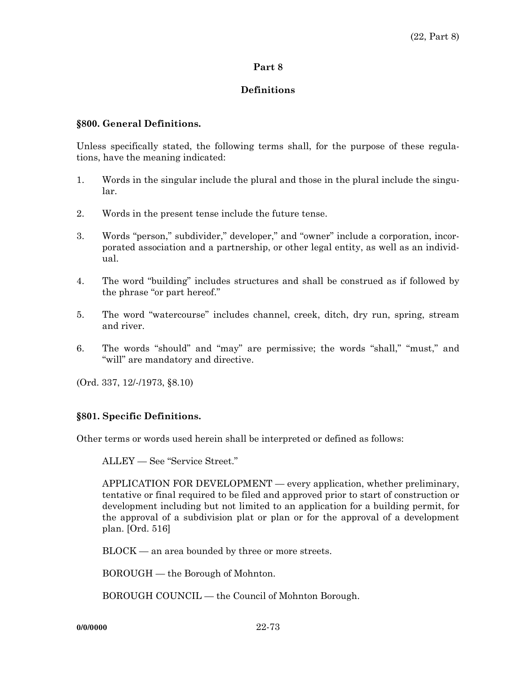### **Part 8**

### **Definitions**

#### **§800. General Definitions.**

Unless specifically stated, the following terms shall, for the purpose of these regulations, have the meaning indicated:

- 1. Words in the singular include the plural and those in the plural include the singular.
- 2. Words in the present tense include the future tense.
- 3. Words "person," subdivider," developer," and "owner" include a corporation, incorporated association and a partnership, or other legal entity, as well as an individual.
- 4. The word "building" includes structures and shall be construed as if followed by the phrase "or part hereof."
- 5. The word "watercourse" includes channel, creek, ditch, dry run, spring, stream and river.
- 6. The words "should" and "may" are permissive; the words "shall," "must," and "will" are mandatory and directive.

(Ord. 337, 12/-/1973, §8.10)

### **§801. Specific Definitions.**

Other terms or words used herein shall be interpreted or defined as follows:

ALLEY — See "Service Street."

 APPLICATION FOR DEVELOPMENT — every application, whether preliminary, tentative or final required to be filed and approved prior to start of construction or development including but not limited to an application for a building permit, for the approval of a subdivision plat or plan or for the approval of a development plan. [Ord. 516]

BLOCK — an area bounded by three or more streets.

BOROUGH — the Borough of Mohnton.

BOROUGH COUNCIL — the Council of Mohnton Borough.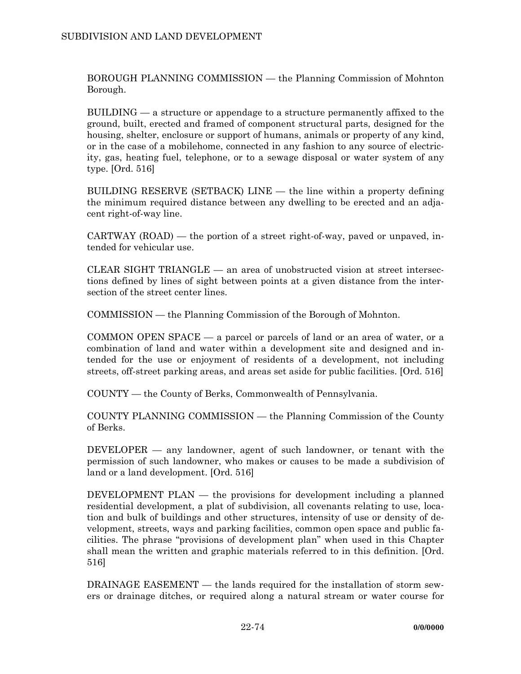BOROUGH PLANNING COMMISSION — the Planning Commission of Mohnton Borough.

 BUILDING — a structure or appendage to a structure permanently affixed to the ground, built, erected and framed of component structural parts, designed for the housing, shelter, enclosure or support of humans, animals or property of any kind, or in the case of a mobilehome, connected in any fashion to any source of electricity, gas, heating fuel, telephone, or to a sewage disposal or water system of any type. [Ord. 516]

 BUILDING RESERVE (SETBACK) LINE — the line within a property defining the minimum required distance between any dwelling to be erected and an adjacent right-of-way line.

 $CARTWAY (ROAD)$  — the portion of a street right-of-way, paved or unpaved, intended for vehicular use.

 $CLEAR SIGHT TRIANGLE - an area of unobstructed vision at street intersect$ tions defined by lines of sight between points at a given distance from the intersection of the street center lines.

COMMISSION — the Planning Commission of the Borough of Mohnton.

 COMMON OPEN SPACE — a parcel or parcels of land or an area of water, or a combination of land and water within a development site and designed and intended for the use or enjoyment of residents of a development, not including streets, off-street parking areas, and areas set aside for public facilities. [Ord. 516]

COUNTY — the County of Berks, Commonwealth of Pennsylvania.

 COUNTY PLANNING COMMISSION — the Planning Commission of the County of Berks.

 DEVELOPER — any landowner, agent of such landowner, or tenant with the permission of such landowner, who makes or causes to be made a subdivision of land or a land development. [Ord. 516]

 DEVELOPMENT PLAN — the provisions for development including a planned residential development, a plat of subdivision, all covenants relating to use, location and bulk of buildings and other structures, intensity of use or density of development, streets, ways and parking facilities, common open space and public facilities. The phrase "provisions of development plan" when used in this Chapter shall mean the written and graphic materials referred to in this definition. [Ord. 516]

 DRAINAGE EASEMENT — the lands required for the installation of storm sewers or drainage ditches, or required along a natural stream or water course for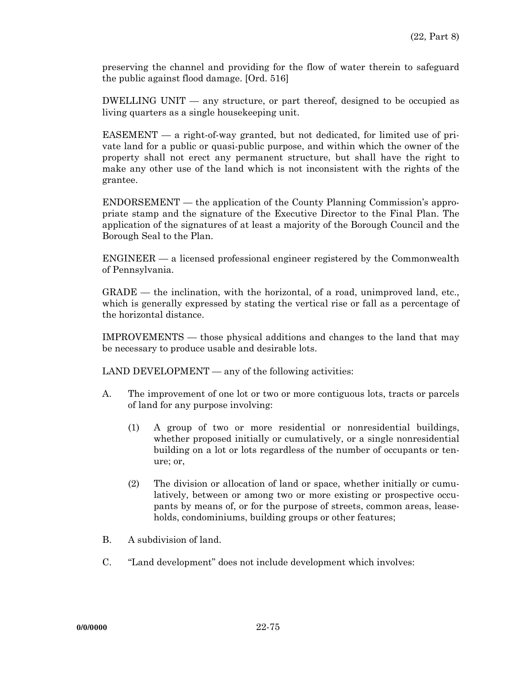preserving the channel and providing for the flow of water therein to safeguard the public against flood damage. [Ord. 516]

 DWELLING UNIT — any structure, or part thereof, designed to be occupied as living quarters as a single housekeeping unit.

 EASEMENT — a right-of-way granted, but not dedicated, for limited use of private land for a public or quasi-public purpose, and within which the owner of the property shall not erect any permanent structure, but shall have the right to make any other use of the land which is not inconsistent with the rights of the grantee.

 ENDORSEMENT — the application of the County Planning Commission's appropriate stamp and the signature of the Executive Director to the Final Plan. The application of the signatures of at least a majority of the Borough Council and the Borough Seal to the Plan.

 ENGINEER — a licensed professional engineer registered by the Commonwealth of Pennsylvania.

 GRADE — the inclination, with the horizontal, of a road, unimproved land, etc., which is generally expressed by stating the vertical rise or fall as a percentage of the horizontal distance.

 IMPROVEMENTS — those physical additions and changes to the land that may be necessary to produce usable and desirable lots.

LAND DEVELOPMENT — any of the following activities:

- A. The improvement of one lot or two or more contiguous lots, tracts or parcels of land for any purpose involving:
	- (1) A group of two or more residential or nonresidential buildings, whether proposed initially or cumulatively, or a single nonresidential building on a lot or lots regardless of the number of occupants or tenure; or,
	- (2) The division or allocation of land or space, whether initially or cumulatively, between or among two or more existing or prospective occupants by means of, or for the purpose of streets, common areas, leaseholds, condominiums, building groups or other features;
- B. A subdivision of land.
- C. "Land development" does not include development which involves: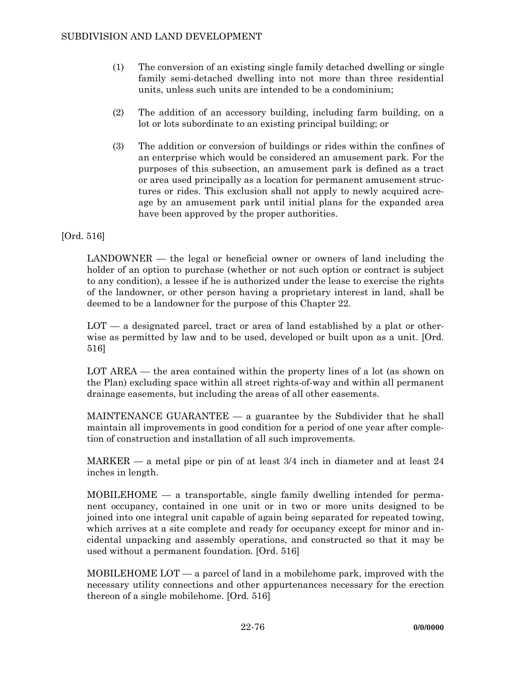- (1) The conversion of an existing single family detached dwelling or single family semi-detached dwelling into not more than three residential units, unless such units are intended to be a condominium;
- (2) The addition of an accessory building, including farm building, on a lot or lots subordinate to an existing principal building; or
- (3) The addition or conversion of buildings or rides within the confines of an enterprise which would be considered an amusement park. For the purposes of this subsection, an amusement park is defined as a tract or area used principally as a location for permanent amusement structures or rides. This exclusion shall not apply to newly acquired acreage by an amusement park until initial plans for the expanded area have been approved by the proper authorities.

[Ord. 516]

 LANDOWNER — the legal or beneficial owner or owners of land including the holder of an option to purchase (whether or not such option or contract is subject to any condition), a lessee if he is authorized under the lease to exercise the rights of the landowner, or other person having a proprietary interest in land, shall be deemed to be a landowner for the purpose of this Chapter 22.

LOT — a designated parcel, tract or area of land established by a plat or otherwise as permitted by law and to be used, developed or built upon as a unit. [Ord. 516]

LOT AREA — the area contained within the property lines of a lot (as shown on the Plan) excluding space within all street rights-of-way and within all permanent drainage easements, but including the areas of all other easements.

 MAINTENANCE GUARANTEE — a guarantee by the Subdivider that he shall maintain all improvements in good condition for a period of one year after completion of construction and installation of all such improvements.

 MARKER — a metal pipe or pin of at least 3/4 inch in diameter and at least 24 inches in length.

 MOBILEHOME — a transportable, single family dwelling intended for permanent occupancy, contained in one unit or in two or more units designed to be joined into one integral unit capable of again being separated for repeated towing, which arrives at a site complete and ready for occupancy except for minor and incidental unpacking and assembly operations, and constructed so that it may be used without a permanent foundation. [Ord. 516]

 MOBILEHOME LOT — a parcel of land in a mobilehome park, improved with the necessary utility connections and other appurtenances necessary for the erection thereon of a single mobilehome. [Ord. 516]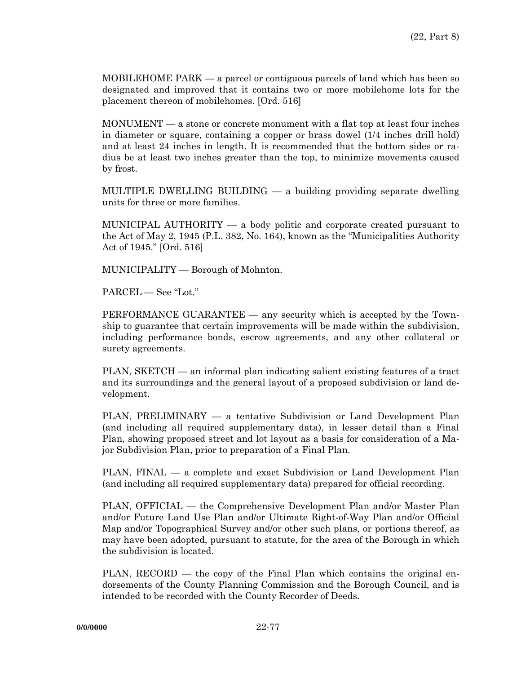MOBILEHOME PARK — a parcel or contiguous parcels of land which has been so designated and improved that it contains two or more mobilehome lots for the placement thereon of mobilehomes. [Ord. 516]

 MONUMENT — a stone or concrete monument with a flat top at least four inches in diameter or square, containing a copper or brass dowel (1/4 inches drill hold) and at least 24 inches in length. It is recommended that the bottom sides or radius be at least two inches greater than the top, to minimize movements caused by frost.

 MULTIPLE DWELLING BUILDING — a building providing separate dwelling units for three or more families.

 MUNICIPAL AUTHORITY — a body politic and corporate created pursuant to the Act of May 2, 1945 (P.L. 382, No. 164), known as the "Municipalities Authority Act of 1945." [Ord. 516]

MUNICIPALITY — Borough of Mohnton.

PARCEL — See "Lot."

 PERFORMANCE GUARANTEE — any security which is accepted by the Township to guarantee that certain improvements will be made within the subdivision, including performance bonds, escrow agreements, and any other collateral or surety agreements.

 PLAN, SKETCH — an informal plan indicating salient existing features of a tract and its surroundings and the general layout of a proposed subdivision or land development.

 PLAN, PRELIMINARY — a tentative Subdivision or Land Development Plan (and including all required supplementary data), in lesser detail than a Final Plan, showing proposed street and lot layout as a basis for consideration of a Major Subdivision Plan, prior to preparation of a Final Plan.

 PLAN, FINAL — a complete and exact Subdivision or Land Development Plan (and including all required supplementary data) prepared for official recording.

 PLAN, OFFICIAL — the Comprehensive Development Plan and/or Master Plan and/or Future Land Use Plan and/or Ultimate Right-of-Way Plan and/or Official Map and/or Topographical Survey and/or other such plans, or portions thereof, as may have been adopted, pursuant to statute, for the area of the Borough in which the subdivision is located.

PLAN,  $RECORD$  — the copy of the Final Plan which contains the original endorsements of the County Planning Commission and the Borough Council, and is intended to be recorded with the County Recorder of Deeds.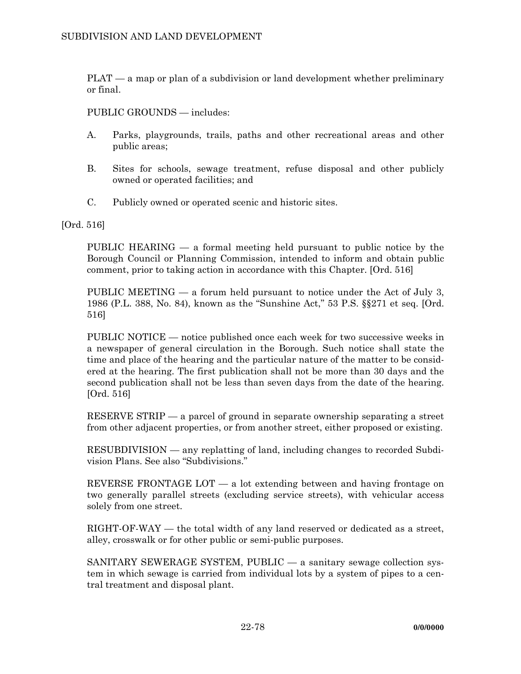PLAT — a map or plan of a subdivision or land development whether preliminary or final.

PUBLIC GROUNDS — includes:

- A. Parks, playgrounds, trails, paths and other recreational areas and other public areas;
- B. Sites for schools, sewage treatment, refuse disposal and other publicly owned or operated facilities; and
- C. Publicly owned or operated scenic and historic sites.

[Ord. 516]

 PUBLIC HEARING — a formal meeting held pursuant to public notice by the Borough Council or Planning Commission, intended to inform and obtain public comment, prior to taking action in accordance with this Chapter. [Ord. 516]

 PUBLIC MEETING — a forum held pursuant to notice under the Act of July 3, 1986 (P.L. 388, No. 84), known as the "Sunshine Act," 53 P.S. §§271 et seq. [Ord. 516]

 PUBLIC NOTICE — notice published once each week for two successive weeks in a newspaper of general circulation in the Borough. Such notice shall state the time and place of the hearing and the particular nature of the matter to be considered at the hearing. The first publication shall not be more than 30 days and the second publication shall not be less than seven days from the date of the hearing. [Ord. 516]

 RESERVE STRIP — a parcel of ground in separate ownership separating a street from other adjacent properties, or from another street, either proposed or existing.

 RESUBDIVISION — any replatting of land, including changes to recorded Subdivision Plans. See also "Subdivisions."

REVERSE FRONTAGE LOT  $-$  a lot extending between and having frontage on two generally parallel streets (excluding service streets), with vehicular access solely from one street.

 RIGHT-OF-WAY — the total width of any land reserved or dedicated as a street, alley, crosswalk or for other public or semi-public purposes.

 SANITARY SEWERAGE SYSTEM, PUBLIC — a sanitary sewage collection system in which sewage is carried from individual lots by a system of pipes to a central treatment and disposal plant.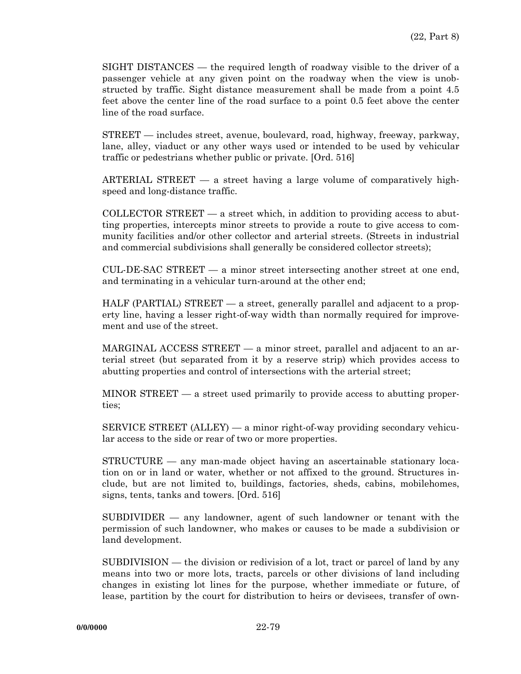SIGHT DISTANCES — the required length of roadway visible to the driver of a passenger vehicle at any given point on the roadway when the view is unobstructed by traffic. Sight distance measurement shall be made from a point 4.5 feet above the center line of the road surface to a point 0.5 feet above the center line of the road surface.

 STREET — includes street, avenue, boulevard, road, highway, freeway, parkway, lane, alley, viaduct or any other ways used or intended to be used by vehicular traffic or pedestrians whether public or private. [Ord. 516]

 ARTERIAL STREET — a street having a large volume of comparatively highspeed and long-distance traffic.

COLLECTOR STREET  $-$  a street which, in addition to providing access to abutting properties, intercepts minor streets to provide a route to give access to community facilities and/or other collector and arterial streets. (Streets in industrial and commercial subdivisions shall generally be considered collector streets);

 CUL-DE-SAC STREET — a minor street intersecting another street at one end, and terminating in a vehicular turn-around at the other end;

 HALF (PARTIAL) STREET — a street, generally parallel and adjacent to a property line, having a lesser right-of-way width than normally required for improvement and use of the street.

 MARGINAL ACCESS STREET — a minor street, parallel and adjacent to an arterial street (but separated from it by a reserve strip) which provides access to abutting properties and control of intersections with the arterial street;

 $MINOR$  STREET  $-$  a street used primarily to provide access to abutting properties;

 SERVICE STREET (ALLEY) — a minor right-of-way providing secondary vehicular access to the side or rear of two or more properties.

 STRUCTURE — any man-made object having an ascertainable stationary location on or in land or water, whether or not affixed to the ground. Structures include, but are not limited to, buildings, factories, sheds, cabins, mobilehomes, signs, tents, tanks and towers. [Ord. 516]

 SUBDIVIDER — any landowner, agent of such landowner or tenant with the permission of such landowner, who makes or causes to be made a subdivision or land development.

 SUBDIVISION — the division or redivision of a lot, tract or parcel of land by any means into two or more lots, tracts, parcels or other divisions of land including changes in existing lot lines for the purpose, whether immediate or future, of lease, partition by the court for distribution to heirs or devisees, transfer of own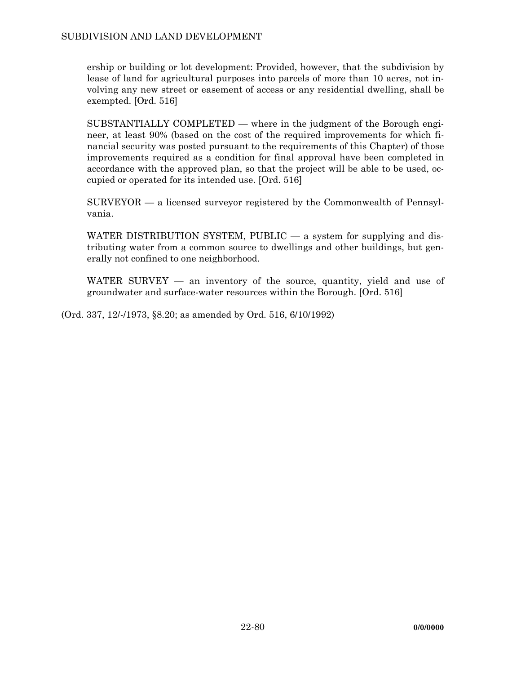ership or building or lot development: Provided, however, that the subdivision by lease of land for agricultural purposes into parcels of more than 10 acres, not involving any new street or easement of access or any residential dwelling, shall be exempted. [Ord. 516]

 SUBSTANTIALLY COMPLETED — where in the judgment of the Borough engineer, at least 90% (based on the cost of the required improvements for which financial security was posted pursuant to the requirements of this Chapter) of those improvements required as a condition for final approval have been completed in accordance with the approved plan, so that the project will be able to be used, occupied or operated for its intended use. [Ord. 516]

 SURVEYOR — a licensed surveyor registered by the Commonwealth of Pennsylvania.

WATER DISTRIBUTION SYSTEM, PUBLIC  $-$  a system for supplying and distributing water from a common source to dwellings and other buildings, but generally not confined to one neighborhood.

WATER SURVEY — an inventory of the source, quantity, yield and use of groundwater and surface-water resources within the Borough. [Ord. 516]

(Ord. 337, 12/-/1973, §8.20; as amended by Ord. 516, 6/10/1992)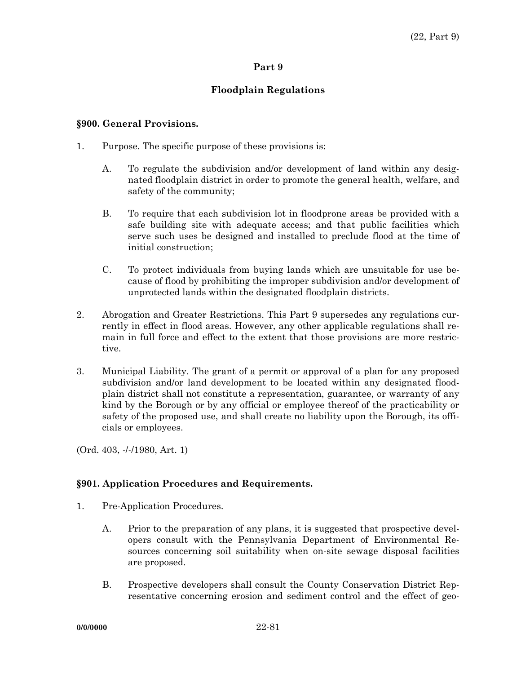## **Part 9**

# **Floodplain Regulations**

## **§900. General Provisions.**

- 1. Purpose. The specific purpose of these provisions is:
	- A. To regulate the subdivision and/or development of land within any designated floodplain district in order to promote the general health, welfare, and safety of the community;
	- B. To require that each subdivision lot in floodprone areas be provided with a safe building site with adequate access; and that public facilities which serve such uses be designed and installed to preclude flood at the time of initial construction;
	- C. To protect individuals from buying lands which are unsuitable for use because of flood by prohibiting the improper subdivision and/or development of unprotected lands within the designated floodplain districts.
- 2. Abrogation and Greater Restrictions. This Part 9 supersedes any regulations currently in effect in flood areas. However, any other applicable regulations shall remain in full force and effect to the extent that those provisions are more restrictive.
- 3. Municipal Liability. The grant of a permit or approval of a plan for any proposed subdivision and/or land development to be located within any designated floodplain district shall not constitute a representation, guarantee, or warranty of any kind by the Borough or by any official or employee thereof of the practicability or safety of the proposed use, and shall create no liability upon the Borough, its officials or employees.
- (Ord. 403, -/-/1980, Art. 1)

### **§901. Application Procedures and Requirements.**

- 1. Pre-Application Procedures.
	- A. Prior to the preparation of any plans, it is suggested that prospective developers consult with the Pennsylvania Department of Environmental Resources concerning soil suitability when on-site sewage disposal facilities are proposed.
	- B. Prospective developers shall consult the County Conservation District Representative concerning erosion and sediment control and the effect of geo-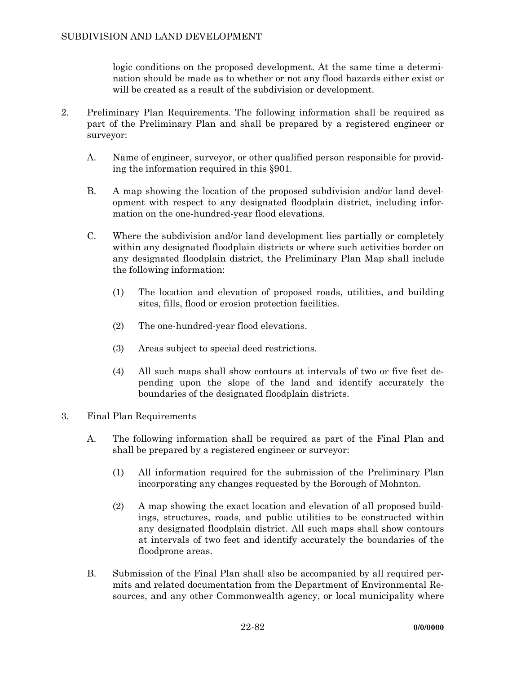logic conditions on the proposed development. At the same time a determination should be made as to whether or not any flood hazards either exist or will be created as a result of the subdivision or development.

- 2. Preliminary Plan Requirements. The following information shall be required as part of the Preliminary Plan and shall be prepared by a registered engineer or surveyor:
	- A. Name of engineer, surveyor, or other qualified person responsible for providing the information required in this §901.
	- B. A map showing the location of the proposed subdivision and/or land development with respect to any designated floodplain district, including information on the one-hundred-year flood elevations.
	- C. Where the subdivision and/or land development lies partially or completely within any designated floodplain districts or where such activities border on any designated floodplain district, the Preliminary Plan Map shall include the following information:
		- (1) The location and elevation of proposed roads, utilities, and building sites, fills, flood or erosion protection facilities.
		- (2) The one-hundred-year flood elevations.
		- (3) Areas subject to special deed restrictions.
		- (4) All such maps shall show contours at intervals of two or five feet depending upon the slope of the land and identify accurately the boundaries of the designated floodplain districts.
- 3. Final Plan Requirements
	- A. The following information shall be required as part of the Final Plan and shall be prepared by a registered engineer or surveyor:
		- (1) All information required for the submission of the Preliminary Plan incorporating any changes requested by the Borough of Mohnton.
		- (2) A map showing the exact location and elevation of all proposed buildings, structures, roads, and public utilities to be constructed within any designated floodplain district. All such maps shall show contours at intervals of two feet and identify accurately the boundaries of the floodprone areas.
	- B. Submission of the Final Plan shall also be accompanied by all required permits and related documentation from the Department of Environmental Resources, and any other Commonwealth agency, or local municipality where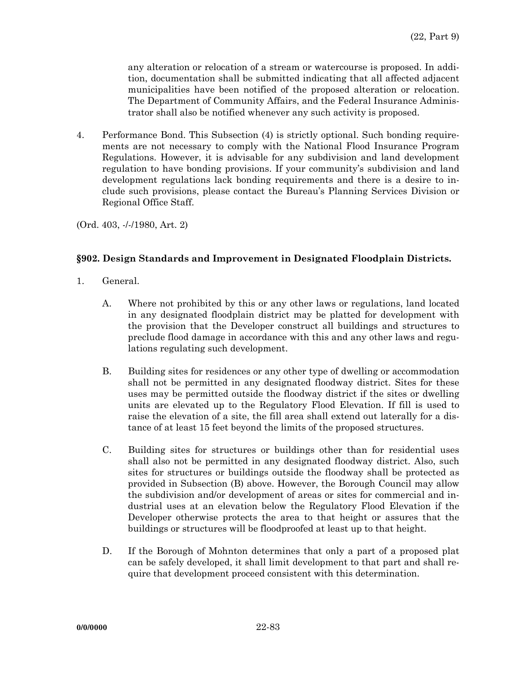any alteration or relocation of a stream or watercourse is proposed. In addition, documentation shall be submitted indicating that all affected adjacent municipalities have been notified of the proposed alteration or relocation. The Department of Community Affairs, and the Federal Insurance Administrator shall also be notified whenever any such activity is proposed.

4. Performance Bond. This Subsection (4) is strictly optional. Such bonding requirements are not necessary to comply with the National Flood Insurance Program Regulations. However, it is advisable for any subdivision and land development regulation to have bonding provisions. If your community's subdivision and land development regulations lack bonding requirements and there is a desire to include such provisions, please contact the Bureau's Planning Services Division or Regional Office Staff.

(Ord. 403, -/-/1980, Art. 2)

### **§902. Design Standards and Improvement in Designated Floodplain Districts.**

- 1. General.
	- A. Where not prohibited by this or any other laws or regulations, land located in any designated floodplain district may be platted for development with the provision that the Developer construct all buildings and structures to preclude flood damage in accordance with this and any other laws and regulations regulating such development.
	- B. Building sites for residences or any other type of dwelling or accommodation shall not be permitted in any designated floodway district. Sites for these uses may be permitted outside the floodway district if the sites or dwelling units are elevated up to the Regulatory Flood Elevation. If fill is used to raise the elevation of a site, the fill area shall extend out laterally for a distance of at least 15 feet beyond the limits of the proposed structures.
	- C. Building sites for structures or buildings other than for residential uses shall also not be permitted in any designated floodway district. Also, such sites for structures or buildings outside the floodway shall be protected as provided in Subsection (B) above. However, the Borough Council may allow the subdivision and/or development of areas or sites for commercial and industrial uses at an elevation below the Regulatory Flood Elevation if the Developer otherwise protects the area to that height or assures that the buildings or structures will be floodproofed at least up to that height.
	- D. If the Borough of Mohnton determines that only a part of a proposed plat can be safely developed, it shall limit development to that part and shall require that development proceed consistent with this determination.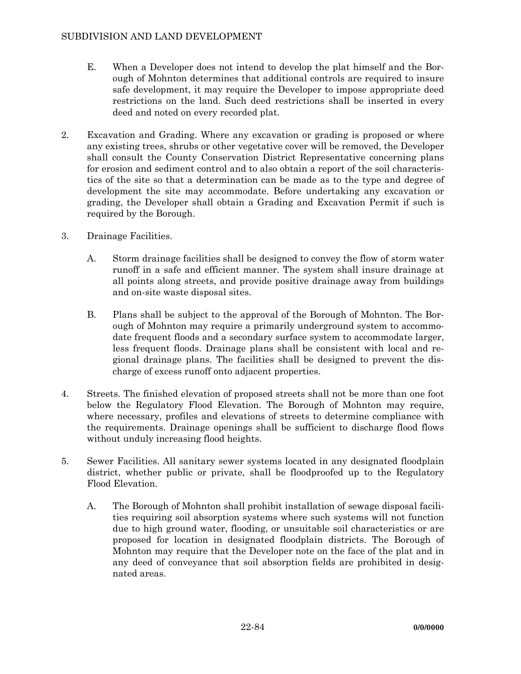- E. When a Developer does not intend to develop the plat himself and the Borough of Mohnton determines that additional controls are required to insure safe development, it may require the Developer to impose appropriate deed restrictions on the land. Such deed restrictions shall be inserted in every deed and noted on every recorded plat.
- 2. Excavation and Grading. Where any excavation or grading is proposed or where any existing trees, shrubs or other vegetative cover will be removed, the Developer shall consult the County Conservation District Representative concerning plans for erosion and sediment control and to also obtain a report of the soil characteristics of the site so that a determination can be made as to the type and degree of development the site may accommodate. Before undertaking any excavation or grading, the Developer shall obtain a Grading and Excavation Permit if such is required by the Borough.
- 3. Drainage Facilities.
	- A. Storm drainage facilities shall be designed to convey the flow of storm water runoff in a safe and efficient manner. The system shall insure drainage at all points along streets, and provide positive drainage away from buildings and on-site waste disposal sites.
	- B. Plans shall be subject to the approval of the Borough of Mohnton. The Borough of Mohnton may require a primarily underground system to accommodate frequent floods and a secondary surface system to accommodate larger, less frequent floods. Drainage plans shall be consistent with local and regional drainage plans. The facilities shall be designed to prevent the discharge of excess runoff onto adjacent properties.
- 4. Streets. The finished elevation of proposed streets shall not be more than one foot below the Regulatory Flood Elevation. The Borough of Mohnton may require, where necessary, profiles and elevations of streets to determine compliance with the requirements. Drainage openings shall be sufficient to discharge flood flows without unduly increasing flood heights.
- 5. Sewer Facilities. All sanitary sewer systems located in any designated floodplain district, whether public or private, shall be floodproofed up to the Regulatory Flood Elevation.
	- A. The Borough of Mohnton shall prohibit installation of sewage disposal facilities requiring soil absorption systems where such systems will not function due to high ground water, flooding, or unsuitable soil characteristics or are proposed for location in designated floodplain districts. The Borough of Mohnton may require that the Developer note on the face of the plat and in any deed of conveyance that soil absorption fields are prohibited in designated areas.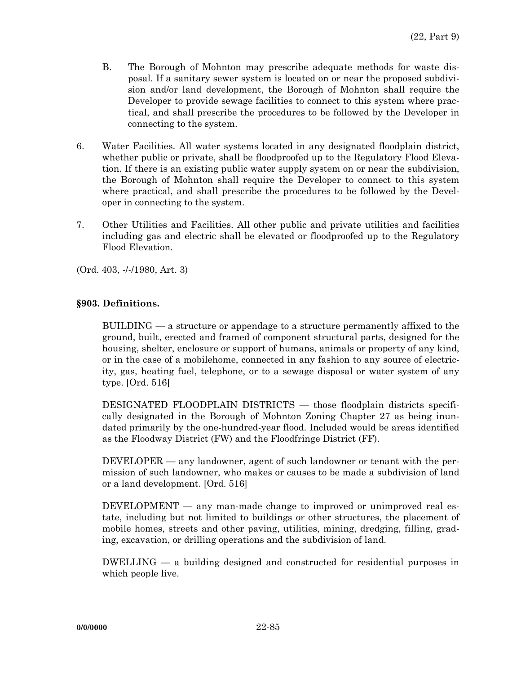- B. The Borough of Mohnton may prescribe adequate methods for waste disposal. If a sanitary sewer system is located on or near the proposed subdivision and/or land development, the Borough of Mohnton shall require the Developer to provide sewage facilities to connect to this system where practical, and shall prescribe the procedures to be followed by the Developer in connecting to the system.
- 6. Water Facilities. All water systems located in any designated floodplain district, whether public or private, shall be floodproofed up to the Regulatory Flood Elevation. If there is an existing public water supply system on or near the subdivision, the Borough of Mohnton shall require the Developer to connect to this system where practical, and shall prescribe the procedures to be followed by the Developer in connecting to the system.
- 7. Other Utilities and Facilities. All other public and private utilities and facilities including gas and electric shall be elevated or floodproofed up to the Regulatory Flood Elevation.
- (Ord. 403, -/-/1980, Art. 3)

### **§903. Definitions.**

 BUILDING — a structure or appendage to a structure permanently affixed to the ground, built, erected and framed of component structural parts, designed for the housing, shelter, enclosure or support of humans, animals or property of any kind, or in the case of a mobilehome, connected in any fashion to any source of electricity, gas, heating fuel, telephone, or to a sewage disposal or water system of any type. [Ord. 516]

 DESIGNATED FLOODPLAIN DISTRICTS — those floodplain districts specifically designated in the Borough of Mohnton Zoning Chapter 27 as being inundated primarily by the one-hundred-year flood. Included would be areas identified as the Floodway District (FW) and the Floodfringe District (FF).

 DEVELOPER — any landowner, agent of such landowner or tenant with the permission of such landowner, who makes or causes to be made a subdivision of land or a land development. [Ord. 516]

 $DEVELOPMENT$  — any man-made change to improved or unimproved real estate, including but not limited to buildings or other structures, the placement of mobile homes, streets and other paving, utilities, mining, dredging, filling, grading, excavation, or drilling operations and the subdivision of land.

 DWELLING — a building designed and constructed for residential purposes in which people live.